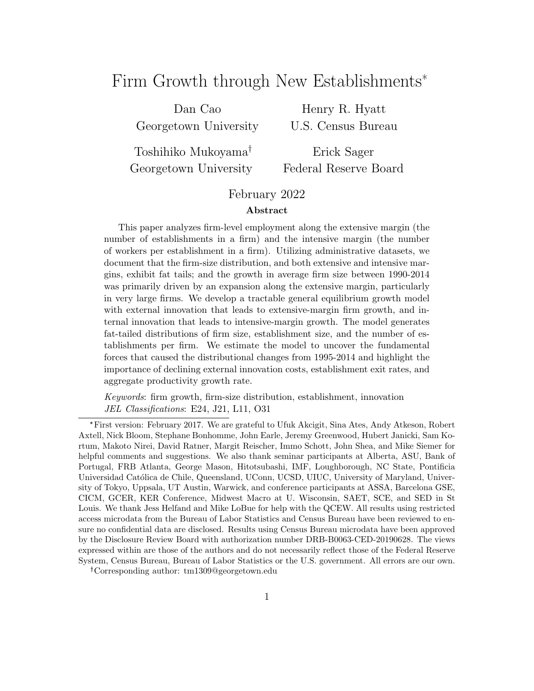# Firm Growth through New Establishments<sup>\*</sup>

Dan Cao Georgetown University

Henry R. Hyatt U.S. Census Bureau

Toshihiko Mukoyama Georgetown University

Erick Sager Federal Reserve Board

#### February 2022

#### Abstract

This paper analyzes firm-level employment along the extensive margin (the number of establishments in a firm) and the intensive margin (the number of workers per establishment in a firm). Utilizing administrative datasets, we document that the firm-size distribution, and both extensive and intensive margins, exhibit fat tails; and the growth in average firm size between 1990-2014 was primarily driven by an expansion along the extensive margin, particularly in very large firms. We develop a tractable general equilibrium growth model with external innovation that leads to extensive-margin firm growth, and internal innovation that leads to intensive-margin growth. The model generates fat-tailed distributions of firm size, establishment size, and the number of establishments per firm. We estimate the model to uncover the fundamental forces that caused the distributional changes from 1995-2014 and highlight the importance of declining external innovation costs, establishment exit rates, and aggregate productivity growth rate.

Keywords: firm growth, firm-size distribution, establishment, innovation JEL Classifications: E24, J21, L11, O31

<sup>\*</sup>First version: February 2017. We are grateful to Ufuk Akcigit, Sina Ates, Andy Atkeson, Robert Axtell, Nick Bloom, Stephane Bonhomme, John Earle, Jeremy Greenwood, Hubert Janicki, Sam Kortum, Makoto Nirei, David Ratner, Margit Reischer, Immo Schott, John Shea, and Mike Siemer for helpful comments and suggestions. We also thank seminar participants at Alberta, ASU, Bank of Portugal, FRB Atlanta, George Mason, Hitotsubashi, IMF, Loughborough, NC State, Pontificia Universidad Católica de Chile, Queensland, UConn, UCSD, UIUC, University of Maryland, University of Tokyo, Uppsala, UT Austin, Warwick, and conference participants at ASSA, Barcelona GSE, CICM, GCER, KER Conference, Midwest Macro at U. Wisconsin, SAET, SCE, and SED in St Louis. We thank Jess Helfand and Mike LoBue for help with the QCEW. All results using restricted access microdata from the Bureau of Labor Statistics and Census Bureau have been reviewed to ensure no confidential data are disclosed. Results using Census Bureau microdata have been approved by the Disclosure Review Board with authorization number DRB-B0063-CED-20190628. The views expressed within are those of the authors and do not necessarily reflect those of the Federal Reserve System, Census Bureau, Bureau of Labor Statistics or the U.S. government. All errors are our own.

Corresponding author: tm1309@georgetown.edu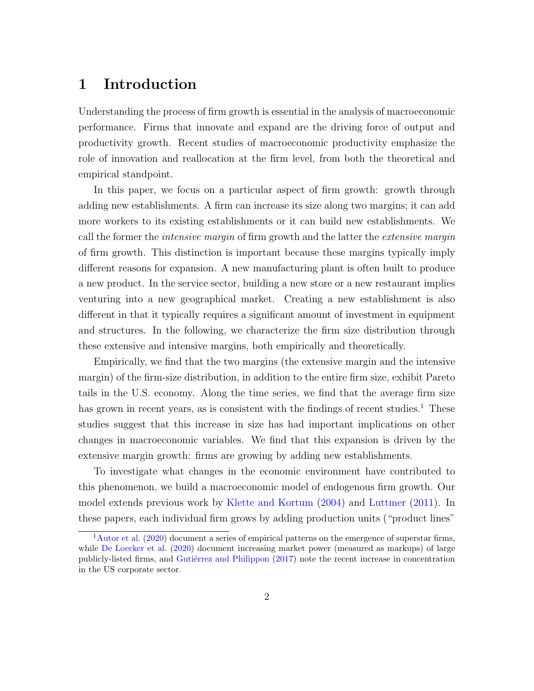## 1 Introduction

Understanding the process of firm growth is essential in the analysis of macroeconomic performance. Firms that innovate and expand are the driving force of output and productivity growth. Recent studies of macroeconomic productivity emphasize the role of innovation and reallocation at the firm level, from both the theoretical and empirical standpoint.

In this paper, we focus on a particular aspect of firm growth: growth through adding new establishments. A firm can increase its size along two margins; it can add more workers to its existing establishments or it can build new establishments. We call the former the *intensive margin* of firm growth and the latter the *extensive margin* of firm growth. This distinction is important because these margins typically imply different reasons for expansion. A new manufacturing plant is often built to produce a new product. In the service sector, building a new store or a new restaurant implies venturing into a new geographical market. Creating a new establishment is also different in that it typically requires a significant amount of investment in equipment and structures. In the following, we characterize the firm size distribution through these extensive and intensive margins, both empirically and theoretically.

Empirically, we find that the two margins (the extensive margin and the intensive margin) of the firm-size distribution, in addition to the entire firm size, exhibit Pareto tails in the U.S. economy. Along the time series, we find that the average firm size has grown in recent years, as is consistent with the findings of recent studies.<sup>[1](#page-1-0)</sup> These studies suggest that this increase in size has had important implications on other changes in macroeconomic variables. We find that this expansion is driven by the extensive margin growth: firms are growing by adding new establishments.

To investigate what changes in the economic environment have contributed to this phenomenon, we build a macroeconomic model of endogenous firm growth. Our model extends previous work by [Klette and Kortum](#page-39-0) [\(2004\)](#page-39-0) and [Luttmer](#page-39-1) [\(2011\)](#page-39-1). In these papers, each individual firm grows by adding production units ("product lines"

<span id="page-1-0"></span><sup>1</sup>[Autor et al.](#page-36-0) [\(2020\)](#page-36-0) document a series of empirical patterns on the emergence of superstar firms, while [De Loecker et al.](#page-37-0) [\(2020\)](#page-37-0) document increasing market power (measured as markups) of large publicly-listed firms, and Gutiérrez and Philippon [\(2017\)](#page-38-0) note the recent increase in concentration in the US corporate sector.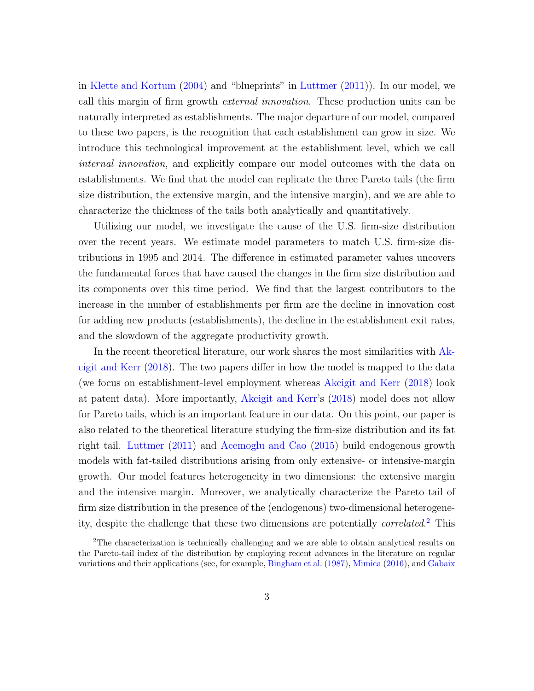in [Klette and Kortum](#page-39-0) [\(2004\)](#page-39-0) and "blueprints" in [Luttmer](#page-39-1) [\(2011\)](#page-39-1)). In our model, we call this margin of firm growth external innovation. These production units can be naturally interpreted as establishments. The major departure of our model, compared to these two papers, is the recognition that each establishment can grow in size. We introduce this technological improvement at the establishment level, which we call internal innovation, and explicitly compare our model outcomes with the data on establishments. We find that the model can replicate the three Pareto tails (the firm size distribution, the extensive margin, and the intensive margin), and we are able to characterize the thickness of the tails both analytically and quantitatively.

Utilizing our model, we investigate the cause of the U.S. firm-size distribution over the recent years. We estimate model parameters to match U.S. firm-size distributions in 1995 and 2014. The difference in estimated parameter values uncovers the fundamental forces that have caused the changes in the firm size distribution and its components over this time period. We find that the largest contributors to the increase in the number of establishments per firm are the decline in innovation cost for adding new products (establishments), the decline in the establishment exit rates, and the slowdown of the aggregate productivity growth.

In the recent theoretical literature, our work shares the most similarities with [Ak](#page-36-1)[cigit and Kerr](#page-36-1) [\(2018\)](#page-36-1). The two papers differ in how the model is mapped to the data (we focus on establishment-level employment whereas [Akcigit and Kerr](#page-36-1) [\(2018\)](#page-36-1) look at patent data). More importantly, [Akcigit and Kerr'](#page-36-1)s [\(2018\)](#page-36-1) model does not allow for Pareto tails, which is an important feature in our data. On this point, our paper is also related to the theoretical literature studying the firm-size distribution and its fat right tail. [Luttmer](#page-39-1) [\(2011\)](#page-39-1) and [Acemoglu and Cao](#page-36-2) [\(2015\)](#page-36-2) build endogenous growth models with fat-tailed distributions arising from only extensive- or intensive-margin growth. Our model features heterogeneity in two dimensions: the extensive margin and the intensive margin. Moreover, we analytically characterize the Pareto tail of firm size distribution in the presence of the (endogenous) two-dimensional heterogeneity, despite the challenge that these two dimensions are potentially *correlated*.<sup>[2](#page-2-0)</sup> This

<span id="page-2-0"></span><sup>&</sup>lt;sup>2</sup>The characterization is technically challenging and we are able to obtain analytical results on the Pareto-tail index of the distribution by employing recent advances in the literature on regular variations and their applications (see, for example, [Bingham et al.](#page-36-3) [\(1987\)](#page-36-3), [Mimica](#page-39-2) [\(2016\)](#page-39-2), and [Gabaix](#page-37-1)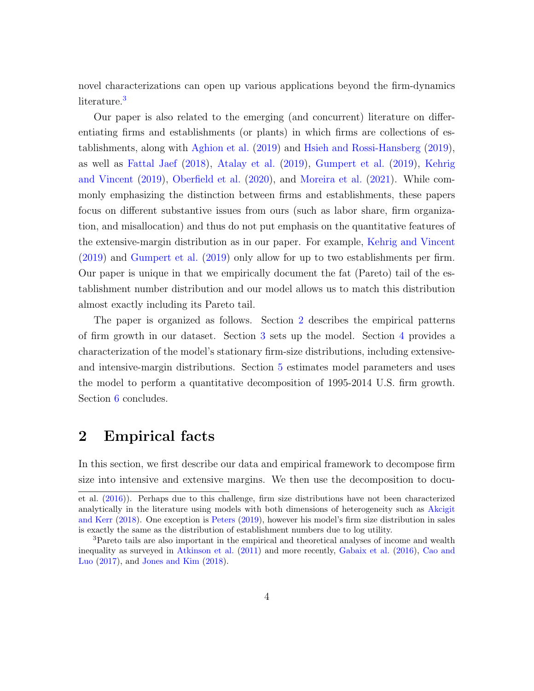[novel characterizations can open up various applications beyond the firm-dynamics](#page-37-1) [literature.](#page-37-1)<sup>[3](#page-3-0)</sup>

[Our paper is also related to the emerging \(and concurrent\) literature on differ](#page-37-1)[entiating firms and establishments \(or plants\) in which firms are collections of es](#page-37-1)tablishments, along with [Aghion et al.](#page-36-4) [\(2019\)](#page-36-4) and [Hsieh and Rossi-Hansberg](#page-37-1) [\(2019\)](#page-38-1), as well as [Fattal Jaef](#page-37-2) [\(2018\)](#page-37-2), [Atalay et al.](#page-36-5) [\(2019\)](#page-36-5), [Gumpert et al.](#page-37-1) [\(2019\)](#page-38-2), [Kehrig](#page-39-3) [and Vincent](#page-39-3) [\(2019\)](#page-39-3), [Oberfield et al.](#page-39-4) [\(2020\)](#page-39-4), and [Moreira et al.](#page-39-5) [\(2021\). While com](#page-37-1)[monly emphasizing the distinction between firms and establishments, these papers](#page-37-1) [focus on different substantive issues from ours \(such as labor share, firm organiza](#page-37-1)[tion, and misallocation\) and thus do not put emphasis on the quantitative features of](#page-37-1) [the extensive-margin distribution as in our paper. For example,](#page-37-1) [Kehrig and Vincent](#page-39-3) [\(2019\)](#page-39-3) and [Gumpert et al.](#page-38-2) [\(2019\) only allow for up to two establishments per firm.](#page-37-1) [Our paper is unique in that we empirically document the fat \(Pareto\) tail of the es](#page-37-1)[tablishment number distribution and our model allows us to match this distribution](#page-37-1) [almost exactly including its Pareto tail.](#page-37-1)

[The paper is organized as follows. Section](#page-37-1) [2](#page-3-1) describes the empirical patterns [of firm growth in our dataset. Section](#page-37-1) [3](#page-9-0) sets up the model. Section [4](#page-18-0) provides a [characterization of the model's stationary firm-size distributions, including extensive](#page-37-1)[and intensive-margin distributions. Section](#page-37-1) [5](#page-23-0) estimates model parameters and uses [the model to perform a quantitative decomposition of 1995-2014 U.S. firm growth.](#page-37-1) Section [6](#page-34-0) [concludes.](#page-37-1)

### <span id="page-3-1"></span>[2 Empirical facts](#page-37-1)

[In this section, we first describe our data and empirical framework to decompose firm](#page-37-1) [size into intensive and extensive margins. We then use the decomposition to docu-](#page-37-1)

[et al.](#page-37-1) [\(2016\)](#page-37-1)). Perhaps due to this challenge, firm size distributions have not been characterized analytically in the literature using models with both dimensions of heterogeneity such as [Akcigit](#page-36-1) [and Kerr](#page-36-1) [\(2018\)](#page-36-1). One exception is [Peters](#page-39-6) [\(2019\)](#page-39-6), however his model's firm size distribution in sales is exactly the same as the distribution of establishment numbers due to log utility.

<span id="page-3-0"></span><sup>3</sup>Pareto tails are also important in the empirical and theoretical analyses of income and wealth inequality as surveyed in [Atkinson et al.](#page-36-6) [\(2011\)](#page-36-6) and more recently, [Gabaix et al.](#page-37-1) [\(2016\)](#page-37-1), [Cao and](#page-37-3) [Luo](#page-37-3) [\(2017\)](#page-37-3), and [Jones and Kim](#page-38-3) [\(2018\)](#page-38-3).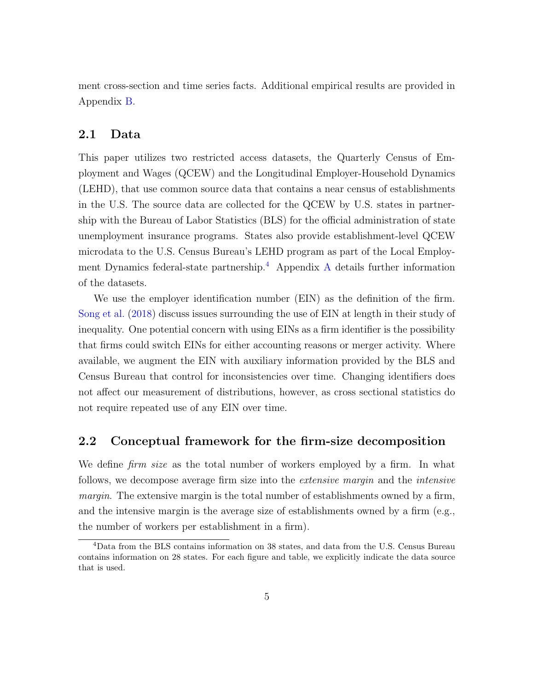ment cross-section and time series facts. Additional empirical results are provided in Appendix [B.](#page-43-0)

### 2.1 Data

This paper utilizes two restricted access datasets, the Quarterly Census of Employment and Wages (QCEW) and the Longitudinal Employer-Household Dynamics (LEHD), that use common source data that contains a near census of establishments in the U.S. The source data are collected for the QCEW by U.S. states in partnership with the Bureau of Labor Statistics (BLS) for the official administration of state unemployment insurance programs. States also provide establishment-level QCEW microdata to the U.S. Census Bureau's LEHD program as part of the Local Employ-ment Dynamics federal-state partnership.<sup>[4](#page-4-0)</sup> [A](#page-41-0)ppendix A details further information of the datasets.

We use the employer identification number (EIN) as the definition of the firm. [Song et al.](#page-40-0) [\(2018\)](#page-40-0) discuss issues surrounding the use of EIN at length in their study of inequality. One potential concern with using EINs as a firm identifier is the possibility that firms could switch EINs for either accounting reasons or merger activity. Where available, we augment the EIN with auxiliary information provided by the BLS and Census Bureau that control for inconsistencies over time. Changing identifiers does not affect our measurement of distributions, however, as cross sectional statistics do not require repeated use of any EIN over time.

#### 2.2 Conceptual framework for the firm-size decomposition

We define *firm size* as the total number of workers employed by a firm. In what follows, we decompose average firm size into the extensive margin and the intensive margin. The extensive margin is the total number of establishments owned by a firm, and the intensive margin is the average size of establishments owned by a firm (e.g., the number of workers per establishment in a firm).

<span id="page-4-0"></span><sup>4</sup>Data from the BLS contains information on 38 states, and data from the U.S. Census Bureau contains information on 28 states. For each figure and table, we explicitly indicate the data source that is used.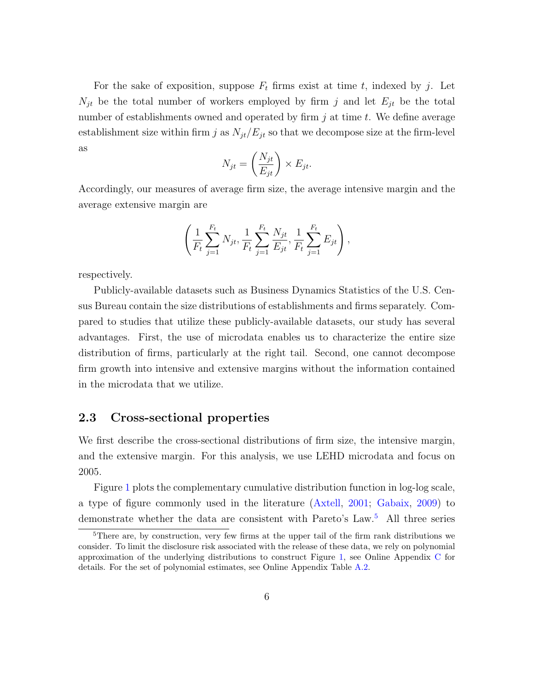For the sake of exposition, suppose  $F_t$  firms exist at time t, indexed by j. Let  $N_{it}$  be the total number of workers employed by firm j and let  $E_{it}$  be the total number of establishments owned and operated by firm  $j$  at time  $t$ . We define average establishment size within firm j as  $N_{jt}/E_{jt}$  so that we decompose size at the firm-level as

$$
N_{jt} = \left(\frac{N_{jt}}{E_{jt}}\right) \times E_{jt}.
$$

Accordingly, our measures of average firm size, the average intensive margin and the average extensive margin are

$$
\left(\frac{1}{F_t}\sum_{j=1}^{F_t} N_{jt}, \frac{1}{F_t}\sum_{j=1}^{F_t} \frac{N_{jt}}{E_{jt}}, \frac{1}{F_t}\sum_{j=1}^{F_t} E_{jt}\right),\right
$$

respectively.

Publicly-available datasets such as Business Dynamics Statistics of the U.S. Census Bureau contain the size distributions of establishments and firms separately. Compared to studies that utilize these publicly-available datasets, our study has several advantages. First, the use of microdata enables us to characterize the entire size distribution of firms, particularly at the right tail. Second, one cannot decompose firm growth into intensive and extensive margins without the information contained in the microdata that we utilize.

#### 2.3 Cross-sectional properties

We first describe the cross-sectional distributions of firm size, the intensive margin, and the extensive margin. For this analysis, we use LEHD microdata and focus on 2005.

Figure [1](#page-6-0) plots the complementary cumulative distribution function in log-log scale, a type of figure commonly used in the literature [\(Axtell,](#page-36-7) [2001;](#page-36-7) [Gabaix,](#page-37-4) [2009\)](#page-37-4) to demonstrate whether the data are consistent with Pareto's Law.<sup>[5](#page-5-0)</sup> All three series

<span id="page-5-0"></span><sup>&</sup>lt;sup>5</sup>There are, by construction, very few firms at the upper tail of the firm rank distributions we consider. To limit the disclosure risk associated with the release of these data, we rely on polynomial approximation of the underlying distributions to construct Figure [1,](#page-6-0) see Online Appendix [C](#page-47-0) for details. For the set of polynomial estimates, see Online Appendix Table [A.2.](#page-48-0)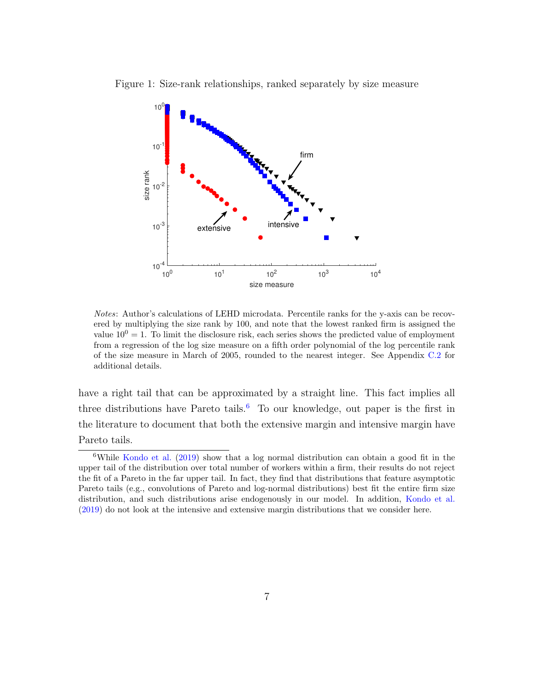

<span id="page-6-0"></span>Figure 1: Size-rank relationships, ranked separately by size measure

Notes: Author's calculations of LEHD microdata. Percentile ranks for the y-axis can be recovered by multiplying the size rank by 100, and note that the lowest ranked firm is assigned the value  $10^0 = 1$ . To limit the disclosure risk, each series shows the predicted value of employment from a regression of the log size measure on a fifth order polynomial of the log percentile rank of the size measure in March of 2005, rounded to the nearest integer. See Appendix [C.2](#page-49-0) for additional details.

have a right tail that can be approximated by a straight line. This fact implies all three distributions have Pareto tails.<sup>[6](#page-6-1)</sup> To our knowledge, out paper is the first in the literature to document that both the extensive margin and intensive margin have Pareto tails.

<span id="page-6-1"></span><sup>&</sup>lt;sup>6</sup>While [Kondo et al.](#page-39-7) [\(2019\)](#page-39-7) show that a log normal distribution can obtain a good fit in the upper tail of the distribution over total number of workers within a firm, their results do not reject the fit of a Pareto in the far upper tail. In fact, they find that distributions that feature asymptotic Pareto tails (e.g., convolutions of Pareto and log-normal distributions) best fit the entire firm size distribution, and such distributions arise endogenously in our model. In addition, [Kondo et al.](#page-39-7) [\(2019\)](#page-39-7) do not look at the intensive and extensive margin distributions that we consider here.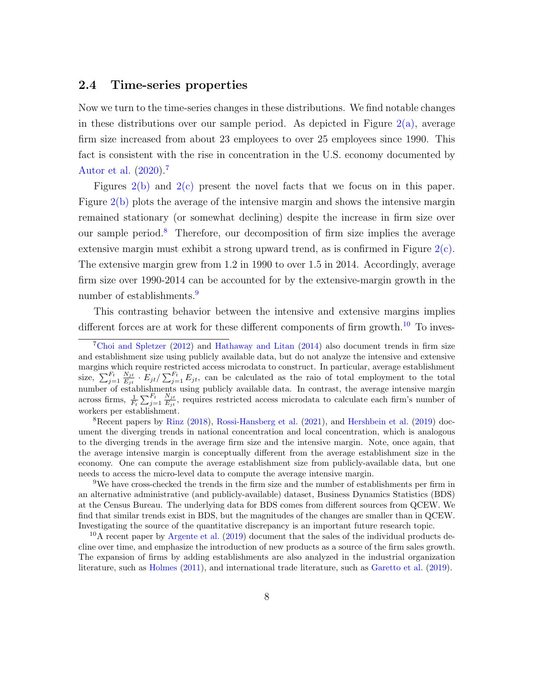#### 2.4 Time-series properties

Now we turn to the time-series changes in these distributions. We find notable changes in these distributions over our sample period. As depicted in Figure  $2(a)$ , average firm size increased from about 23 employees to over 25 employees since 1990. This fact is consistent with the rise in concentration in the U.S. economy documented by [Autor et al.](#page-36-0) [\(2020\)](#page-36-0).[7](#page-7-0)

Figures [2\(b\)](#page-8-0) and [2\(c\)](#page-8-0) present the novel facts that we focus on in this paper. Figure [2\(b\)](#page-8-0) plots the average of the intensive margin and shows the intensive margin remained stationary (or somewhat declining) despite the increase in firm size over our sample period.<sup>[8](#page-7-1)</sup> Therefore, our decomposition of firm size implies the average extensive margin must exhibit a strong upward trend, as is confirmed in Figure  $2(c)$ . The extensive margin grew from 1.2 in 1990 to over 1.5 in 2014. Accordingly, average firm size over 1990-2014 can be accounted for by the extensive-margin growth in the number of establishments.<sup>[9](#page-7-2)</sup>

This contrasting behavior between the intensive and extensive margins implies different forces are at work for these different components of firm growth.<sup>[10](#page-7-3)</sup> To inves-

<span id="page-7-1"></span><sup>8</sup>Recent papers by [Rinz](#page-39-8) [\(2018\)](#page-39-8), [Rossi-Hansberg et al.](#page-40-1) [\(2021\)](#page-40-1), and [Hershbein et al.](#page-38-5) [\(2019\)](#page-38-5) document the diverging trends in national concentration and local concentration, which is analogous to the diverging trends in the average firm size and the intensive margin. Note, once again, that the average intensive margin is conceptually different from the average establishment size in the economy. One can compute the average establishment size from publicly-available data, but one needs to access the micro-level data to compute the average intensive margin.

<span id="page-7-2"></span><sup>9</sup>We have cross-checked the trends in the firm size and the number of establishments per firm in an alternative administrative (and publicly-available) dataset, Business Dynamics Statistics (BDS) at the Census Bureau. The underlying data for BDS comes from different sources from QCEW. We find that similar trends exist in BDS, but the magnitudes of the changes are smaller than in QCEW. Investigating the source of the quantitative discrepancy is an important future research topic.

<span id="page-7-3"></span> $10<sup>10</sup>A$  recent paper by [Argente et al.](#page-36-8) [\(2019\)](#page-36-8) document that the sales of the individual products decline over time, and emphasize the introduction of new products as a source of the firm sales growth. The expansion of firms by adding establishments are also analyzed in the industrial organization literature, such as [Holmes](#page-38-6) [\(2011\)](#page-38-6), and international trade literature, such as [Garetto et al.](#page-38-7) [\(2019\)](#page-38-7).

<span id="page-7-0"></span><sup>&</sup>lt;sup>7</sup>[Choi and Spletzer](#page-37-5) [\(2012\)](#page-37-5) and [Hathaway and Litan](#page-38-4) [\(2014\)](#page-38-4) also document trends in firm size and establishment size using publicly available data, but do not analyze the intensive and extensive margins which require restricted access microdata to construct. In particular, average establishment size,  $\sum_{j=1}^{F_t} \frac{N_{jt}}{E_{it}}$  $\frac{N_{jt}}{E_{jt}} \cdot E_{jt} / \sum_{j=1}^{F_t} E_{jt}$ , can be calculated as the raio of total employment to the total number of establishments using publicly available data. In contrast, the average intensive margin across firms,  $\frac{1}{F_t} \sum_{j=1}^{F_t} \frac{N_{jt}}{E_{jt}}$  $\frac{N_{jt}}{E_{jt}}$ , requires restricted access microdata to calculate each firm's number of workers per establishment.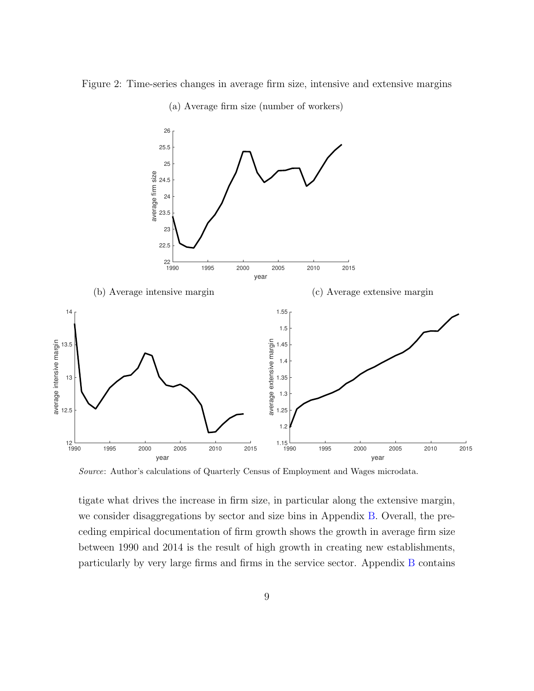<span id="page-8-0"></span>Figure 2: Time-series changes in average firm size, intensive and extensive margins



(a) Average firm size (number of workers)

Source: Author's calculations of Quarterly Census of Employment and Wages microdata.

tigate what drives the increase in firm size, in particular along the extensive margin, we consider disaggregations by sector and size bins in Appendix [B.](#page-43-0) Overall, the preceding empirical documentation of firm growth shows the growth in average firm size between 1990 and 2014 is the result of high growth in creating new establishments, particularly by very large firms and firms in the service sector. Appendix [B](#page-43-0) contains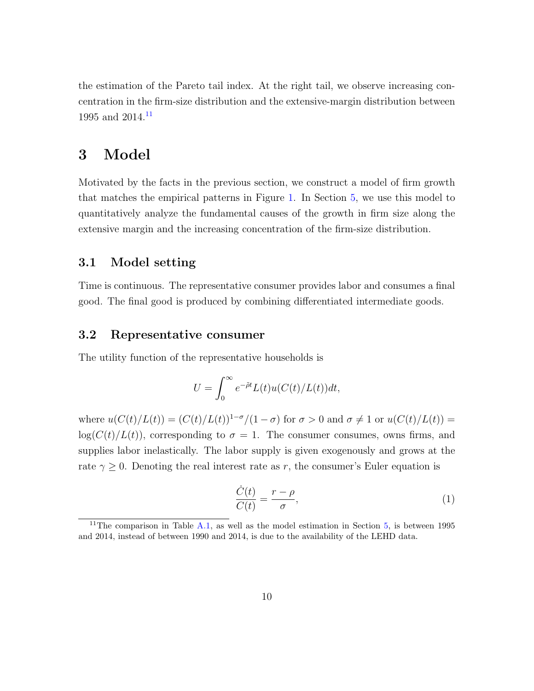the estimation of the Pareto tail index. At the right tail, we observe increasing concentration in the firm-size distribution and the extensive-margin distribution between 1995 and 2014.<sup>[11](#page-9-1)</sup>

## <span id="page-9-0"></span>3 Model

Motivated by the facts in the previous section, we construct a model of firm growth that matches the empirical patterns in Figure [1.](#page-6-0) In Section [5,](#page-23-0) we use this model to quantitatively analyze the fundamental causes of the growth in firm size along the extensive margin and the increasing concentration of the firm-size distribution.

### 3.1 Model setting

Time is continuous. The representative consumer provides labor and consumes a final good. The final good is produced by combining differentiated intermediate goods.

#### 3.2 Representative consumer

The utility function of the representative households is

$$
U = \int_0^\infty e^{-\tilde{\rho}t} L(t)u(C(t)/L(t))dt,
$$

where  $u(C(t)/L(t)) = (C(t)/L(t))^{1-\sigma}/(1-\sigma)$  for  $\sigma > 0$  and  $\sigma \neq 1$  or  $u(C(t)/L(t)) =$  $log(C(t)/L(t))$ , corresponding to  $\sigma = 1$ . The consumer consumes, owns firms, and supplies labor inelastically. The labor supply is given exogenously and grows at the rate  $\gamma \geq 0$ . Denoting the real interest rate as r, the consumer's Euler equation is

<span id="page-9-2"></span>
$$
\frac{\dot{C}(t)}{C(t)} = \frac{r - \rho}{\sigma},\tag{1}
$$

<span id="page-9-1"></span><sup>&</sup>lt;sup>11</sup>The comparison in Table [A.1,](#page-44-0) as well as the model estimation in Section  $5$ , is between 1995 and 2014, instead of between 1990 and 2014, is due to the availability of the LEHD data.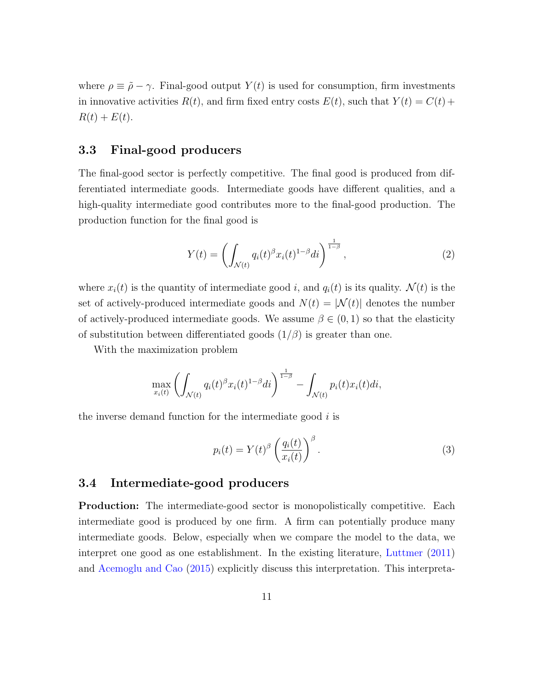where  $\rho \equiv \tilde{\rho} - \gamma$ . Final-good output  $Y(t)$  is used for consumption, firm investments in innovative activities  $R(t)$ , and firm fixed entry costs  $E(t)$ , such that  $Y(t) = C(t) +$  $R(t) + E(t)$ .

### 3.3 Final-good producers

The final-good sector is perfectly competitive. The final good is produced from differentiated intermediate goods. Intermediate goods have different qualities, and a high-quality intermediate good contributes more to the final-good production. The production function for the final good is

$$
Y(t) = \left(\int_{\mathcal{N}(t)} q_i(t)^{\beta} x_i(t)^{1-\beta} di\right)^{\frac{1}{1-\beta}},\tag{2}
$$

where  $x_i(t)$  is the quantity of intermediate good i, and  $q_i(t)$  is its quality.  $\mathcal{N}(t)$  is the set of actively-produced intermediate goods and  $N(t) = |\mathcal{N}(t)|$  denotes the number of actively-produced intermediate goods. We assume  $\beta \in (0,1)$  so that the elasticity of substitution between differentiated goods  $(1/\beta)$  is greater than one.

With the maximization problem

$$
\max_{x_i(t)} \left( \int_{\mathcal{N}(t)} q_i(t)^{\beta} x_i(t)^{1-\beta} dt \right)^{\frac{1}{1-\beta}} - \int_{\mathcal{N}(t)} p_i(t) x_i(t) dt,
$$

the inverse demand function for the intermediate good  $i$  is

<span id="page-10-0"></span>
$$
p_i(t) = Y(t)^{\beta} \left(\frac{q_i(t)}{x_i(t)}\right)^{\beta}.
$$
\n(3)

#### 3.4 Intermediate-good producers

Production: The intermediate-good sector is monopolistically competitive. Each intermediate good is produced by one firm. A firm can potentially produce many intermediate goods. Below, especially when we compare the model to the data, we interpret one good as one establishment. In the existing literature, [Luttmer](#page-39-1) [\(2011\)](#page-39-1) and [Acemoglu and Cao](#page-36-2) [\(2015\)](#page-36-2) explicitly discuss this interpretation. This interpreta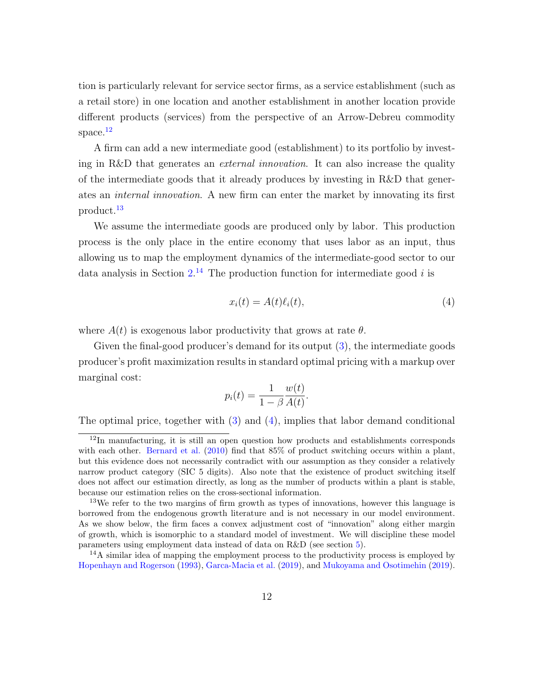tion is particularly relevant for service sector firms, as a service establishment (such as a retail store) in one location and another establishment in another location provide different products (services) from the perspective of an Arrow-Debreu commodity space. $12$ 

A firm can add a new intermediate good (establishment) to its portfolio by investing in R&D that generates an *external innovation*. It can also increase the quality of the intermediate goods that it already produces by investing in R&D that generates an internal innovation. A new firm can enter the market by innovating its first product.[13](#page-11-1)

We assume the intermediate goods are produced only by labor. This production process is the only place in the entire economy that uses labor as an input, thus allowing us to map the employment dynamics of the intermediate-good sector to our data analysis in Section  $2^{14}$  $2^{14}$  $2^{14}$  The production function for intermediate good i is

<span id="page-11-3"></span>
$$
x_i(t) = A(t)\ell_i(t),\tag{4}
$$

where  $A(t)$  is exogenous labor productivity that grows at rate  $\theta$ .

Given the final-good producer's demand for its output [\(3\)](#page-10-0), the intermediate goods producer's profit maximization results in standard optimal pricing with a markup over marginal cost:

$$
p_i(t) = \frac{1}{1 - \beta} \frac{w(t)}{A(t)}.
$$

The optimal price, together with [\(3\)](#page-10-0) and [\(4\)](#page-11-3), implies that labor demand conditional

<span id="page-11-0"></span><sup>12</sup>In manufacturing, it is still an open question how products and establishments corresponds with each other. [Bernard et al.](#page-36-9) [\(2010\)](#page-36-9) find that 85% of product switching occurs within a plant, but this evidence does not necessarily contradict with our assumption as they consider a relatively narrow product category (SIC 5 digits). Also note that the existence of product switching itself does not affect our estimation directly, as long as the number of products within a plant is stable, because our estimation relies on the cross-sectional information.

<span id="page-11-1"></span><sup>&</sup>lt;sup>13</sup>We refer to the two margins of firm growth as types of innovations, however this language is borrowed from the endogenous growth literature and is not necessary in our model environment. As we show below, the firm faces a convex adjustment cost of "innovation" along either margin of growth, which is isomorphic to a standard model of investment. We will discipline these model parameters using employment data instead of data on R&D (see section [5\)](#page-23-0).

<span id="page-11-2"></span> $14A$  similar idea of mapping the employment process to the productivity process is employed by [Hopenhayn and Rogerson](#page-38-8) [\(1993\)](#page-38-8), [Garca-Macia et al.](#page-37-6) [\(2019\)](#page-37-6), and [Mukoyama and Osotimehin](#page-39-9) [\(2019\)](#page-39-9).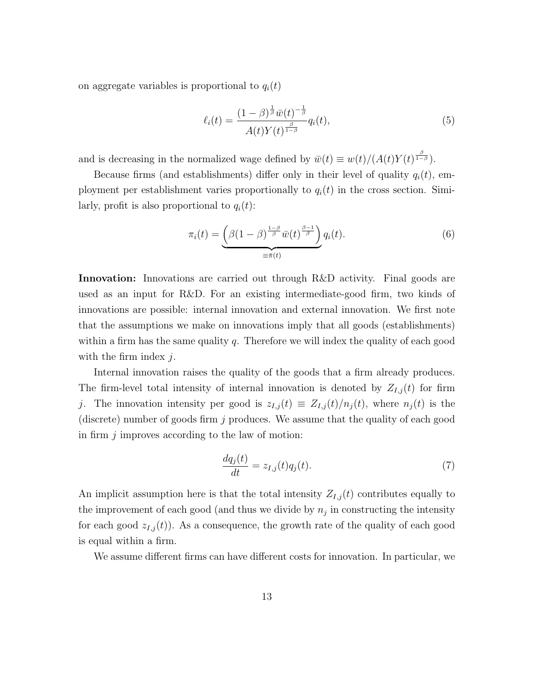on aggregate variables is proportional to  $q_i(t)$ 

$$
\ell_i(t) = \frac{(1-\beta)^{\frac{1}{\beta}}\bar{w}(t)^{-\frac{1}{\beta}}}{A(t)Y(t)^{\frac{\beta}{1-\beta}}}q_i(t),\tag{5}
$$

and is decreasing in the normalized wage defined by  $\bar{w}(t) \equiv w(t)/(A(t)Y(t)^{\frac{\beta}{1-\beta}})$ .

Because firms (and establishments) differ only in their level of quality  $q_i(t)$ , employment per establishment varies proportionally to  $q_i(t)$  in the cross section. Similarly, profit is also proportional to  $q_i(t)$ :

<span id="page-12-1"></span>
$$
\pi_i(t) = \underbrace{\left(\beta(1-\beta)^{\frac{1-\beta}{\beta}}\bar{w}(t)^{\frac{\beta-1}{\beta}}\right)}_{\equiv \bar{\pi}(t)}q_i(t). \tag{6}
$$

Innovation: Innovations are carried out through R&D activity. Final goods are used as an input for R&D. For an existing intermediate-good firm, two kinds of innovations are possible: internal innovation and external innovation. We first note that the assumptions we make on innovations imply that all goods (establishments) within a firm has the same quality  $q$ . Therefore we will index the quality of each good with the firm index  $j$ .

Internal innovation raises the quality of the goods that a firm already produces. The firm-level total intensity of internal innovation is denoted by  $Z_{I,j}(t)$  for firm j. The innovation intensity per good is  $z_{I,j}(t) \equiv Z_{I,j}(t)/n_j(t)$ , where  $n_j(t)$  is the (discrete) number of goods firm  $j$  produces. We assume that the quality of each good in firm  $j$  improves according to the law of motion:

<span id="page-12-0"></span>
$$
\frac{dq_j(t)}{dt} = z_{I,j}(t)q_j(t). \tag{7}
$$

An implicit assumption here is that the total intensity  $Z_{I,j}(t)$  contributes equally to the improvement of each good (and thus we divide by  $n_j$  in constructing the intensity for each good  $z_{I,j}(t)$ . As a consequence, the growth rate of the quality of each good is equal within a firm.

We assume different firms can have different costs for innovation. In particular, we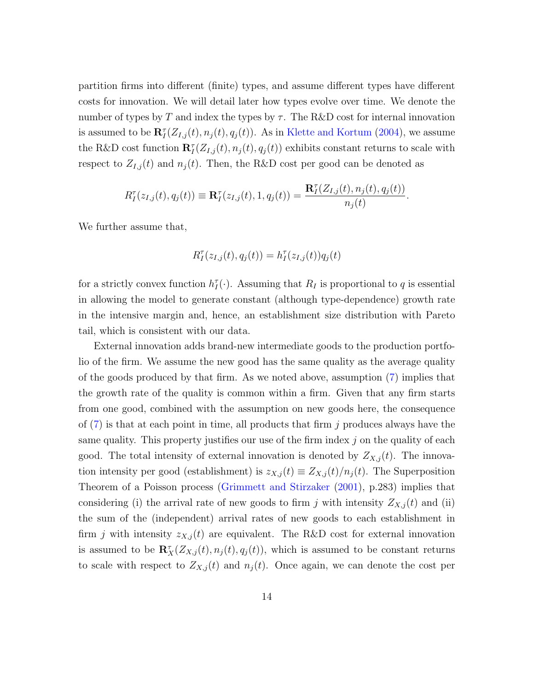partition firms into different (finite) types, and assume different types have different costs for innovation. We will detail later how types evolve over time. We denote the number of types by T and index the types by  $\tau$ . The R&D cost for internal innovation is assumed to be  $\mathbf{R}_{I}^{\tau}(Z_{I,j}(t), n_{j}(t), q_{j}(t))$ . As in [Klette and Kortum](#page-39-0) [\(2004\)](#page-39-0), we assume the R&D cost function  $\mathbf{R}_I^{\tau}(Z_{I,j}(t), n_j(t), q_j(t))$  exhibits constant returns to scale with respect to  $Z_{I,j}(t)$  and  $n_j(t)$ . Then, the R&D cost per good can be denoted as

$$
R_I^{\tau}(z_{I,j}(t), q_j(t)) \equiv \mathbf{R}_I^{\tau}(z_{I,j}(t), 1, q_j(t)) = \frac{\mathbf{R}_I^{\tau}(Z_{I,j}(t), n_j(t), q_j(t))}{n_j(t)}.
$$

We further assume that,

$$
R_I^{\tau}(z_{I,j}(t),q_j(t)) = h_I^{\tau}(z_{I,j}(t))q_j(t)
$$

for a strictly convex function  $h_I^{\tau}(\cdot)$ . Assuming that  $R_I$  is proportional to q is essential in allowing the model to generate constant (although type-dependence) growth rate in the intensive margin and, hence, an establishment size distribution with Pareto tail, which is consistent with our data.

External innovation adds brand-new intermediate goods to the production portfolio of the firm. We assume the new good has the same quality as the average quality of the goods produced by that firm. As we noted above, assumption [\(7\)](#page-12-0) implies that the growth rate of the quality is common within a firm. Given that any firm starts from one good, combined with the assumption on new goods here, the consequence of  $(7)$  is that at each point in time, all products that firm j produces always have the same quality. This property justifies our use of the firm index  $j$  on the quality of each good. The total intensity of external innovation is denoted by  $Z_{X,i}(t)$ . The innovation intensity per good (establishment) is  $z_{X,j}(t) \equiv Z_{X,j}(t)/n_j(t)$ . The Superposition Theorem of a Poisson process [\(Grimmett and Stirzaker](#page-38-9) [\(2001\)](#page-38-9), p.283) implies that considering (i) the arrival rate of new goods to firm j with intensity  $Z_{X,j}(t)$  and (ii) the sum of the (independent) arrival rates of new goods to each establishment in firm j with intensity  $z_{X,j}(t)$  are equivalent. The R&D cost for external innovation is assumed to be  $\mathbf{R}_{X}^{\tau}(Z_{X,j}(t), n_j(t), q_j(t))$ , which is assumed to be constant returns to scale with respect to  $Z_{X,j}(t)$  and  $n_j(t)$ . Once again, we can denote the cost per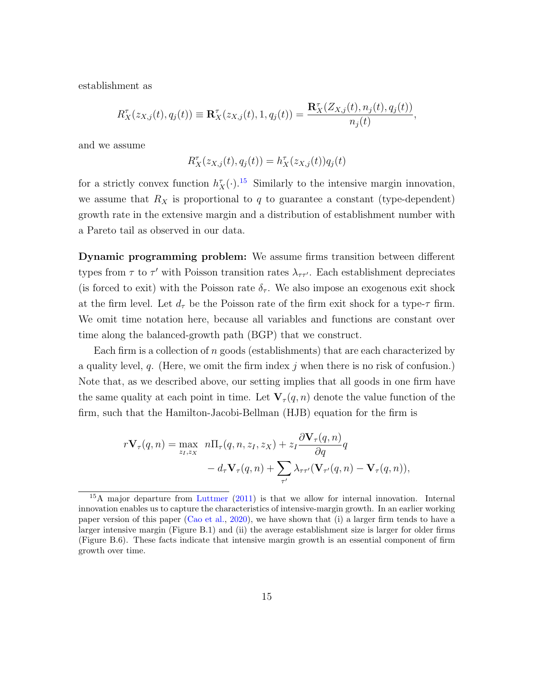establishment as

$$
R_X^{\tau}(z_{X,j}(t), q_j(t)) \equiv \mathbf{R}_X^{\tau}(z_{X,j}(t), 1, q_j(t)) = \frac{\mathbf{R}_X^{\tau}(Z_{X,j}(t), n_j(t), q_j(t))}{n_j(t)},
$$

and we assume

$$
R_X^{\tau}(z_{X,j}(t),q_j(t))=h_X^{\tau}(z_{X,j}(t))q_j(t)
$$

for a strictly convex function  $h_X^{\tau}(\cdot)$ .<sup>[15](#page-14-0)</sup> Similarly to the intensive margin innovation, we assume that  $R_X$  is proportional to q to guarantee a constant (type-dependent) growth rate in the extensive margin and a distribution of establishment number with a Pareto tail as observed in our data.

Dynamic programming problem: We assume firms transition between different types from  $\tau$  to  $\tau'$  with Poisson transition rates  $\lambda_{\tau\tau'}$ . Each establishment depreciates (is forced to exit) with the Poisson rate  $\delta_{\tau}$ . We also impose an exogenous exit shock at the firm level. Let  $d_{\tau}$  be the Poisson rate of the firm exit shock for a type- $\tau$  firm. We omit time notation here, because all variables and functions are constant over time along the balanced-growth path (BGP) that we construct.

Each firm is a collection of  $n$  goods (establishments) that are each characterized by a quality level,  $q$ . (Here, we omit the firm index j when there is no risk of confusion.) Note that, as we described above, our setting implies that all goods in one firm have the same quality at each point in time. Let  $\mathbf{V}_{\tau}(q, n)$  denote the value function of the firm, such that the Hamilton-Jacobi-Bellman (HJB) equation for the firm is

$$
r\mathbf{V}_{\tau}(q,n) = \max_{z_I, z_X} n\Pi_{\tau}(q,n,z_I,z_X) + z_I \frac{\partial \mathbf{V}_{\tau}(q,n)}{\partial q}q - d_{\tau} \mathbf{V}_{\tau}(q,n) + \sum_{\tau'} \lambda_{\tau\tau'}(\mathbf{V}_{\tau'}(q,n) - \mathbf{V}_{\tau}(q,n)),
$$

<span id="page-14-0"></span><sup>&</sup>lt;sup>15</sup>A major departure from [Luttmer](#page-39-1) [\(2011\)](#page-39-1) is that we allow for internal innovation. Internal innovation enables us to capture the characteristics of intensive-margin growth. In an earlier working paper version of this paper [\(Cao et al.,](#page-37-7) [2020\)](#page-37-7), we have shown that (i) a larger firm tends to have a larger intensive margin (Figure B.1) and (ii) the average establishment size is larger for older firms (Figure B.6). These facts indicate that intensive margin growth is an essential component of firm growth over time.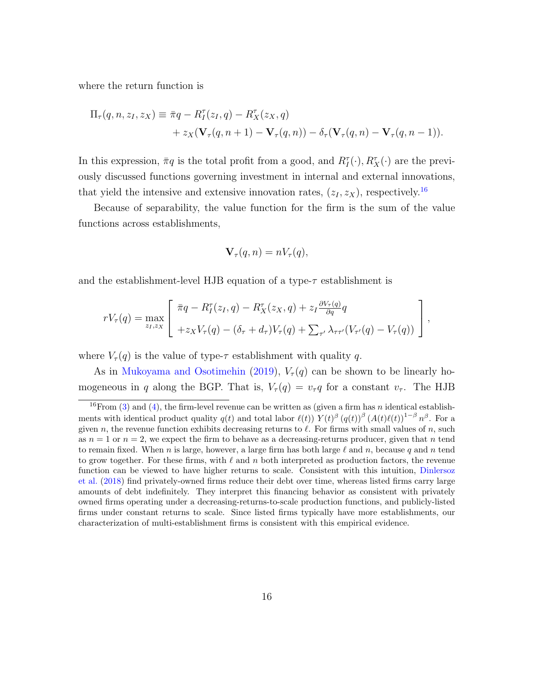where the return function is

$$
\Pi_{\tau}(q, n, z_I, z_X) \equiv \overline{\pi}q - R_I^{\tau}(z_I, q) - R_X^{\tau}(z_X, q)
$$
  
+ 
$$
z_X(\mathbf{V}_{\tau}(q, n+1) - \mathbf{V}_{\tau}(q, n)) - \delta_{\tau}(\mathbf{V}_{\tau}(q, n) - \mathbf{V}_{\tau}(q, n-1)).
$$

In this expression,  $\pi q$  is the total profit from a good, and  $R_I^{\tau}(\cdot), R_X^{\tau}(\cdot)$  are the previously discussed functions governing investment in internal and external innovations, that yield the intensive and extensive innovation rates,  $(z_I, z_X)$ , respectively.<sup>[16](#page-15-0)</sup>

Because of separability, the value function for the firm is the sum of the value functions across establishments,

$$
\mathbf{V}_{\tau}(q, n) = nV_{\tau}(q),
$$

and the establishment-level HJB equation of a type- $\tau$  establishment is

$$
rV_{\tau}(q) = \max_{z_I, z_X} \left[ \begin{array}{c} \bar{\pi}q - R_I^{\tau}(z_I, q) - R_X^{\tau}(z_X, q) + z_I \frac{\partial V_{\tau}(q)}{\partial q} q \\ + z_X V_{\tau}(q) - (\delta_{\tau} + d_{\tau}) V_{\tau}(q) + \sum_{\tau'} \lambda_{\tau \tau'} (V_{\tau'}(q) - V_{\tau}(q)) \end{array} \right],
$$

where  $V_{\tau}(q)$  is the value of type- $\tau$  establishment with quality q.

As in [Mukoyama and Osotimehin](#page-39-9) [\(2019\)](#page-39-9),  $V_\tau(q)$  can be shown to be linearly homogeneous in q along the BGP. That is,  $V_\tau(q) = v_\tau q$  for a constant  $v_\tau$ . The HJB

<span id="page-15-0"></span><sup>&</sup>lt;sup>16</sup>From [\(3\)](#page-10-0) and [\(4\)](#page-11-3), the firm-level revenue can be written as (given a firm has *n* identical establishments with identical product quality  $q(t)$  and total labor  $\ell(t)$ )  $Y(t)$ <sup>β</sup>  $(q(t))$ <sup>β</sup>  $(A(t)\ell(t))$ <sup>1-β</sup>  $n$ <sup>β</sup>. For a given n, the revenue function exhibits decreasing returns to  $\ell$ . For firms with small values of n, such as  $n = 1$  or  $n = 2$ , we expect the firm to behave as a decreasing-returns producer, given that n tend to remain fixed. When n is large, however, a large firm has both large  $\ell$  and n, because q and n tend to grow together. For these firms, with  $\ell$  and n both interpreted as production factors, the revenue function can be viewed to have higher returns to scale. Consistent with this intuition, [Dinlersoz](#page-37-8) [et al.](#page-37-8) [\(2018\)](#page-37-8) find privately-owned firms reduce their debt over time, whereas listed firms carry large amounts of debt indefinitely. They interpret this financing behavior as consistent with privately owned firms operating under a decreasing-returns-to-scale production functions, and publicly-listed firms under constant returns to scale. Since listed firms typically have more establishments, our characterization of multi-establishment firms is consistent with this empirical evidence.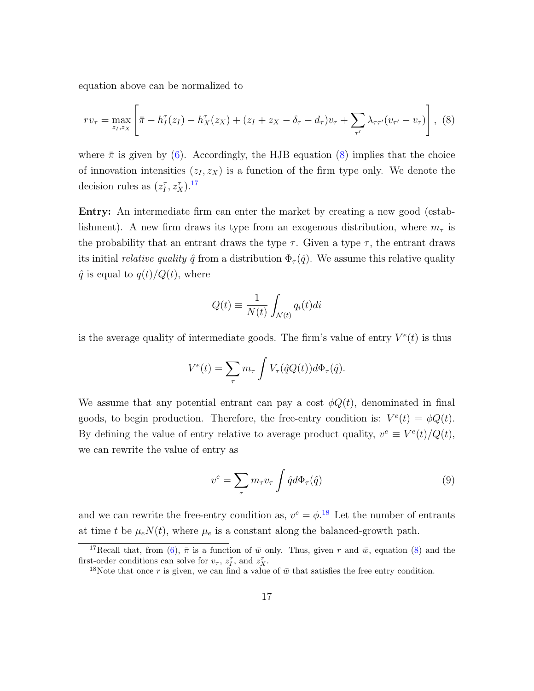equation above can be normalized to

<span id="page-16-0"></span>
$$
rv_{\tau} = \max_{z_I, z_X} \left[ \bar{\pi} - h_I^{\tau}(z_I) - h_X^{\tau}(z_X) + (z_I + z_X - \delta_{\tau} - d_{\tau})v_{\tau} + \sum_{\tau'} \lambda_{\tau \tau'}(v_{\tau'} - v_{\tau}) \right], \tag{8}
$$

where  $\bar{\pi}$  is given by [\(6\)](#page-12-1). Accordingly, the HJB equation [\(8\)](#page-16-0) implies that the choice of innovation intensities  $(z_I, z_X)$  is a function of the firm type only. We denote the decision rules as  $(z_I^{\tau}, z_X^{\tau})$ .<sup>[17](#page-16-1)</sup>

Entry: An intermediate firm can enter the market by creating a new good (establishment). A new firm draws its type from an exogenous distribution, where  $m<sub>\tau</sub>$  is the probability that an entrant draws the type  $\tau$ . Given a type  $\tau$ , the entrant draws its initial *relative quality*  $\hat{q}$  from a distribution  $\Phi_{\tau}(\hat{q})$ . We assume this relative quality  $\hat{q}$  is equal to  $q(t)/Q(t)$ , where

$$
Q(t) \equiv \frac{1}{N(t)} \int_{\mathcal{N}(t)} q_i(t) dt
$$

is the average quality of intermediate goods. The firm's value of entry  $V^e(t)$  is thus

$$
V^{e}(t) = \sum_{\tau} m_{\tau} \int V_{\tau}(\hat{q}Q(t))d\Phi_{\tau}(\hat{q}).
$$

We assume that any potential entrant can pay a cost  $\phi Q(t)$ , denominated in final goods, to begin production. Therefore, the free-entry condition is:  $V^e(t) = \phi Q(t)$ . By defining the value of entry relative to average product quality,  $v^e \equiv V^e(t)/Q(t)$ , we can rewrite the value of entry as

<span id="page-16-3"></span>
$$
v^{e} = \sum_{\tau} m_{\tau} v_{\tau} \int \hat{q} d\Phi_{\tau}(\hat{q}) \tag{9}
$$

and we can rewrite the free-entry condition as,  $v^e = \phi$ <sup>[18](#page-16-2)</sup>. Let the number of entrants at time t be  $\mu_e N(t)$ , where  $\mu_e$  is a constant along the balanced-growth path.

<span id="page-16-1"></span><sup>&</sup>lt;sup>17</sup>Recall that, from [\(6\)](#page-12-1),  $\bar{\pi}$  is a function of  $\bar{w}$  only. Thus, given r and  $\bar{w}$ , equation [\(8\)](#page-16-0) and the first-order conditions can solve for  $v_{\tau}$ ,  $z_{I}^{\tau}$ , and  $z_{X}^{\tau}$ .

<span id="page-16-2"></span><sup>&</sup>lt;sup>18</sup>Note that once r is given, we can find a value of  $\bar{w}$  that satisfies the free entry condition.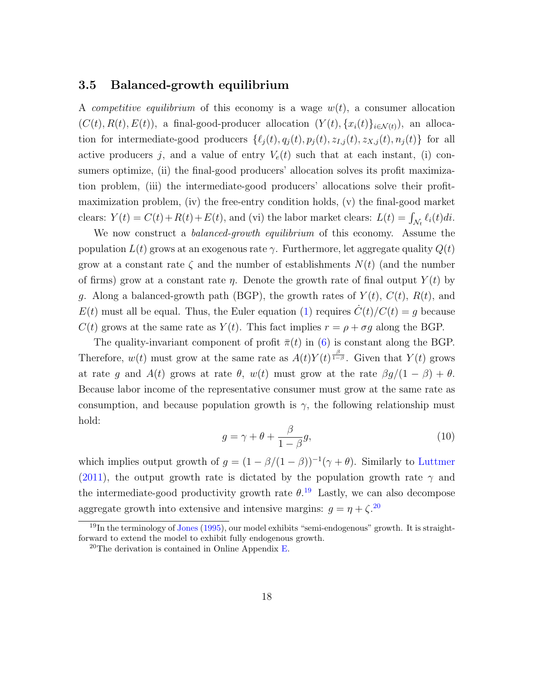#### 3.5 Balanced-growth equilibrium

A competitive equilibrium of this economy is a wage  $w(t)$ , a consumer allocation  $(C(t), R(t), E(t))$ , a final-good-producer allocation  $(Y(t), \{x_i(t)\}_{i \in \mathcal{N}(t)})$ , an allocation for intermediate-good producers  $\{\ell_j (t), q_j (t), p_j (t), z_{I,j} (t), z_{X,j} (t), n_j (t)\}\)$  for all active producers j, and a value of entry  $V_e(t)$  such that at each instant, (i) consumers optimize, (ii) the final-good producers' allocation solves its profit maximization problem, (iii) the intermediate-good producers' allocations solve their profitmaximization problem, (iv) the free-entry condition holds, (v) the final-good market clears:  $Y(t) = C(t) + R(t) + E(t)$ , and (vi) the labor market clears:  $L(t) = \int_{\mathcal{N}_t} \ell_i(t) dt$ .

We now construct a *balanced-growth equilibrium* of this economy. Assume the population  $L(t)$  grows at an exogenous rate  $\gamma$ . Furthermore, let aggregate quality  $Q(t)$ grow at a constant rate  $\zeta$  and the number of establishments  $N(t)$  (and the number of firms) grow at a constant rate  $\eta$ . Denote the growth rate of final output  $Y(t)$  by g. Along a balanced-growth path (BGP), the growth rates of  $Y(t)$ ,  $C(t)$ ,  $R(t)$ , and  $E(t)$  must all be equal. Thus, the Euler equation [\(1\)](#page-9-2) requires  $\dot{C}(t)/C(t) = g$  because  $C(t)$  grows at the same rate as  $Y(t)$ . This fact implies  $r = \rho + \sigma g$  along the BGP.

The quality-invariant component of profit  $\bar{\pi}(t)$  in [\(6\)](#page-12-1) is constant along the BGP. Therefore,  $w(t)$  must grow at the same rate as  $A(t)Y(t)^{\frac{\beta}{1-\beta}}$ . Given that  $Y(t)$  grows at rate g and  $A(t)$  grows at rate  $\theta$ ,  $w(t)$  must grow at the rate  $\beta g/(1 - \beta) + \theta$ . Because labor income of the representative consumer must grow at the same rate as consumption, and because population growth is  $\gamma$ , the following relationship must hold:

<span id="page-17-2"></span>
$$
g = \gamma + \theta + \frac{\beta}{1 - \beta}g,\tag{10}
$$

which implies output growth of  $g = (1 - \beta/(1 - \beta))^{-1}(\gamma + \theta)$ . Similarly to [Luttmer](#page-39-1) [\(2011\)](#page-39-1), the output growth rate is dictated by the population growth rate  $\gamma$  and the intermediate-good productivity growth rate  $\theta$ .<sup>[19](#page-17-0)</sup> Lastly, we can also decompose aggregate growth into extensive and intensive margins:  $g = \eta + \zeta^{20}$  $g = \eta + \zeta^{20}$  $g = \eta + \zeta^{20}$ 

<span id="page-17-0"></span><sup>&</sup>lt;sup>19</sup>In the terminology of [Jones](#page-38-10) [\(1995\)](#page-38-10), our model exhibits "semi-endogenous" growth. It is straightforward to extend the model to exhibit fully endogenous growth.

<span id="page-17-1"></span> $20$ The derivation is contained in Online Appendix [E.](#page-70-0)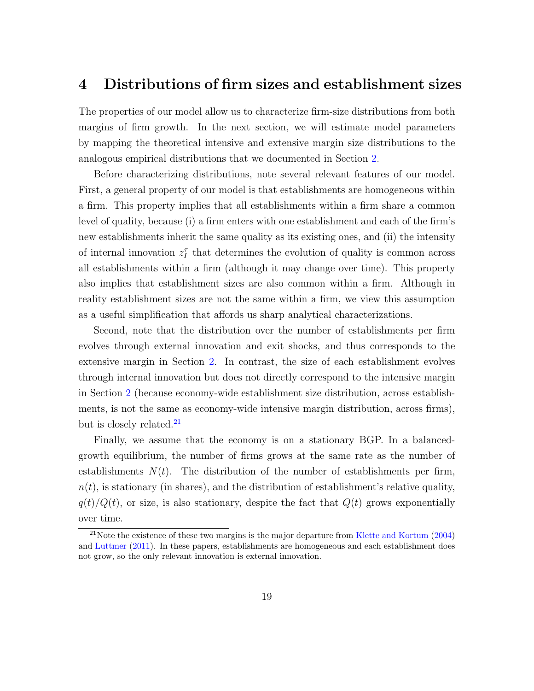### <span id="page-18-0"></span>4 Distributions of firm sizes and establishment sizes

The properties of our model allow us to characterize firm-size distributions from both margins of firm growth. In the next section, we will estimate model parameters by mapping the theoretical intensive and extensive margin size distributions to the analogous empirical distributions that we documented in Section [2.](#page-3-1)

Before characterizing distributions, note several relevant features of our model. First, a general property of our model is that establishments are homogeneous within a firm. This property implies that all establishments within a firm share a common level of quality, because (i) a firm enters with one establishment and each of the firm's new establishments inherit the same quality as its existing ones, and (ii) the intensity of internal innovation  $z_I^{\tau}$  that determines the evolution of quality is common across all establishments within a firm (although it may change over time). This property also implies that establishment sizes are also common within a firm. Although in reality establishment sizes are not the same within a firm, we view this assumption as a useful simplification that affords us sharp analytical characterizations.

Second, note that the distribution over the number of establishments per firm evolves through external innovation and exit shocks, and thus corresponds to the extensive margin in Section [2.](#page-3-1) In contrast, the size of each establishment evolves through internal innovation but does not directly correspond to the intensive margin in Section [2](#page-3-1) (because economy-wide establishment size distribution, across establishments, is not the same as economy-wide intensive margin distribution, across firms), but is closely related.<sup>[21](#page-18-1)</sup>

Finally, we assume that the economy is on a stationary BGP. In a balancedgrowth equilibrium, the number of firms grows at the same rate as the number of establishments  $N(t)$ . The distribution of the number of establishments per firm,  $n(t)$ , is stationary (in shares), and the distribution of establishment's relative quality,  $q(t)/Q(t)$ , or size, is also stationary, despite the fact that  $Q(t)$  grows exponentially over time.

<span id="page-18-1"></span> $21$ Note the existence of these two margins is the major departure from [Klette and Kortum](#page-39-0) [\(2004\)](#page-39-0) and [Luttmer](#page-39-1) [\(2011\)](#page-39-1). In these papers, establishments are homogeneous and each establishment does not grow, so the only relevant innovation is external innovation.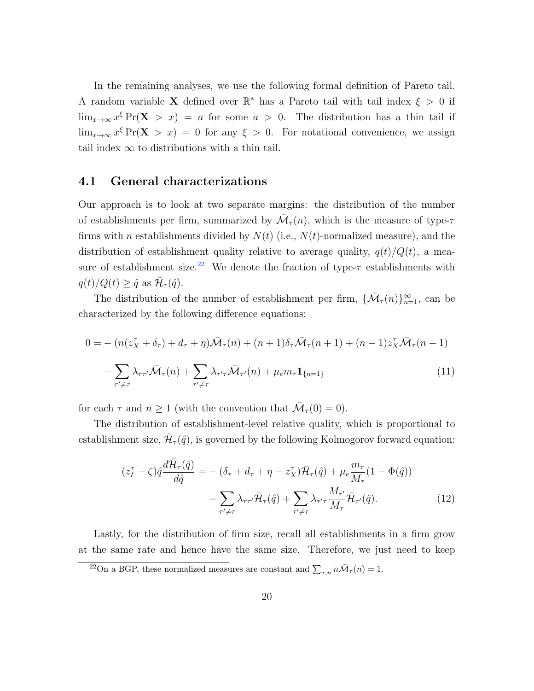In the remaining analyses, we use the following formal definition of Pareto tail. A random variable **X** defined over  $\mathbb{R}^*$  has a Pareto tail with tail index  $\xi > 0$  if  $\lim_{x\to\infty} x^{\xi} \Pr(X > x) = a$  for some  $a > 0$ . The distribution has a thin tail if  $\lim_{x\to\infty} x^{\xi} \Pr(\mathbf{X} > x) = 0$  for any  $\xi > 0$ . For notational convenience, we assign tail index  $\infty$  to distributions with a thin tail.

### 4.1 General characterizations

Our approach is to look at two separate margins: the distribution of the number of establishments per firm, summarized by  $\mathcal{M}_{\tau}(n)$ , which is the measure of type- $\tau$ firms with n establishments divided by  $N(t)$  (i.e.,  $N(t)$ -normalized measure), and the distribution of establishment quality relative to average quality,  $q(t)/Q(t)$ , a mea-sure of establishment size.<sup>[22](#page-19-0)</sup> We denote the fraction of type- $\tau$  establishments with  $q(t)/Q(t) \geq \hat{q}$  as  $\overline{\mathcal{H}}_{\tau}(\hat{q})$ .

The distribution of the number of establishment per firm,  $\{\bar{\mathcal{M}}_{\tau}(n)\}_{n=1}^{\infty}$ , can be characterized by the following difference equations:

$$
0 = -\left(n(z_X^{\tau} + \delta_{\tau}) + d_{\tau} + \eta\right)\bar{\mathcal{M}}_{\tau}(n) + (n+1)\delta_{\tau}\bar{\mathcal{M}}_{\tau}(n+1) + (n-1)z_X^{\tau}\bar{\mathcal{M}}_{\tau}(n-1) - \sum_{\tau' \neq \tau} \lambda_{\tau\tau'}\bar{\mathcal{M}}_{\tau}(n) + \sum_{\tau' \neq \tau} \lambda_{\tau'\tau}\bar{\mathcal{M}}_{\tau'}(n) + \mu_{e}m_{\tau}\mathbf{1}_{\{n=1\}}\tag{11}
$$

for each  $\tau$  and  $n \ge 1$  (with the convention that  $\overline{\mathcal{M}}_{\tau}(0) = 0$ ).

The distribution of establishment-level relative quality, which is proportional to establishment size,  $\bar{\mathcal{H}}_{\tau}(\hat{q})$ , is governed by the following Kolmogorov forward equation:

$$
(z_I^{\tau} - \zeta)\hat{q}\frac{d\bar{\mathcal{H}}_{\tau}(\hat{q})}{d\hat{q}} = -(\delta_{\tau} + d_{\tau} + \eta - z_X^{\tau})\bar{\mathcal{H}}_{\tau}(\hat{q}) + \mu_e \frac{m_{\tau}}{M_{\tau}}(1 - \Phi(\hat{q})) - \sum_{\tau' \neq \tau} \lambda_{\tau\tau'}\bar{\mathcal{H}}_{\tau}(\hat{q}) + \sum_{\tau' \neq \tau} \lambda_{\tau'\tau} \frac{M_{\tau'}}{M_{\tau}}\bar{\mathcal{H}}_{\tau'}(\hat{q}).
$$
\n(12)

Lastly, for the distribution of firm size, recall all establishments in a firm grow at the same rate and hence have the same size. Therefore, we just need to keep

<span id="page-19-0"></span><sup>&</sup>lt;sup>22</sup>On a BGP, these normalized measures are constant and  $\sum_{\tau,n} n \bar{\mathcal{M}}_{\tau}(n) = 1$ .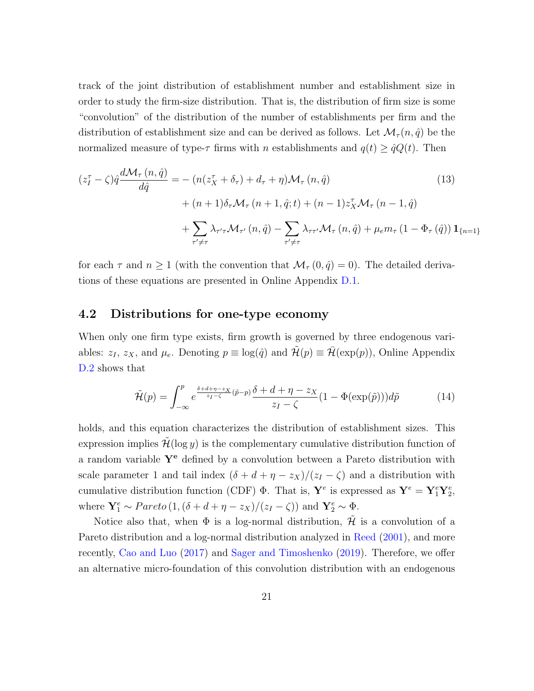track of the joint distribution of establishment number and establishment size in order to study the firm-size distribution. That is, the distribution of firm size is some "convolution" of the distribution of the number of establishments per firm and the distribution of establishment size and can be derived as follows. Let  $\mathcal{M}_{\tau}(n, \hat{q})$  be the normalized measure of type- $\tau$  firms with n establishments and  $q(t) \ge \hat{q}Q(t)$ . Then

<span id="page-20-0"></span>
$$
(z_I^{\tau} - \zeta)\hat{q}\frac{d\mathcal{M}_{\tau}(n,\hat{q})}{d\hat{q}} = -\left(n(z_X^{\tau} + \delta_{\tau}) + d_{\tau} + \eta\right)\mathcal{M}_{\tau}(n,\hat{q})\n+ (n+1)\delta_{\tau}\mathcal{M}_{\tau}(n+1,\hat{q};t) + (n-1)z_X^{\tau}\mathcal{M}_{\tau}(n-1,\hat{q})\n+ \sum_{\tau'\neq\tau} \lambda_{\tau'\tau}\mathcal{M}_{\tau'}(n,\hat{q}) - \sum_{\tau'\neq\tau} \lambda_{\tau\tau'}\mathcal{M}_{\tau}(n,\hat{q}) + \mu_{e}m_{\tau}\left(1 - \Phi_{\tau}\left(\hat{q}\right)\right)\mathbf{1}_{\{n=1\}}
$$
\n(13)

for each  $\tau$  and  $n \geq 1$  (with the convention that  $\mathcal{M}_{\tau}(0, \hat{q}) = 0$ ). The detailed derivations of these equations are presented in Online Appendix [D.1.](#page-53-0)

### <span id="page-20-1"></span>4.2 Distributions for one-type economy

When only one firm type exists, firm growth is governed by three endogenous variables:  $z_I$ ,  $z_X$ , and  $\mu_e$ . Denoting  $p \equiv \log(\hat{q})$  and  $\mathcal{H}(p) \equiv \mathcal{H}(\exp(p))$ , Online Appendix [D.2](#page-54-0) shows that

$$
\tilde{\mathcal{H}}(p) = \int_{-\infty}^{p} e^{\frac{\delta + d + \eta - z_X}{z_I - \zeta}(\tilde{p} - p)} \frac{\delta + d + \eta - z_X}{z_I - \zeta} (1 - \Phi(\exp(\tilde{p}))) d\tilde{p}
$$
(14)

holds, and this equation characterizes the distribution of establishment sizes. This expression implies  $\mathcal{H}(\log y)$  is the complementary cumulative distribution function of a random variable  $Y^e$  defined by a convolution between a Pareto distribution with scale parameter 1 and tail index  $(\delta + d + \eta - z_X)/(z_I - \zeta)$  and a distribution with cumulative distribution function (CDF)  $\Phi$ . That is,  $\mathbf{Y}^e$  is expressed as  $\mathbf{Y}^e = \mathbf{Y}_1^e \mathbf{Y}_2^e$ , where  $\mathbf{Y}_1^e \sim Pareto (1, (\delta + d + \eta - z_X)/(z_I - \zeta))$  and  $\mathbf{Y}_2^e \sim \Phi$ .

Notice also that, when  $\Phi$  is a log-normal distribution,  $\tilde{\mathcal{H}}$  is a convolution of a Pareto distribution and a log-normal distribution analyzed in [Reed](#page-39-10) [\(2001\)](#page-39-10), and more recently, [Cao and Luo](#page-37-3) [\(2017\)](#page-37-3) and [Sager and Timoshenko](#page-40-2) [\(2019\)](#page-40-2). Therefore, we offer an alternative micro-foundation of this convolution distribution with an endogenous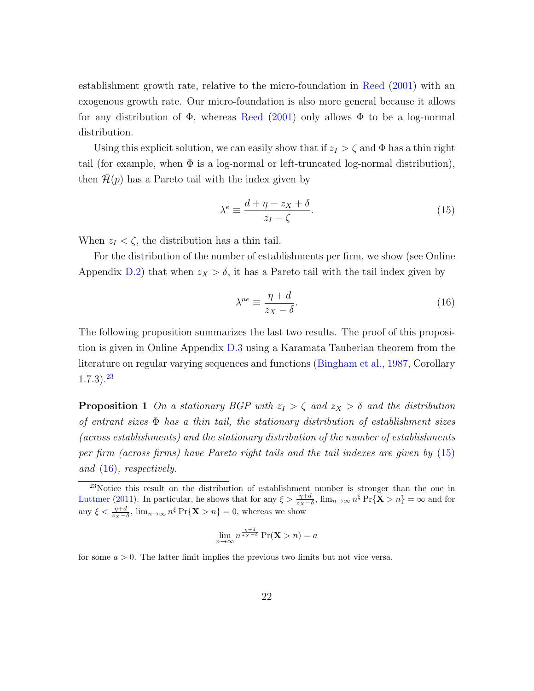establishment growth rate, relative to the micro-foundation in [Reed](#page-39-10) [\(2001\)](#page-39-10) with an exogenous growth rate. Our micro-foundation is also more general because it allows for any distribution of  $\Phi$ , whereas [Reed](#page-39-10) [\(2001\)](#page-39-10) only allows  $\Phi$  to be a log-normal distribution.

Using this explicit solution, we can easily show that if  $z_I > \zeta$  and  $\Phi$  has a thin right tail (for example, when  $\Phi$  is a log-normal or left-truncated log-normal distribution), then  $\mathcal{H}(p)$  has a Pareto tail with the index given by

<span id="page-21-1"></span>
$$
\lambda^e \equiv \frac{d + \eta - z_X + \delta}{z_I - \zeta}.\tag{15}
$$

When  $z_I < \zeta$ , the distribution has a thin tail.

For the distribution of the number of establishments per firm, we show (see Online Appendix [D.2\)](#page-54-0) that when  $z_X > \delta$ , it has a Pareto tail with the tail index given by

<span id="page-21-2"></span>
$$
\lambda^{ne} \equiv \frac{\eta + d}{z_X - \delta}.\tag{16}
$$

The following proposition summarizes the last two results. The proof of this proposition is given in Online Appendix [D.3](#page-59-0) using a Karamata Tauberian theorem from the literature on regular varying sequences and functions [\(Bingham et al.,](#page-36-3) [1987,](#page-36-3) Corollary  $(1.7.3).^{23}$  $(1.7.3).^{23}$  $(1.7.3).^{23}$ 

**Proposition 1** On a stationary BGP with  $z_1 > \zeta$  and  $z_x > \delta$  and the distribution of entrant sizes Φ has a thin tail, the stationary distribution of establishment sizes (across establishments) and the stationary distribution of the number of establishments per firm (across firms) have Pareto right tails and the tail indexes are given by [\(15\)](#page-21-1) and [\(16\)](#page-21-2), respectively.

$$
\lim_{n \to \infty} n^{\frac{\eta + d}{z_X - \delta}} \Pr(\mathbf{X} > n) = a
$$

for some  $a > 0$ . The latter limit implies the previous two limits but not vice versa.

<span id="page-21-0"></span> $^{23}$ Notice this result on the distribution of establishment number is stronger than the one in [Luttmer](#page-39-1) [\(2011\)](#page-39-1). In particular, he shows that for any  $\xi > \frac{\eta + d}{z \chi - \delta}$ ,  $\lim_{n \to \infty} n^{\xi} \Pr{\{\mathbf{X} > n\}} = \infty$  and for any  $\xi < \frac{\eta + d}{z_X - \delta}$ ,  $\lim_{n \to \infty} n^{\xi} \Pr{\mathbf{X} > n} = 0$ , whereas we show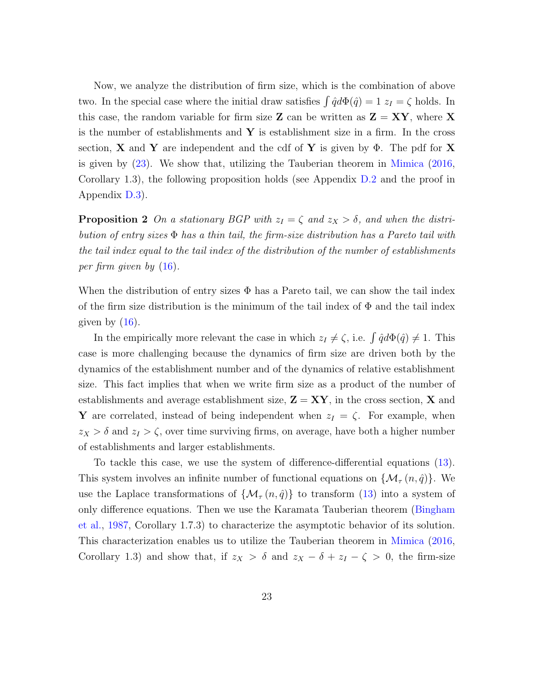Now, we analyze the distribution of firm size, which is the combination of above two. In the special case where the initial draw satisfies  $\int \hat{q} d\Phi(\hat{q}) = 1 z_I = \zeta$  holds. In this case, the random variable for firm size **Z** can be written as  $\mathbf{Z} = \mathbf{XY}$ , where **X** is the number of establishments and  $\bf{Y}$  is establishment size in a firm. In the cross section, **X** and **Y** are independent and the cdf of **Y** is given by  $\Phi$ . The pdf for **X** is given by [\(23\)](#page-56-0). We show that, utilizing the Tauberian theorem in [Mimica](#page-39-2) [\(2016,](#page-39-2) Corollary 1.3), the following proposition holds (see Appendix [D.2](#page-54-0) and the proof in Appendix [D.3\)](#page-59-0).

**Proposition 2** On a stationary BGP with  $z_I = \zeta$  and  $z_X > \delta$ , and when the distribution of entry sizes  $\Phi$  has a thin tail, the firm-size distribution has a Pareto tail with the tail index equal to the tail index of the distribution of the number of establishments per firm given by [\(16\)](#page-21-2).

When the distribution of entry sizes  $\Phi$  has a Pareto tail, we can show the tail index of the firm size distribution is the minimum of the tail index of  $\Phi$  and the tail index given by  $(16)$ .

In the empirically more relevant the case in which  $z_I \neq \zeta$ , i.e.  $\int \hat{q} d\Phi(\hat{q}) \neq 1$ . This case is more challenging because the dynamics of firm size are driven both by the dynamics of the establishment number and of the dynamics of relative establishment size. This fact implies that when we write firm size as a product of the number of establishments and average establishment size,  $\mathbf{Z} = \mathbf{X} \mathbf{Y}$ , in the cross section, X and Y are correlated, instead of being independent when  $z_I = \zeta$ . For example, when  $z_X > \delta$  and  $z_I > \zeta$ , over time surviving firms, on average, have both a higher number of establishments and larger establishments.

To tackle this case, we use the system of difference-differential equations [\(13\)](#page-20-0). This system involves an infinite number of functional equations on  $\{\mathcal{M}_{\tau}(n,\hat{q})\}$ . We use the Laplace transformations of  $\{M_{\tau}(n,\hat{q})\}$  to transform [\(13\)](#page-20-0) into a system of only difference equations. Then we use the Karamata Tauberian theorem [\(Bingham](#page-36-3) [et al.,](#page-36-3) [1987,](#page-36-3) Corollary 1.7.3) to characterize the asymptotic behavior of its solution. This characterization enables us to utilize the Tauberian theorem in [Mimica](#page-39-2) [\(2016,](#page-39-2) Corollary 1.3) and show that, if  $z_X > \delta$  and  $z_X - \delta + z_I - \zeta > 0$ , the firm-size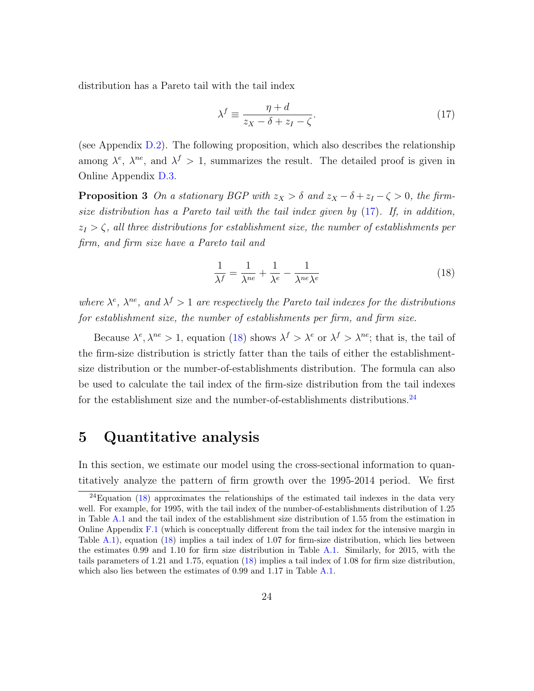distribution has a Pareto tail with the tail index

<span id="page-23-1"></span>
$$
\lambda^f \equiv \frac{\eta + d}{z_X - \delta + z_I - \zeta}.\tag{17}
$$

(see Appendix [D.2\)](#page-54-0). The following proposition, which also describes the relationship among  $\lambda^e$ ,  $\lambda^{ne}$ , and  $\lambda^f > 1$ , summarizes the result. The detailed proof is given in Online Appendix [D.3.](#page-59-0)

**Proposition 3** On a stationary BGP with  $z_X > \delta$  and  $z_X - \delta + z_I - \zeta > 0$ , the firmsize distribution has a Pareto tail with the tail index given by [\(17\)](#page-23-1). If, in addition,  $z_I > \zeta$ , all three distributions for establishment size, the number of establishments per firm, and firm size have a Pareto tail and

<span id="page-23-2"></span>
$$
\frac{1}{\lambda^f} = \frac{1}{\lambda^{ne}} + \frac{1}{\lambda^e} - \frac{1}{\lambda^{ne}\lambda^e}
$$
 (18)

where  $\lambda^e$ ,  $\lambda^{ne}$ , and  $\lambda^f > 1$  are respectively the Pareto tail indexes for the distributions for establishment size, the number of establishments per firm, and firm size.

Because  $\lambda^e$ ,  $\lambda^{ne} > 1$ , equation [\(18\)](#page-23-2) shows  $\lambda^f > \lambda^e$  or  $\lambda^f > \lambda^{ne}$ ; that is, the tail of the firm-size distribution is strictly fatter than the tails of either the establishmentsize distribution or the number-of-establishments distribution. The formula can also be used to calculate the tail index of the firm-size distribution from the tail indexes for the establishment size and the number-of-establishments distributions. $^{24}$  $^{24}$  $^{24}$ 

### <span id="page-23-0"></span>5 Quantitative analysis

In this section, we estimate our model using the cross-sectional information to quantitatively analyze the pattern of firm growth over the 1995-2014 period. We first

<span id="page-23-3"></span> $24$ Equation [\(18\)](#page-23-2) approximates the relationships of the estimated tail indexes in the data very well. For example, for 1995, with the tail index of the number-of-establishments distribution of 1.25 in Table [A.1](#page-44-0) and the tail index of the establishment size distribution of 1.55 from the estimation in Online Appendix [F.1](#page-73-0) (which is conceptually different from the tail index for the intensive margin in Table [A.1\)](#page-44-0), equation [\(18\)](#page-23-2) implies a tail index of 1.07 for firm-size distribution, which lies between the estimates 0.99 and 1.10 for firm size distribution in Table [A.1.](#page-44-0) Similarly, for 2015, with the tails parameters of 1.21 and 1.75, equation [\(18\)](#page-23-2) implies a tail index of 1.08 for firm size distribution, which also lies between the estimates of 0.99 and 1.17 in Table [A.1.](#page-44-0)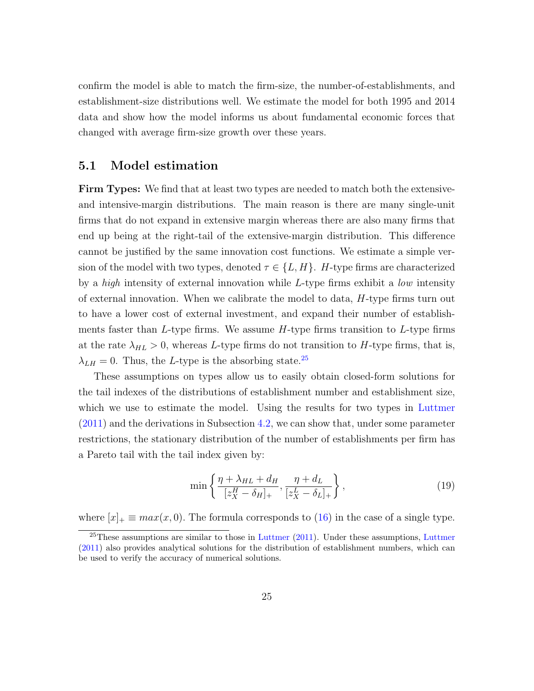confirm the model is able to match the firm-size, the number-of-establishments, and establishment-size distributions well. We estimate the model for both 1995 and 2014 data and show how the model informs us about fundamental economic forces that changed with average firm-size growth over these years.

#### 5.1 Model estimation

Firm Types: We find that at least two types are needed to match both the extensiveand intensive-margin distributions. The main reason is there are many single-unit firms that do not expand in extensive margin whereas there are also many firms that end up being at the right-tail of the extensive-margin distribution. This difference cannot be justified by the same innovation cost functions. We estimate a simple version of the model with two types, denoted  $\tau \in \{L, H\}$ . H-type firms are characterized by a high intensity of external innovation while L-type firms exhibit a low intensity of external innovation. When we calibrate the model to data, H-type firms turn out to have a lower cost of external investment, and expand their number of establishments faster than L-type firms. We assume  $H$ -type firms transition to L-type firms at the rate  $\lambda_{HL} > 0$ , whereas L-type firms do not transition to H-type firms, that is,  $\lambda_{LH} = 0$ . Thus, the L-type is the absorbing state.<sup>[25](#page-24-0)</sup>

These assumptions on types allow us to easily obtain closed-form solutions for the tail indexes of the distributions of establishment number and establishment size, which we use to estimate the model. Using the results for two types in [Luttmer](#page-39-1) [\(2011\)](#page-39-1) and the derivations in Subsection [4.2,](#page-20-1) we can show that, under some parameter restrictions, the stationary distribution of the number of establishments per firm has a Pareto tail with the tail index given by:

$$
\min\left\{\frac{\eta + \lambda_{HL} + d_H}{[z_X^H - \delta_H]_+}, \frac{\eta + d_L}{[z_X^L - \delta_L]_+}\right\},\tag{19}
$$

where  $[x]_+ \equiv max(x, 0)$ . The formula corresponds to [\(16\)](#page-21-2) in the case of a single type.

<span id="page-24-0"></span> $^{25}$ These assumptions are similar to those in [Luttmer](#page-39-1) [\(2011\)](#page-39-1). Under these assumptions, Luttmer [\(2011\)](#page-39-1) also provides analytical solutions for the distribution of establishment numbers, which can be used to verify the accuracy of numerical solutions.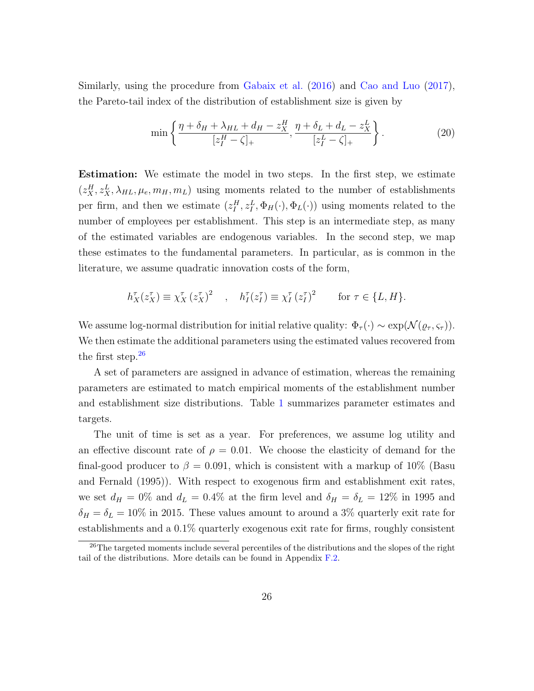Similarly, using the procedure from [Gabaix et al.](#page-37-1) [\(2016\)](#page-37-1) and [Cao and Luo](#page-37-3) [\(2017\)](#page-37-3), the Pareto-tail index of the distribution of establishment size is given by

$$
\min\left\{\frac{\eta + \delta_H + \lambda_{HL} + d_H - z_X^H}{[z_I^H - \zeta]_+}, \frac{\eta + \delta_L + d_L - z_X^L}{[z_I^L - \zeta]_+}\right\}.
$$
\n(20)

Estimation: We estimate the model in two steps. In the first step, we estimate  $(z_{X}^{H}, z_{X}^{L}, \lambda_{HL}, \mu_{e}, m_{H}, m_{L})$  using moments related to the number of establishments per firm, and then we estimate  $(z_I^H, z_I^L, \Phi_H(\cdot), \Phi_L(\cdot))$  using moments related to the number of employees per establishment. This step is an intermediate step, as many of the estimated variables are endogenous variables. In the second step, we map these estimates to the fundamental parameters. In particular, as is common in the literature, we assume quadratic innovation costs of the form,

$$
h_X^{\tau}(z_X^{\tau}) \equiv \chi_X^{\tau}(z_X^{\tau})^2 \quad , \quad h_I^{\tau}(z_I^{\tau}) \equiv \chi_I^{\tau}(z_I^{\tau})^2 \qquad \text{for } \tau \in \{L, H\}.
$$

We assume log-normal distribution for initial relative quality:  $\Phi_{\tau}(\cdot) \sim \exp(N(\varrho_{\tau}, \varsigma_{\tau}))$ . We then estimate the additional parameters using the estimated values recovered from the first step. $^{26}$  $^{26}$  $^{26}$ 

A set of parameters are assigned in advance of estimation, whereas the remaining parameters are estimated to match empirical moments of the establishment number and establishment size distributions. Table [1](#page-26-0) summarizes parameter estimates and targets.

The unit of time is set as a year. For preferences, we assume log utility and an effective discount rate of  $\rho = 0.01$ . We choose the elasticity of demand for the final-good producer to  $\beta = 0.091$ , which is consistent with a markup of 10% (Basu and Fernald (1995)). With respect to exogenous firm and establishment exit rates, we set  $d_H = 0\%$  and  $d_L = 0.4\%$  at the firm level and  $\delta_H = \delta_L = 12\%$  in 1995 and  $\delta_H = \delta_L = 10\%$  in 2015. These values amount to around a 3% quarterly exit rate for establishments and a 0.1% quarterly exogenous exit rate for firms, roughly consistent

<span id="page-25-0"></span> $^{26}$ The targeted moments include several percentiles of the distributions and the slopes of the right tail of the distributions. More details can be found in Appendix [F.2.](#page-75-0)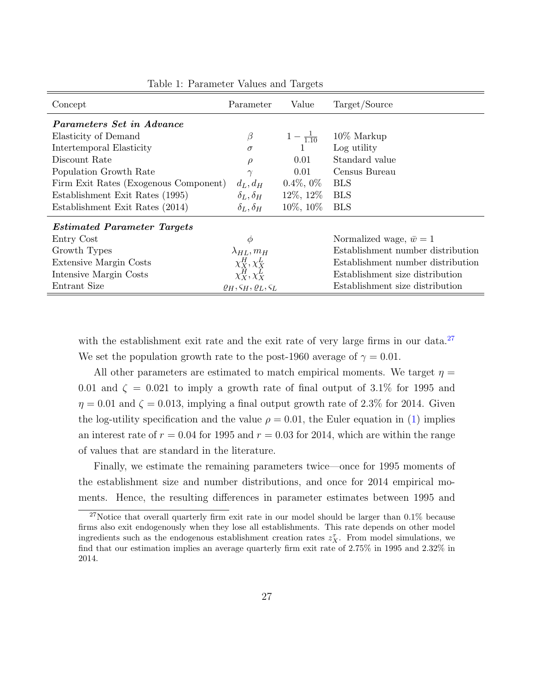<span id="page-26-0"></span>

| Concept                               | Parameter                                                 | Value              | Target/Source                     |  |  |  |
|---------------------------------------|-----------------------------------------------------------|--------------------|-----------------------------------|--|--|--|
| <i>Parameters Set in Advance</i>      |                                                           |                    |                                   |  |  |  |
| Elasticity of Demand                  | $\beta$                                                   | $1-\frac{1}{1.10}$ | $10\%$ Markup                     |  |  |  |
| Intertemporal Elasticity              | $\sigma$                                                  |                    | Log utility                       |  |  |  |
| Discount Rate                         | $\rho$                                                    | 0.01               | Standard value                    |  |  |  |
| Population Growth Rate                | $\gamma$                                                  | 0.01               | Census Bureau                     |  |  |  |
| Firm Exit Rates (Exogenous Component) | $d_L, d_H$                                                | $0.4\%, 0\%$       | <b>BLS</b>                        |  |  |  |
| Establishment Exit Rates (1995)       | $\delta_L, \delta_H$                                      | $12\%, 12\%$       | <b>BLS</b>                        |  |  |  |
| Establishment Exit Rates (2014)       | $\delta_L, \delta_H$                                      | $10\%,\,10\%$      | <b>BLS</b>                        |  |  |  |
| <b>Estimated Parameter Targets</b>    |                                                           |                    |                                   |  |  |  |
| Entry Cost                            | $\phi$                                                    |                    | Normalized wage, $\bar{w} = 1$    |  |  |  |
| Growth Types                          | $\lambda_{HL}, m_H$                                       |                    | Establishment number distribution |  |  |  |
| Extensive Margin Costs                |                                                           |                    | Establishment number distribution |  |  |  |
| Intensive Margin Costs                | $\chi^H_X, \chi^L_X$<br>$\chi^H_X, \chi^L_X$              |                    | Establishment size distribution   |  |  |  |
| Entrant Size                          | $\varrho_H$ , $\varsigma_H$ , $\varrho_L$ , $\varsigma_L$ |                    | Establishment size distribution   |  |  |  |

Table 1: Parameter Values and Targets

with the establishment exit rate and the exit rate of very large firms in our data.<sup>[27](#page-26-1)</sup> We set the population growth rate to the post-1960 average of  $\gamma = 0.01$ .

All other parameters are estimated to match empirical moments. We target  $\eta =$ 0.01 and  $\zeta = 0.021$  to imply a growth rate of final output of 3.1% for 1995 and  $\eta = 0.01$  and  $\zeta = 0.013$ , implying a final output growth rate of 2.3% for 2014. Given the log-utility specification and the value  $\rho = 0.01$ , the Euler equation in [\(1\)](#page-9-2) implies an interest rate of  $r = 0.04$  for 1995 and  $r = 0.03$  for 2014, which are within the range of values that are standard in the literature.

Finally, we estimate the remaining parameters twice—once for 1995 moments of the establishment size and number distributions, and once for 2014 empirical moments. Hence, the resulting differences in parameter estimates between 1995 and

<span id="page-26-1"></span><sup>&</sup>lt;sup>27</sup>Notice that overall quarterly firm exit rate in our model should be larger than 0.1% because firms also exit endogenously when they lose all establishments. This rate depends on other model ingredients such as the endogenous establishment creation rates  $z_X^{\tau}$ . From model simulations, we find that our estimation implies an average quarterly firm exit rate of 2.75% in 1995 and 2.32% in 2014.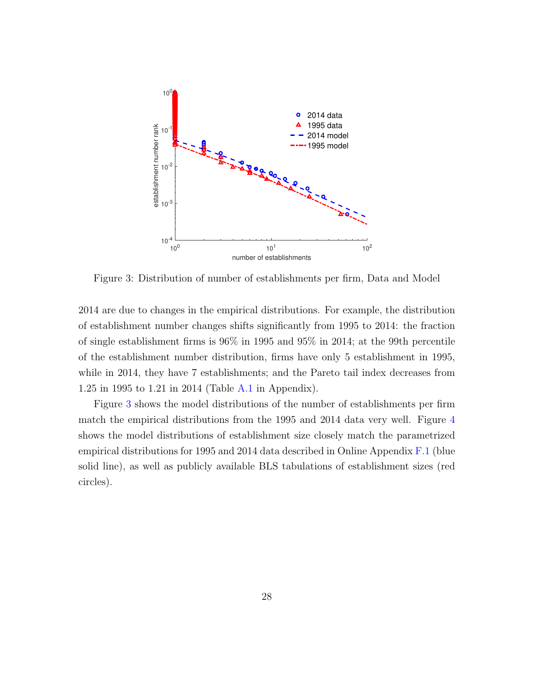<span id="page-27-0"></span>

Figure 3: Distribution of number of establishments per firm, Data and Model

2014 are due to changes in the empirical distributions. For example, the distribution of establishment number changes shifts significantly from 1995 to 2014: the fraction of single establishment firms is 96% in 1995 and 95% in 2014; at the 99th percentile of the establishment number distribution, firms have only 5 establishment in 1995, while in 2014, they have 7 establishments; and the Pareto tail index decreases from 1.25 in 1995 to 1.21 in 2014 (Table [A.1](#page-44-0) in Appendix).

Figure [3](#page-27-0) shows the model distributions of the number of establishments per firm match the empirical distributions from the 1995 and 2014 data very well. Figure [4](#page-28-0) shows the model distributions of establishment size closely match the parametrized empirical distributions for 1995 and 2014 data described in Online Appendix [F.1](#page-73-0) (blue solid line), as well as publicly available BLS tabulations of establishment sizes (red circles).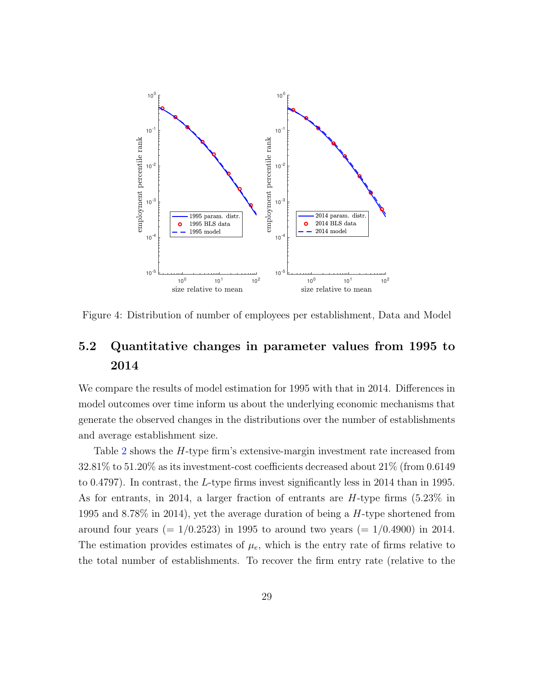<span id="page-28-0"></span>

Figure 4: Distribution of number of employees per establishment, Data and Model

## <span id="page-28-1"></span>5.2 Quantitative changes in parameter values from 1995 to 2014

We compare the results of model estimation for 1995 with that in 2014. Differences in model outcomes over time inform us about the underlying economic mechanisms that generate the observed changes in the distributions over the number of establishments and average establishment size.

Table [2](#page-29-0) shows the H-type firm's extensive-margin investment rate increased from 32.81% to 51.20% as its investment-cost coefficients decreased about 21% (from 0.6149 to 0.4797). In contrast, the L-type firms invest significantly less in 2014 than in 1995. As for entrants, in 2014, a larger fraction of entrants are H-type firms (5.23% in 1995 and 8.78% in 2014), yet the average duration of being a H-type shortened from around four years (=  $1/0.2523$ ) in 1995 to around two years (=  $1/0.4900$ ) in 2014. The estimation provides estimates of  $\mu_e$ , which is the entry rate of firms relative to the total number of establishments. To recover the firm entry rate (relative to the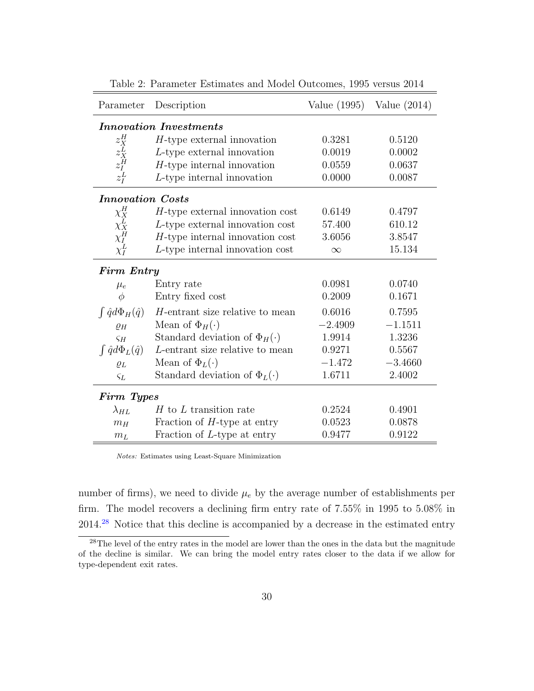<span id="page-29-0"></span>

| Parameter                                              | Description                           | Value $(1995)$ | Value $(2014)$ |  |  |  |
|--------------------------------------------------------|---------------------------------------|----------------|----------------|--|--|--|
| <b>Innovation Investments</b>                          |                                       |                |                |  |  |  |
| $\begin{array}{c} z^H_X \\ z^L_X \\ z^H_I \end{array}$ | $H$ -type external innovation         | 0.3281         | 0.5120         |  |  |  |
|                                                        | $L$ -type external innovation         | 0.0019         | 0.0002         |  |  |  |
|                                                        | $H$ -type internal innovation         | 0.0559         | 0.0637         |  |  |  |
| $z_I^L$                                                | $L$ -type internal innovation         | 0.0000         | 0.0087         |  |  |  |
| <b>Innovation</b> Costs                                |                                       |                |                |  |  |  |
| $\chi_X^H$                                             | $H$ -type external innovation cost    | 0.6149         | 0.4797         |  |  |  |
| $\chi^L_X$<br>$\chi^L_I$                               | $L$ -type external innovation cost    | 57.400         | 610.12         |  |  |  |
|                                                        | $H$ -type internal innovation cost    | 3.6056         | 3.8547         |  |  |  |
| $\chi_I^L$                                             | $L$ -type internal innovation cost    | $\infty$       | 15.134         |  |  |  |
| <b>Firm Entry</b>                                      |                                       |                |                |  |  |  |
| $\mu_e$                                                | Entry rate                            | 0.0981         | 0.0740         |  |  |  |
| $\phi$                                                 | Entry fixed cost                      | 0.2009         | 0.1671         |  |  |  |
| $\int \hat{q} d\Phi_H(\hat{q})$                        | H-entrant size relative to mean       | 0.6016         | 0.7595         |  |  |  |
| $\rho_H$                                               | Mean of $\Phi_H(\cdot)$               | $-2.4909$      | $-1.1511$      |  |  |  |
| $\varsigma_H$                                          | Standard deviation of $\Phi_H(\cdot)$ | 1.9914         | 1.3236         |  |  |  |
| $\int \hat{q} d\Phi_L(\hat{q})$                        | L-entrant size relative to mean       | 0.9271         | 0.5567         |  |  |  |
| $\varrho_L$                                            | Mean of $\Phi_L(\cdot)$               | $-1.472$       | $-3.4660$      |  |  |  |
| $\varsigma_L$                                          | Standard deviation of $\Phi_L(\cdot)$ | 1.6711         | 2.4002         |  |  |  |
| Firm Types                                             |                                       |                |                |  |  |  |
| $\lambda_{HL}$                                         | $H$ to $L$ transition rate            | 0.2524         | 0.4901         |  |  |  |
| $m_H$                                                  | Fraction of $H$ -type at entry        | 0.0523         | 0.0878         |  |  |  |
| m <sub>L</sub>                                         | Fraction of L-type at entry           | 0.9477         | 0.9122         |  |  |  |

Table 2: Parameter Estimates and Model Outcomes, 1995 versus 2014

Notes: Estimates using Least-Square Minimization

number of firms), we need to divide  $\mu_e$  by the average number of establishments per firm. The model recovers a declining firm entry rate of 7.55% in 1995 to 5.08% in 2014.[28](#page-29-1) Notice that this decline is accompanied by a decrease in the estimated entry

<span id="page-29-1"></span><sup>&</sup>lt;sup>28</sup>The level of the entry rates in the model are lower than the ones in the data but the magnitude of the decline is similar. We can bring the model entry rates closer to the data if we allow for type-dependent exit rates.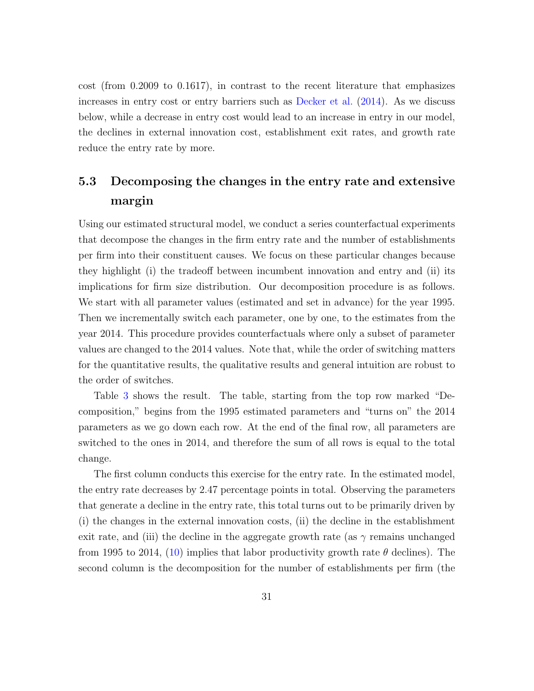cost (from 0.2009 to 0.1617), in contrast to the recent literature that emphasizes increases in entry cost or entry barriers such as [Decker et al.](#page-37-9) [\(2014\)](#page-37-9). As we discuss below, while a decrease in entry cost would lead to an increase in entry in our model, the declines in external innovation cost, establishment exit rates, and growth rate reduce the entry rate by more.

## 5.3 Decomposing the changes in the entry rate and extensive margin

Using our estimated structural model, we conduct a series counterfactual experiments that decompose the changes in the firm entry rate and the number of establishments per firm into their constituent causes. We focus on these particular changes because they highlight (i) the tradeoff between incumbent innovation and entry and (ii) its implications for firm size distribution. Our decomposition procedure is as follows. We start with all parameter values (estimated and set in advance) for the year 1995. Then we incrementally switch each parameter, one by one, to the estimates from the year 2014. This procedure provides counterfactuals where only a subset of parameter values are changed to the 2014 values. Note that, while the order of switching matters for the quantitative results, the qualitative results and general intuition are robust to the order of switches.

Table [3](#page-31-0) shows the result. The table, starting from the top row marked "Decomposition," begins from the 1995 estimated parameters and "turns on" the 2014 parameters as we go down each row. At the end of the final row, all parameters are switched to the ones in 2014, and therefore the sum of all rows is equal to the total change.

The first column conducts this exercise for the entry rate. In the estimated model, the entry rate decreases by 2.47 percentage points in total. Observing the parameters that generate a decline in the entry rate, this total turns out to be primarily driven by (i) the changes in the external innovation costs, (ii) the decline in the establishment exit rate, and (iii) the decline in the aggregate growth rate (as  $\gamma$  remains unchanged from 1995 to 2014, [\(10\)](#page-17-2) implies that labor productivity growth rate  $\theta$  declines). The second column is the decomposition for the number of establishments per firm (the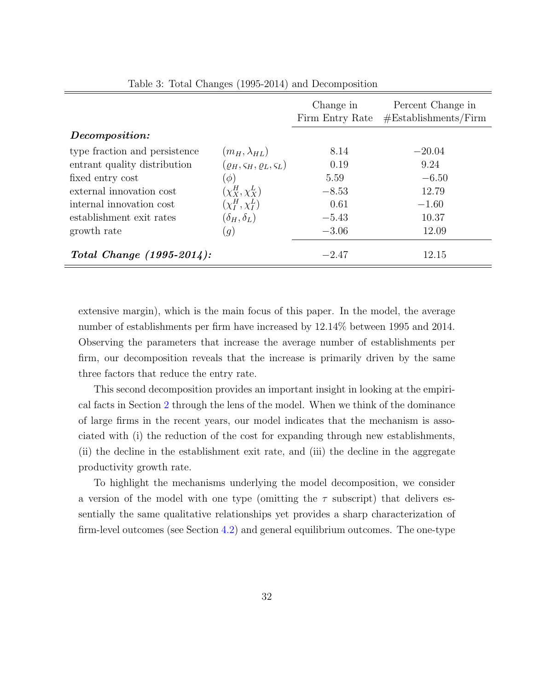<span id="page-31-0"></span>

|                               |                                                    | Change in<br>Firm Entry Rate | Percent Change in<br>$# \text{Estabilisments}/ \text{Firm}$ |
|-------------------------------|----------------------------------------------------|------------------------------|-------------------------------------------------------------|
| Decomposition:                |                                                    |                              |                                                             |
| type fraction and persistence | $(m_H, \lambda_{HL})$                              | 8.14                         | $-20.04$                                                    |
| entrant quality distribution  | $(\varrho_H, \varsigma_H, \varrho_L, \varsigma_L)$ | 0.19                         | 9.24                                                        |
| fixed entry cost              | $\phi$                                             | 5.59                         | $-6.50$                                                     |
| external innovation cost      | $(\chi_X^H, \chi_X^L)$                             | $-8.53$                      | 12.79                                                       |
| internal innovation cost      | $(\chi_I^H, \chi_I^L)$                             | 0.61                         | $-1.60$                                                     |
| establishment exit rates      | $(\delta_H, \delta_L)$                             | $-5.43$                      | 10.37                                                       |
| growth rate                   | (g)                                                | $-3.06$                      | 12.09                                                       |
| Total Change (1995-2014):     |                                                    | $-2.47$                      | 12.15                                                       |

Table 3: Total Changes (1995-2014) and Decomposition

extensive margin), which is the main focus of this paper. In the model, the average number of establishments per firm have increased by 12.14% between 1995 and 2014. Observing the parameters that increase the average number of establishments per firm, our decomposition reveals that the increase is primarily driven by the same three factors that reduce the entry rate.

This second decomposition provides an important insight in looking at the empirical facts in Section [2](#page-3-1) through the lens of the model. When we think of the dominance of large firms in the recent years, our model indicates that the mechanism is associated with (i) the reduction of the cost for expanding through new establishments, (ii) the decline in the establishment exit rate, and (iii) the decline in the aggregate productivity growth rate.

To highlight the mechanisms underlying the model decomposition, we consider a version of the model with one type (omitting the  $\tau$  subscript) that delivers essentially the same qualitative relationships yet provides a sharp characterization of firm-level outcomes (see Section [4.2\)](#page-20-1) and general equilibrium outcomes. The one-type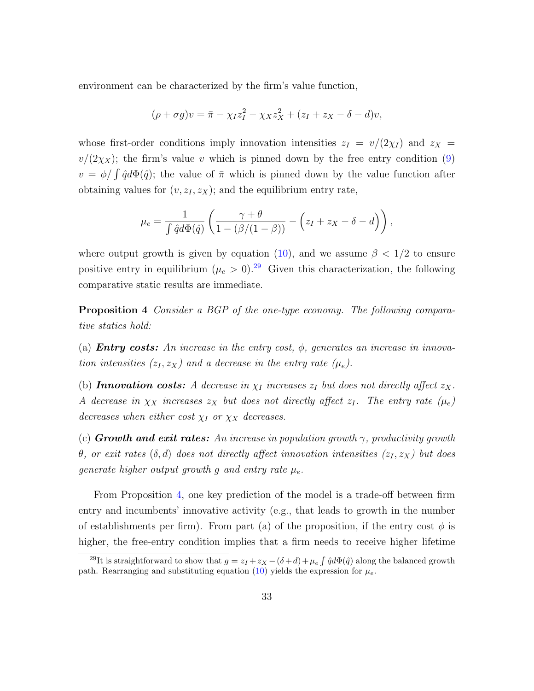environment can be characterized by the firm's value function,

$$
(\rho + \sigma g)v = \overline{\pi} - \chi_I z_I^2 - \chi_X z_X^2 + (z_I + z_X - \delta - d)v,
$$

whose first-order conditions imply innovation intensities  $z_I = v/(2\chi_I)$  and  $z_X =$  $v/(2\chi_X)$ ; the firm's value v which is pinned down by the free entry condition [\(9\)](#page-16-3)  $v = \phi / \int \hat{q} d\Phi(\hat{q})$ ; the value of  $\bar{\pi}$  which is pinned down by the value function after obtaining values for  $(v, z_I, z_X)$ ; and the equilibrium entry rate,

$$
\mu_e = \frac{1}{\int \hat{q}d\Phi(\hat{q})} \left( \frac{\gamma + \theta}{1 - (\beta/(1 - \beta))} - \left( z_I + z_X - \delta - d \right) \right),
$$

where output growth is given by equation [\(10\)](#page-17-2), and we assume  $\beta < 1/2$  to ensure positive entry in equilibrium  $(\mu_e > 0)^{29}$  $(\mu_e > 0)^{29}$  $(\mu_e > 0)^{29}$  Given this characterization, the following comparative static results are immediate.

<span id="page-32-1"></span>Proposition 4 Consider a BGP of the one-type economy. The following comparative statics hold:

(a) **Entry costs:** An increase in the entry cost,  $\phi$ , generates an increase in innovation intensities  $(z_I, z_X)$  and a decrease in the entry rate  $(\mu_e)$ .

(b) **Innovation costs:** A decrease in  $\chi_I$  increases  $z_I$  but does not directly affect  $z_X$ . A decrease in  $\chi_X$  increases  $z_X$  but does not directly affect  $z_I$ . The entry rate  $(\mu_e)$ decreases when either cost  $\chi_I$  or  $\chi_X$  decreases.

(c) Growth and exit rates: An increase in population growth  $\gamma$ , productivity growth θ, or exit rates (δ, d) does not directly affect innovation intensities  $(z_I, z_X)$  but does generate higher output growth g and entry rate  $\mu_e$ .

From Proposition [4,](#page-32-1) one key prediction of the model is a trade-off between firm entry and incumbents' innovative activity (e.g., that leads to growth in the number of establishments per firm). From part (a) of the proposition, if the entry cost  $\phi$  is higher, the free-entry condition implies that a firm needs to receive higher lifetime

<span id="page-32-0"></span><sup>&</sup>lt;sup>29</sup>It is straightforward to show that  $g = z_I + z_X - (\delta + d) + \mu_e \int \hat{q} d\Phi(\hat{q})$  along the balanced growth path. Rearranging and substituting equation [\(10\)](#page-17-2) yields the expression for  $\mu_e$ .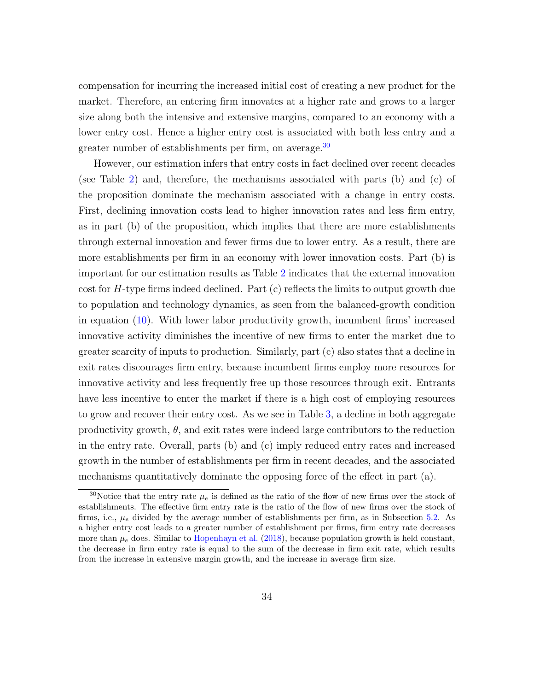compensation for incurring the increased initial cost of creating a new product for the market. Therefore, an entering firm innovates at a higher rate and grows to a larger size along both the intensive and extensive margins, compared to an economy with a lower entry cost. Hence a higher entry cost is associated with both less entry and a greater number of establishments per firm, on average.[30](#page-33-0)

However, our estimation infers that entry costs in fact declined over recent decades (see Table [2\)](#page-29-0) and, therefore, the mechanisms associated with parts (b) and (c) of the proposition dominate the mechanism associated with a change in entry costs. First, declining innovation costs lead to higher innovation rates and less firm entry, as in part (b) of the proposition, which implies that there are more establishments through external innovation and fewer firms due to lower entry. As a result, there are more establishments per firm in an economy with lower innovation costs. Part (b) is important for our estimation results as Table [2](#page-29-0) indicates that the external innovation cost for  $H$ -type firms indeed declined. Part  $(c)$  reflects the limits to output growth due to population and technology dynamics, as seen from the balanced-growth condition in equation [\(10\)](#page-17-2). With lower labor productivity growth, incumbent firms' increased innovative activity diminishes the incentive of new firms to enter the market due to greater scarcity of inputs to production. Similarly, part (c) also states that a decline in exit rates discourages firm entry, because incumbent firms employ more resources for innovative activity and less frequently free up those resources through exit. Entrants have less incentive to enter the market if there is a high cost of employing resources to grow and recover their entry cost. As we see in Table [3,](#page-31-0) a decline in both aggregate productivity growth,  $\theta$ , and exit rates were indeed large contributors to the reduction in the entry rate. Overall, parts (b) and (c) imply reduced entry rates and increased growth in the number of establishments per firm in recent decades, and the associated mechanisms quantitatively dominate the opposing force of the effect in part (a).

<span id="page-33-0"></span><sup>&</sup>lt;sup>30</sup>Notice that the entry rate  $\mu_e$  is defined as the ratio of the flow of new firms over the stock of establishments. The effective firm entry rate is the ratio of the flow of new firms over the stock of firms, i.e.,  $\mu_e$  divided by the average number of establishments per firm, as in Subsection [5.2.](#page-28-1) As a higher entry cost leads to a greater number of establishment per firms, firm entry rate decreases more than  $\mu_e$  does. Similar to [Hopenhayn et al.](#page-38-11) [\(2018\)](#page-38-11), because population growth is held constant, the decrease in firm entry rate is equal to the sum of the decrease in firm exit rate, which results from the increase in extensive margin growth, and the increase in average firm size.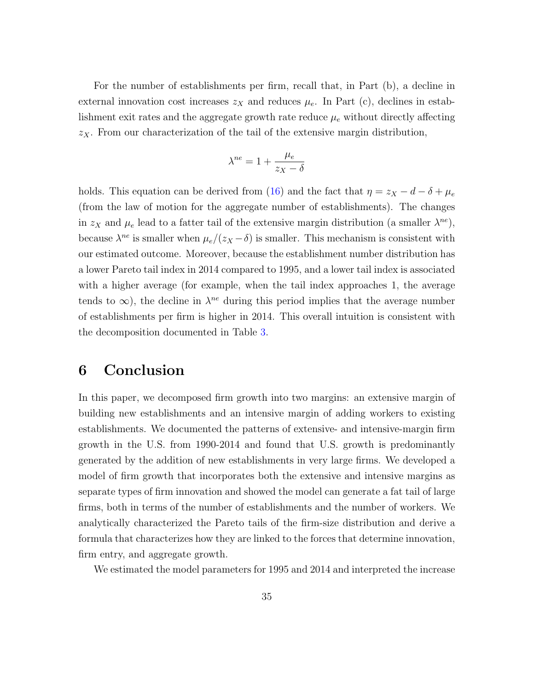For the number of establishments per firm, recall that, in Part (b), a decline in external innovation cost increases  $z<sub>X</sub>$  and reduces  $\mu_e$ . In Part (c), declines in establishment exit rates and the aggregate growth rate reduce  $\mu_e$  without directly affecting  $z<sub>X</sub>$ . From our characterization of the tail of the extensive margin distribution,

$$
\lambda^{ne} = 1 + \frac{\mu_e}{z_X - \delta}
$$

holds. This equation can be derived from [\(16\)](#page-21-2) and the fact that  $\eta = z_X - d - \delta + \mu_e$ (from the law of motion for the aggregate number of establishments). The changes in  $z_X$  and  $\mu_e$  lead to a fatter tail of the extensive margin distribution (a smaller  $\lambda^{ne}$ ), because  $\lambda^{ne}$  is smaller when  $\mu_e/(z_X - \delta)$  is smaller. This mechanism is consistent with our estimated outcome. Moreover, because the establishment number distribution has a lower Pareto tail index in 2014 compared to 1995, and a lower tail index is associated with a higher average (for example, when the tail index approaches 1, the average tends to  $\infty$ ), the decline in  $\lambda^{ne}$  during this period implies that the average number of establishments per firm is higher in 2014. This overall intuition is consistent with the decomposition documented in Table [3.](#page-31-0)

### <span id="page-34-0"></span>6 Conclusion

In this paper, we decomposed firm growth into two margins: an extensive margin of building new establishments and an intensive margin of adding workers to existing establishments. We documented the patterns of extensive- and intensive-margin firm growth in the U.S. from 1990-2014 and found that U.S. growth is predominantly generated by the addition of new establishments in very large firms. We developed a model of firm growth that incorporates both the extensive and intensive margins as separate types of firm innovation and showed the model can generate a fat tail of large firms, both in terms of the number of establishments and the number of workers. We analytically characterized the Pareto tails of the firm-size distribution and derive a formula that characterizes how they are linked to the forces that determine innovation, firm entry, and aggregate growth.

We estimated the model parameters for 1995 and 2014 and interpreted the increase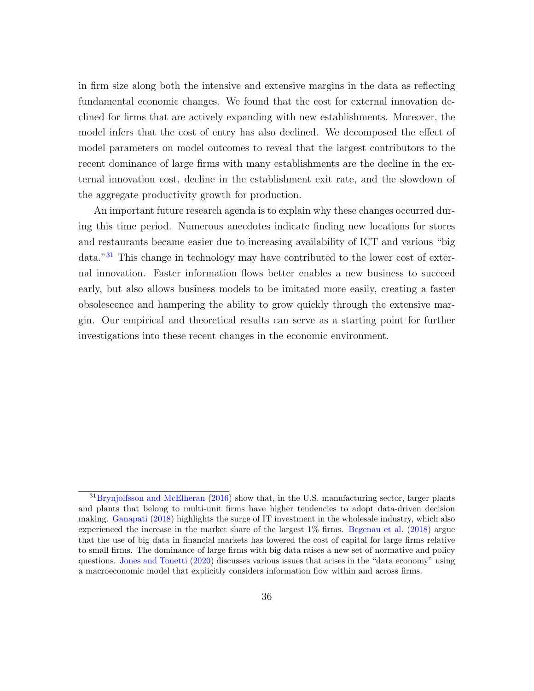in firm size along both the intensive and extensive margins in the data as reflecting fundamental economic changes. We found that the cost for external innovation declined for firms that are actively expanding with new establishments. Moreover, the model infers that the cost of entry has also declined. We decomposed the effect of model parameters on model outcomes to reveal that the largest contributors to the recent dominance of large firms with many establishments are the decline in the external innovation cost, decline in the establishment exit rate, and the slowdown of the aggregate productivity growth for production.

An important future research agenda is to explain why these changes occurred during this time period. Numerous anecdotes indicate finding new locations for stores and restaurants became easier due to increasing availability of ICT and various "big data."[31](#page-35-0) This change in technology may have contributed to the lower cost of external innovation. Faster information flows better enables a new business to succeed early, but also allows business models to be imitated more easily, creating a faster obsolescence and hampering the ability to grow quickly through the extensive margin. Our empirical and theoretical results can serve as a starting point for further investigations into these recent changes in the economic environment.

<span id="page-35-0"></span><sup>&</sup>lt;sup>31</sup>[Brynjolfsson and McElheran](#page-36-10) [\(2016\)](#page-36-10) show that, in the U.S. manufacturing sector, larger plants and plants that belong to multi-unit firms have higher tendencies to adopt data-driven decision making. [Ganapati](#page-37-10) [\(2018\)](#page-37-10) highlights the surge of IT investment in the wholesale industry, which also experienced the increase in the market share of the largest 1% firms. [Begenau et al.](#page-36-11) [\(2018\)](#page-36-11) argue that the use of big data in financial markets has lowered the cost of capital for large firms relative to small firms. The dominance of large firms with big data raises a new set of normative and policy questions. [Jones and Tonetti](#page-39-11) [\(2020\)](#page-39-11) discusses various issues that arises in the "data economy" using a macroeconomic model that explicitly considers information flow within and across firms.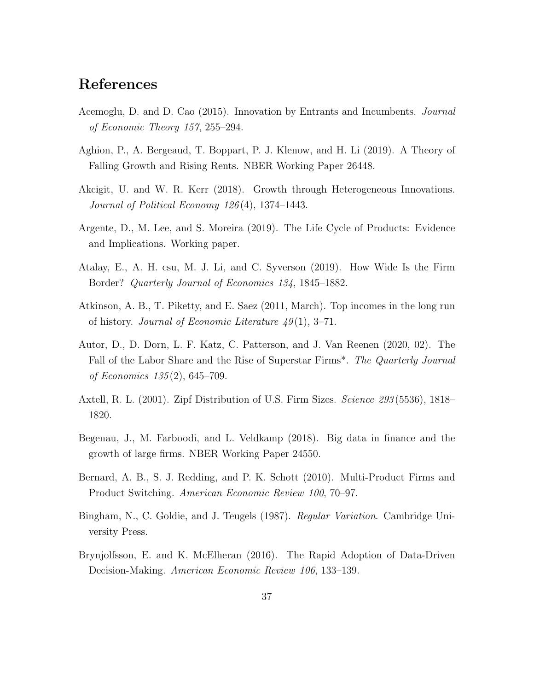### References

- Acemoglu, D. and D. Cao (2015). Innovation by Entrants and Incumbents. Journal of Economic Theory 157, 255–294.
- Aghion, P., A. Bergeaud, T. Boppart, P. J. Klenow, and H. Li (2019). A Theory of Falling Growth and Rising Rents. NBER Working Paper 26448.
- Akcigit, U. and W. R. Kerr (2018). Growth through Heterogeneous Innovations. Journal of Political Economy 126 (4), 1374–1443.
- Argente, D., M. Lee, and S. Moreira (2019). The Life Cycle of Products: Evidence and Implications. Working paper.
- Atalay, E., A. H. csu, M. J. Li, and C. Syverson (2019). How Wide Is the Firm Border? Quarterly Journal of Economics 134, 1845–1882.
- Atkinson, A. B., T. Piketty, and E. Saez (2011, March). Top incomes in the long run of history. Journal of Economic Literature  $49(1)$ , 3–71.
- Autor, D., D. Dorn, L. F. Katz, C. Patterson, and J. Van Reenen (2020, 02). The Fall of the Labor Share and the Rise of Superstar Firms\*. The Quarterly Journal of Economics 135 (2), 645–709.
- Axtell, R. L. (2001). Zipf Distribution of U.S. Firm Sizes. Science 293(5536), 1818– 1820.
- Begenau, J., M. Farboodi, and L. Veldkamp (2018). Big data in finance and the growth of large firms. NBER Working Paper 24550.
- Bernard, A. B., S. J. Redding, and P. K. Schott (2010). Multi-Product Firms and Product Switching. American Economic Review 100, 70–97.
- <span id="page-36-0"></span>Bingham, N., C. Goldie, and J. Teugels (1987). Regular Variation. Cambridge University Press.
- Brynjolfsson, E. and K. McElheran (2016). The Rapid Adoption of Data-Driven Decision-Making. American Economic Review 106, 133–139.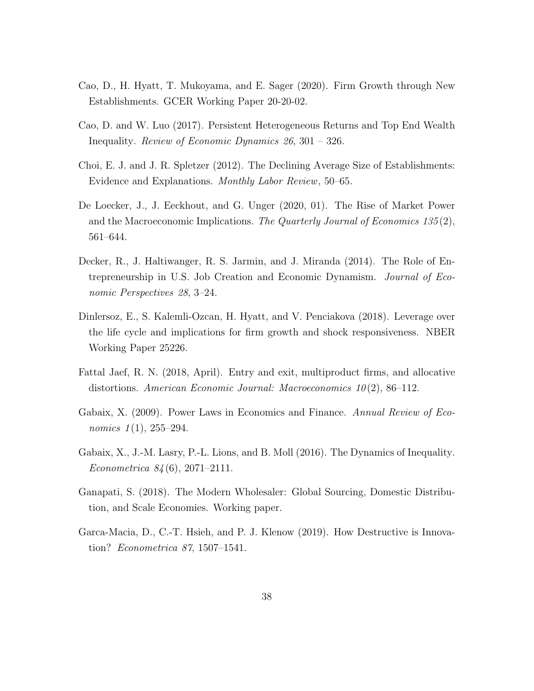- Cao, D., H. Hyatt, T. Mukoyama, and E. Sager (2020). Firm Growth through New Establishments. GCER Working Paper 20-20-02.
- <span id="page-37-0"></span>Cao, D. and W. Luo (2017). Persistent Heterogeneous Returns and Top End Wealth Inequality. Review of Economic Dynamics 26, 301 – 326.
- Choi, E. J. and J. R. Spletzer (2012). The Declining Average Size of Establishments: Evidence and Explanations. Monthly Labor Review, 50–65.
- De Loecker, J., J. Eeckhout, and G. Unger (2020, 01). The Rise of Market Power and the Macroeconomic Implications. The Quarterly Journal of Economics 135(2), 561–644.
- Decker, R., J. Haltiwanger, R. S. Jarmin, and J. Miranda (2014). The Role of Entrepreneurship in U.S. Job Creation and Economic Dynamism. Journal of Economic Perspectives 28, 3–24.
- Dinlersoz, E., S. Kalemli-Ozcan, H. Hyatt, and V. Penciakova (2018). Leverage over the life cycle and implications for firm growth and shock responsiveness. NBER Working Paper 25226.
- Fattal Jaef, R. N. (2018, April). Entry and exit, multiproduct firms, and allocative distortions. American Economic Journal: Macroeconomics  $10(2)$ , 86–112.
- Gabaix, X. (2009). Power Laws in Economics and Finance. Annual Review of Economics  $1(1)$ ,  $255-294$ .
- Gabaix, X., J.-M. Lasry, P.-L. Lions, and B. Moll (2016). The Dynamics of Inequality. Econometrica 84 (6), 2071–2111.
- Ganapati, S. (2018). The Modern Wholesaler: Global Sourcing, Domestic Distribution, and Scale Economies. Working paper.
- Garca-Macia, D., C.-T. Hsieh, and P. J. Klenow (2019). How Destructive is Innovation? Econometrica 87, 1507–1541.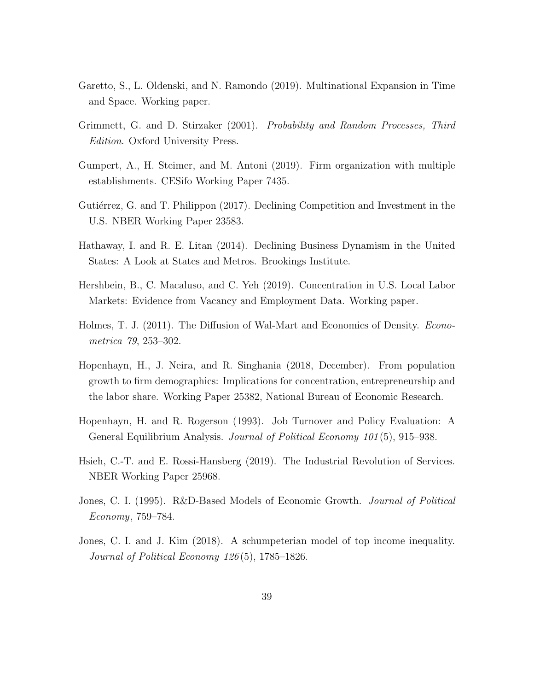- Garetto, S., L. Oldenski, and N. Ramondo (2019). Multinational Expansion in Time and Space. Working paper.
- Grimmett, G. and D. Stirzaker (2001). Probability and Random Processes, Third Edition. Oxford University Press.
- Gumpert, A., H. Steimer, and M. Antoni (2019). Firm organization with multiple establishments. CESifo Working Paper 7435.
- Gutiérrez, G. and T. Philippon (2017). Declining Competition and Investment in the U.S. NBER Working Paper 23583.
- Hathaway, I. and R. E. Litan (2014). Declining Business Dynamism in the United States: A Look at States and Metros. Brookings Institute.
- Hershbein, B., C. Macaluso, and C. Yeh (2019). Concentration in U.S. Local Labor Markets: Evidence from Vacancy and Employment Data. Working paper.
- Holmes, T. J. (2011). The Diffusion of Wal-Mart and Economics of Density. Econometrica 79, 253–302.
- Hopenhayn, H., J. Neira, and R. Singhania (2018, December). From population growth to firm demographics: Implications for concentration, entrepreneurship and the labor share. Working Paper 25382, National Bureau of Economic Research.
- Hopenhayn, H. and R. Rogerson (1993). Job Turnover and Policy Evaluation: A General Equilibrium Analysis. *Journal of Political Economy 101* (5), 915–938.
- Hsieh, C.-T. and E. Rossi-Hansberg (2019). The Industrial Revolution of Services. NBER Working Paper 25968.
- Jones, C. I. (1995). R&D-Based Models of Economic Growth. Journal of Political Economy, 759–784.
- Jones, C. I. and J. Kim (2018). A schumpeterian model of top income inequality. Journal of Political Economy 126 (5), 1785–1826.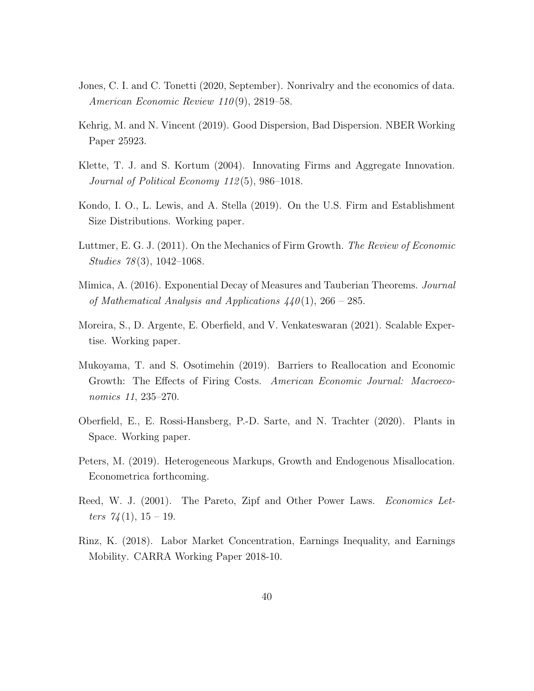- Jones, C. I. and C. Tonetti (2020, September). Nonrivalry and the economics of data. American Economic Review  $110(9)$ , 2819–58.
- Kehrig, M. and N. Vincent (2019). Good Dispersion, Bad Dispersion. NBER Working Paper 25923.
- Klette, T. J. and S. Kortum (2004). Innovating Firms and Aggregate Innovation. Journal of Political Economy 112 (5), 986–1018.
- Kondo, I. O., L. Lewis, and A. Stella (2019). On the U.S. Firm and Establishment Size Distributions. Working paper.
- <span id="page-39-0"></span>Luttmer, E. G. J. (2011). On the Mechanics of Firm Growth. The Review of Economic Studies 78 (3), 1042–1068.
- <span id="page-39-1"></span>Mimica, A. (2016). Exponential Decay of Measures and Tauberian Theorems. Journal of Mathematical Analysis and Applications  $440(1)$ , 266 – 285.
- Moreira, S., D. Argente, E. Oberfield, and V. Venkateswaran (2021). Scalable Expertise. Working paper.
- Mukoyama, T. and S. Osotimehin (2019). Barriers to Reallocation and Economic Growth: The Effects of Firing Costs. American Economic Journal: Macroeconomics 11, 235–270.
- Oberfield, E., E. Rossi-Hansberg, P.-D. Sarte, and N. Trachter (2020). Plants in Space. Working paper.
- Peters, M. (2019). Heterogeneous Markups, Growth and Endogenous Misallocation. Econometrica forthcoming.
- Reed, W. J. (2001). The Pareto, Zipf and Other Power Laws. *Economics Let*ters  $74(1), 15-19.$
- Rinz, K. (2018). Labor Market Concentration, Earnings Inequality, and Earnings Mobility. CARRA Working Paper 2018-10.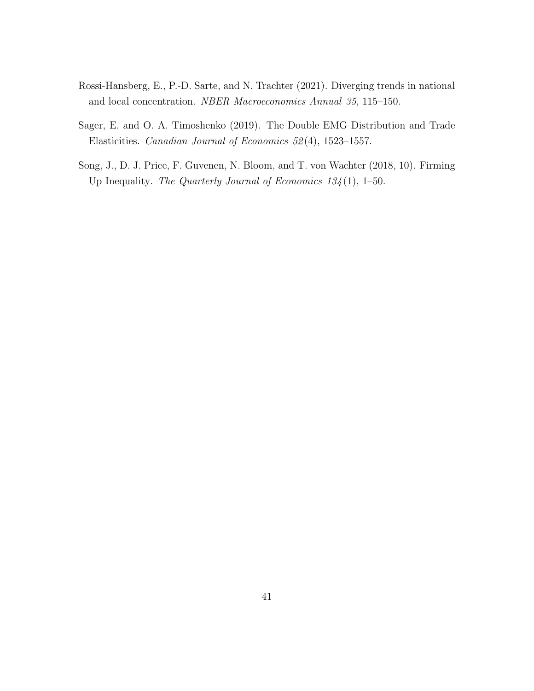- Rossi-Hansberg, E., P.-D. Sarte, and N. Trachter (2021). Diverging trends in national and local concentration. NBER Macroeconomics Annual 35, 115–150.
- Sager, E. and O. A. Timoshenko (2019). The Double EMG Distribution and Trade Elasticities. Canadian Journal of Economics 52 (4), 1523–1557.
- Song, J., D. J. Price, F. Guvenen, N. Bloom, and T. von Wachter (2018, 10). Firming Up Inequality. The Quarterly Journal of Economics  $134(1)$ , 1–50.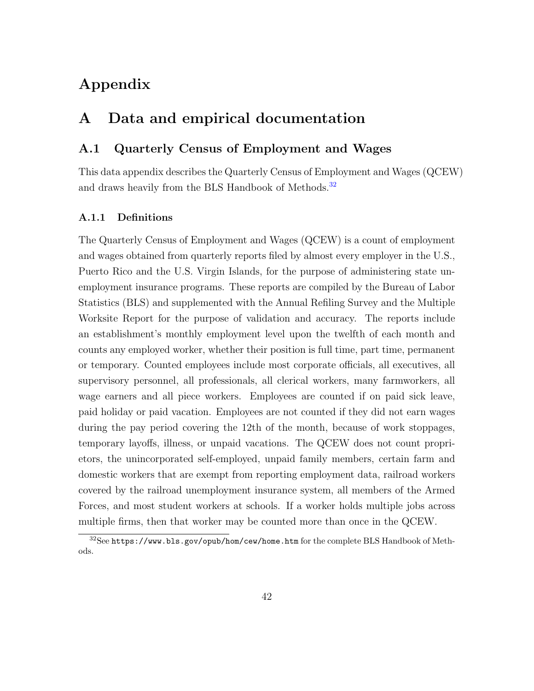# <span id="page-41-2"></span>Appendix

### <span id="page-41-1"></span>A Data and empirical documentation

### A.1 Quarterly Census of Employment and Wages

This data appendix describes the Quarterly Census of Employment and Wages (QCEW) and draws heavily from the BLS Handbook of Methods.<sup>[32](#page-41-0)</sup>

#### A.1.1 Definitions

The Quarterly Census of Employment and Wages (QCEW) is a count of employment and wages obtained from quarterly reports filed by almost every employer in the U.S., Puerto Rico and the U.S. Virgin Islands, for the purpose of administering state unemployment insurance programs. These reports are compiled by the Bureau of Labor Statistics (BLS) and supplemented with the Annual Refiling Survey and the Multiple Worksite Report for the purpose of validation and accuracy. The reports include an establishment's monthly employment level upon the twelfth of each month and counts any employed worker, whether their position is full time, part time, permanent or temporary. Counted employees include most corporate officials, all executives, all supervisory personnel, all professionals, all clerical workers, many farmworkers, all wage earners and all piece workers. Employees are counted if on paid sick leave, paid holiday or paid vacation. Employees are not counted if they did not earn wages during the pay period covering the 12th of the month, because of work stoppages, temporary layoffs, illness, or unpaid vacations. The QCEW does not count proprietors, the unincorporated self-employed, unpaid family members, certain farm and domestic workers that are exempt from reporting employment data, railroad workers covered by the railroad unemployment insurance system, all members of the Armed Forces, and most student workers at schools. If a worker holds multiple jobs across multiple firms, then that worker may be counted more than once in the QCEW.

<span id="page-41-0"></span><sup>32</sup>See https://www.bls.gov/opub/hom/cew/home.htm for the complete BLS Handbook of Methods.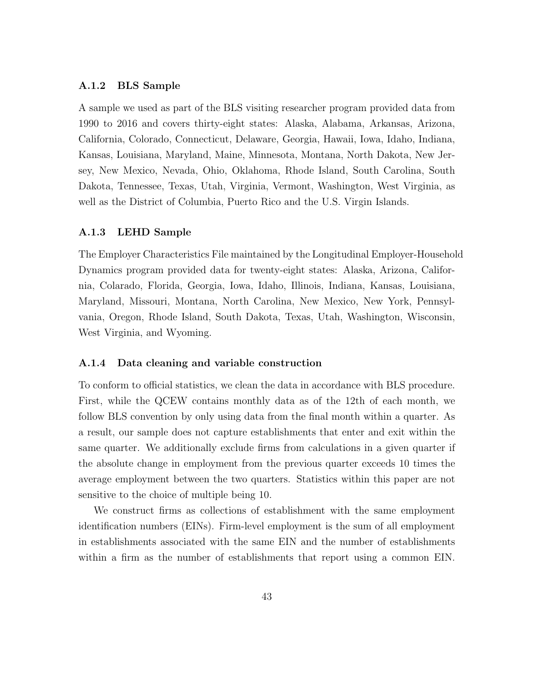#### A.1.2 BLS Sample

A sample we used as part of the BLS visiting researcher program provided data from 1990 to 2016 and covers thirty-eight states: Alaska, Alabama, Arkansas, Arizona, California, Colorado, Connecticut, Delaware, Georgia, Hawaii, Iowa, Idaho, Indiana, Kansas, Louisiana, Maryland, Maine, Minnesota, Montana, North Dakota, New Jersey, New Mexico, Nevada, Ohio, Oklahoma, Rhode Island, South Carolina, South Dakota, Tennessee, Texas, Utah, Virginia, Vermont, Washington, West Virginia, as well as the District of Columbia, Puerto Rico and the U.S. Virgin Islands.

#### A.1.3 LEHD Sample

The Employer Characteristics File maintained by the Longitudinal Employer-Household Dynamics program provided data for twenty-eight states: Alaska, Arizona, California, Colarado, Florida, Georgia, Iowa, Idaho, Illinois, Indiana, Kansas, Louisiana, Maryland, Missouri, Montana, North Carolina, New Mexico, New York, Pennsylvania, Oregon, Rhode Island, South Dakota, Texas, Utah, Washington, Wisconsin, West Virginia, and Wyoming.

#### A.1.4 Data cleaning and variable construction

To conform to official statistics, we clean the data in accordance with BLS procedure. First, while the QCEW contains monthly data as of the 12th of each month, we follow BLS convention by only using data from the final month within a quarter. As a result, our sample does not capture establishments that enter and exit within the same quarter. We additionally exclude firms from calculations in a given quarter if the absolute change in employment from the previous quarter exceeds 10 times the average employment between the two quarters. Statistics within this paper are not sensitive to the choice of multiple being 10.

We construct firms as collections of establishment with the same employment identification numbers (EINs). Firm-level employment is the sum of all employment in establishments associated with the same EIN and the number of establishments within a firm as the number of establishments that report using a common EIN.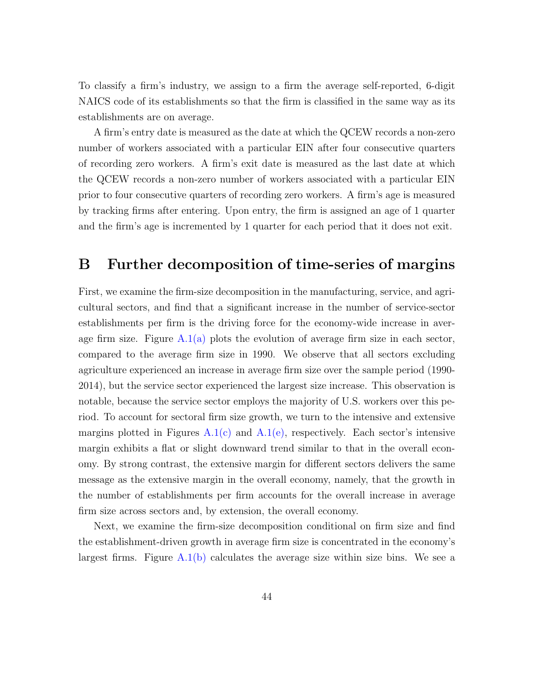To classify a firm's industry, we assign to a firm the average self-reported, 6-digit NAICS code of its establishments so that the firm is classified in the same way as its establishments are on average.

A firm's entry date is measured as the date at which the QCEW records a non-zero number of workers associated with a particular EIN after four consecutive quarters of recording zero workers. A firm's exit date is measured as the last date at which the QCEW records a non-zero number of workers associated with a particular EIN prior to four consecutive quarters of recording zero workers. A firm's age is measured by tracking firms after entering. Upon entry, the firm is assigned an age of 1 quarter and the firm's age is incremented by 1 quarter for each period that it does not exit.

### B Further decomposition of time-series of margins

First, we examine the firm-size decomposition in the manufacturing, service, and agricultural sectors, and find that a significant increase in the number of service-sector establishments per firm is the driving force for the economy-wide increase in average firm size. Figure  $A.1(a)$  plots the evolution of average firm size in each sector, compared to the average firm size in 1990. We observe that all sectors excluding agriculture experienced an increase in average firm size over the sample period (1990- 2014), but the service sector experienced the largest size increase. This observation is notable, because the service sector employs the majority of U.S. workers over this period. To account for sectoral firm size growth, we turn to the intensive and extensive margins plotted in Figures  $A.1(c)$  and  $A.1(e)$ , respectively. Each sector's intensive margin exhibits a flat or slight downward trend similar to that in the overall economy. By strong contrast, the extensive margin for different sectors delivers the same message as the extensive margin in the overall economy, namely, that the growth in the number of establishments per firm accounts for the overall increase in average firm size across sectors and, by extension, the overall economy.

Next, we examine the firm-size decomposition conditional on firm size and find the establishment-driven growth in average firm size is concentrated in the economy's largest firms. Figure  $A.1(b)$  calculates the average size within size bins. We see a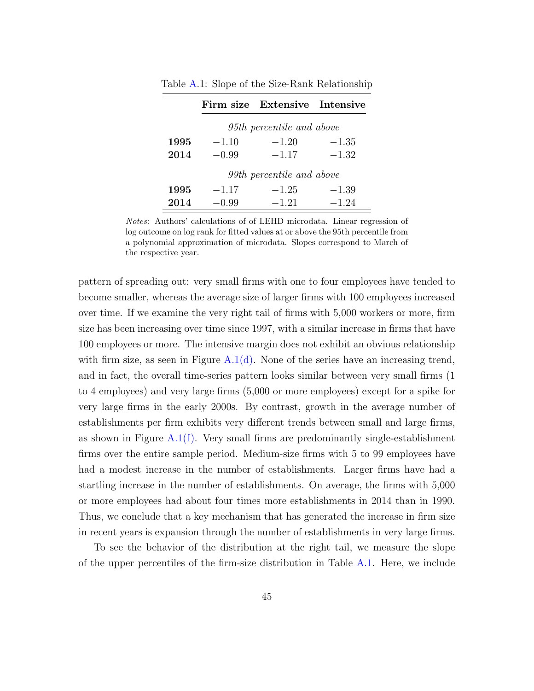|      |                           | Firm size Extensive Intensive |         |  |  |  |  |  |  |  |
|------|---------------------------|-------------------------------|---------|--|--|--|--|--|--|--|
|      | 95th percentile and above |                               |         |  |  |  |  |  |  |  |
| 1995 | $-1.10$                   | $-1.20$                       | $-1.35$ |  |  |  |  |  |  |  |
| 2014 | $-0.99$                   | $-1.17$                       | $-1.32$ |  |  |  |  |  |  |  |
|      | 99th percentile and above |                               |         |  |  |  |  |  |  |  |
| 1995 | $-1.17$                   | $-1.25$                       | $-1.39$ |  |  |  |  |  |  |  |
| 2014 | $-0.99$                   | $-1.21$                       | $-1.24$ |  |  |  |  |  |  |  |

<span id="page-44-0"></span>Table [A.](#page-41-1)1: Slope of the Size-Rank Relationship

Notes: Authors' calculations of of LEHD microdata. Linear regression of log outcome on log rank for fitted values at or above the 95th percentile from a polynomial approximation of microdata. Slopes correspond to March of the respective year.

pattern of spreading out: very small firms with one to four employees have tended to become smaller, whereas the average size of larger firms with 100 employees increased over time. If we examine the very right tail of firms with 5,000 workers or more, firm size has been increasing over time since 1997, with a similar increase in firms that have 100 employees or more. The intensive margin does not exhibit an obvious relationship with firm size, as seen in Figure  $A.1(d)$ . None of the series have an increasing trend, and in fact, the overall time-series pattern looks similar between very small firms (1 to 4 employees) and very large firms (5,000 or more employees) except for a spike for very large firms in the early 2000s. By contrast, growth in the average number of establishments per firm exhibits very different trends between small and large firms, as shown in Figure A.1 $(f)$ . Very small firms are predominantly single-establishment firms over the entire sample period. Medium-size firms with 5 to 99 employees have had a modest increase in the number of establishments. Larger firms have had a startling increase in the number of establishments. On average, the firms with 5,000 or more employees had about four times more establishments in 2014 than in 1990. Thus, we conclude that a key mechanism that has generated the increase in firm size in recent years is expansion through the number of establishments in very large firms.

To see the behavior of the distribution at the right tail, we measure the slope of the upper percentiles of the firm-size distribution in Table  $A.1$ . Here, we include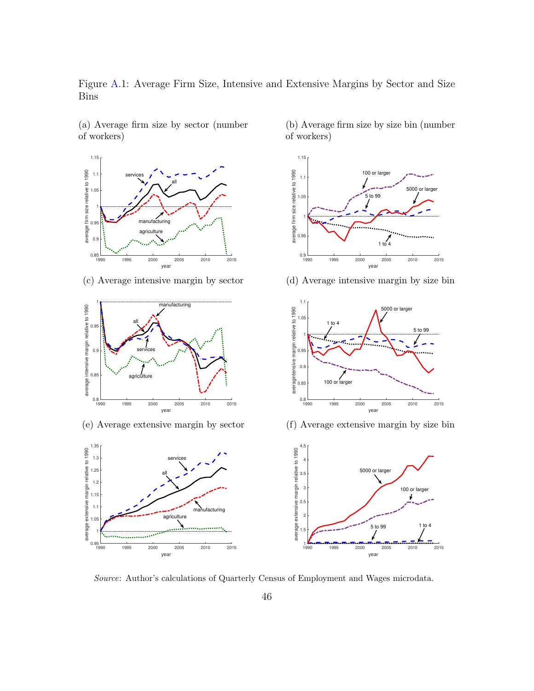<span id="page-45-0"></span>Figure [A.](#page-41-1)1: Average Firm Size, Intensive and Extensive Margins by Sector and Size Bins



(a) Average firm size by sector (number

of workers)

(c) Average intensive margin by sector



(e) Average extensive margin by sector



(b) Average firm size by size bin (number of workers)



(d) Average intensive margin by size bin



(f) Average extensive margin by size bin



Source: Author's calculations of Quarterly Census of Employment and Wages microdata.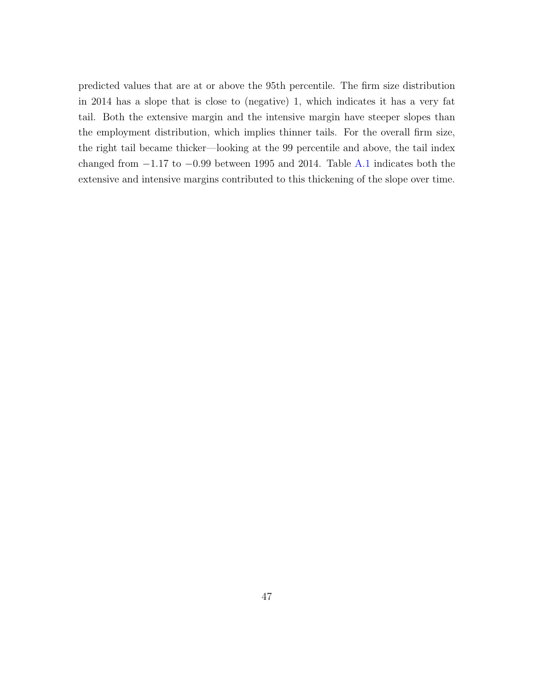predicted values that are at or above the 95th percentile. The firm size distribution in 2014 has a slope that is close to (negative) 1, which indicates it has a very fat tail. Both the extensive margin and the intensive margin have steeper slopes than the employment distribution, which implies thinner tails. For the overall firm size, the right tail became thicker—looking at the 99 percentile and above, the tail index changed from  $-1.17$  to  $-0.99$  between 1995 and 2014. Table [A.1](#page-44-0) indicates both the extensive and intensive margins contributed to this thickening of the slope over time.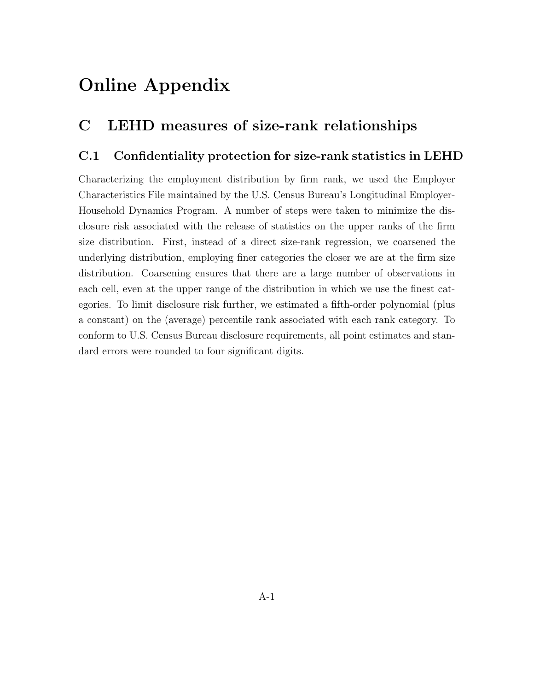# Online Appendix

# C LEHD measures of size-rank relationships

### C.1 Confidentiality protection for size-rank statistics in LEHD

Characterizing the employment distribution by firm rank, we used the Employer Characteristics File maintained by the U.S. Census Bureau's Longitudinal Employer-Household Dynamics Program. A number of steps were taken to minimize the disclosure risk associated with the release of statistics on the upper ranks of the firm size distribution. First, instead of a direct size-rank regression, we coarsened the underlying distribution, employing finer categories the closer we are at the firm size distribution. Coarsening ensures that there are a large number of observations in each cell, even at the upper range of the distribution in which we use the finest categories. To limit disclosure risk further, we estimated a fifth-order polynomial (plus a constant) on the (average) percentile rank associated with each rank category. To conform to U.S. Census Bureau disclosure requirements, all point estimates and standard errors were rounded to four significant digits.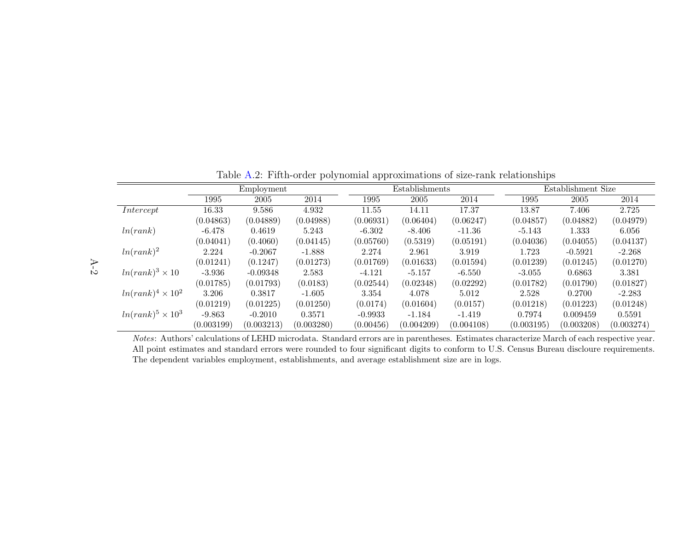|                          | Employment |            |            | Establishments |            | Establishment Size |            |            |            |
|--------------------------|------------|------------|------------|----------------|------------|--------------------|------------|------------|------------|
|                          | 1995       | 2005       | 2014       | 1995           | 2005       | 2014               | 1995       | 2005       | 2014       |
| Intercept                | 16.33      | 9.586      | 4.932      | 11.55          | 14.11      | 17.37              | 13.87      | 7.406      | 2.725      |
|                          | (0.04863)  | (0.04889)  | (0.04988)  | (0.06931)      | (0.06404)  | (0.06247)          | (0.04857)  | (0.04882)  | (0.04979)  |
| ln(rank)                 | $-6.478$   | 0.4619     | 5.243      | $-6.302$       | $-8.406$   | -11.36             | $-5.143$   | 1.333      | 6.056      |
|                          | (0.04041)  | (0.4060)   | (0.04145)  | (0.05760)      | (0.5319)   | (0.05191)          | (0.04036)  | (0.04055)  | (0.04137)  |
| $ln(rank)^2$             | 2.224      | $-0.2067$  | $-1.888$   | 2.274          | 2.961      | 3.919              | 1.723      | $-0.5921$  | $-2.268$   |
|                          | (0.01241)  | (0.1247)   | (0.01273)  | (0.01769)      | (0.01633)  | (0.01594)          | (0.01239)  | (0.01245)  | (0.01270)  |
| $ln(rank)^3 \times 10$   | $-3.936$   | $-0.09348$ | 2.583      | $-4.121$       | $-5.157$   | -6.550             | $-3.055$   | 0.6863     | 3.381      |
|                          | (0.01785)  | (0.01793)  | (0.0183)   | (0.02544)      | (0.02348)  | (0.02292)          | (0.01782)  | (0.01790)  | (0.01827)  |
| $ln(rank)^4 \times 10^2$ | 3.206      | 0.3817     | $-1.605$   | 3.354          | 4.078      | 5.012              | 2.528      | 0.2700     | $-2.283$   |
|                          | (0.01219)  | (0.01225)  | (0.01250)  | (0.0174)       | (0.01604)  | (0.0157)           | (0.01218)  | (0.01223)  | (0.01248)  |
| $ln(rank)^5 \times 10^3$ | $-9.863$   | $-0.2010$  | 0.3571     | $-0.9933$      | $-1.184$   | $-1.419$           | 0.7974     | 0.009459   | 0.5591     |
|                          | (0.003199) | (0.003213) | (0.003280) | (0.00456)      | (0.004209) | (0.004108)         | (0.003195) | (0.003208) | (0.003274) |

Table [A.](#page-41-2)2: Fifth-order polynomial approximations of size-rank relationships

Notes: Authors' calculations of LEHD microdata. Standard errors are in parentheses. Estimates characterize March of each respective year. All point estimates and standard errors were rounded to four significant digits to conform to U.S. Census Bureau discloure requirements.The dependent variables employment, establishments, and average establishment size are in logs.

<span id="page-48-0"></span>A-2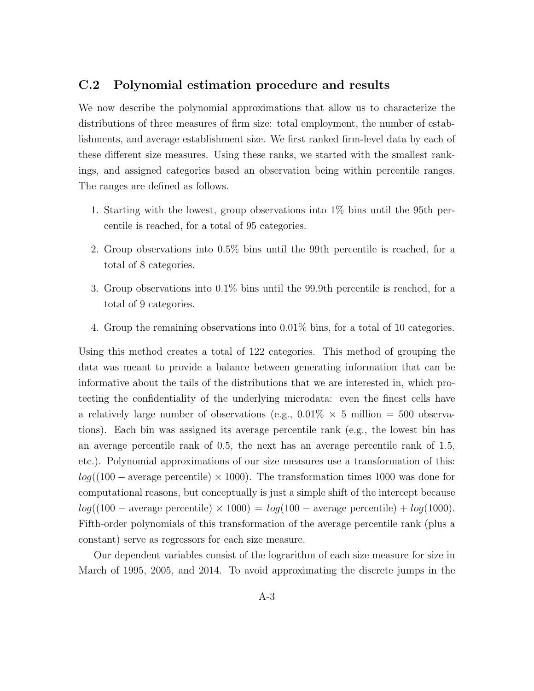### C.2 Polynomial estimation procedure and results

We now describe the polynomial approximations that allow us to characterize the distributions of three measures of firm size: total employment, the number of establishments, and average establishment size. We first ranked firm-level data by each of these different size measures. Using these ranks, we started with the smallest rankings, and assigned categories based an observation being within percentile ranges. The ranges are defined as follows.

- 1. Starting with the lowest, group observations into 1% bins until the 95th percentile is reached, for a total of 95 categories.
- 2. Group observations into 0.5% bins until the 99th percentile is reached, for a total of 8 categories.
- 3. Group observations into 0.1% bins until the 99.9th percentile is reached, for a total of 9 categories.
- 4. Group the remaining observations into 0.01% bins, for a total of 10 categories.

Using this method creates a total of 122 categories. This method of grouping the data was meant to provide a balance between generating information that can be informative about the tails of the distributions that we are interested in, which protecting the confidentiality of the underlying microdata: even the finest cells have a relatively large number of observations (e.g.,  $0.01\% \times 5$  million = 500 observations). Each bin was assigned its average percentile rank (e.g., the lowest bin has an average percentile rank of 0.5, the next has an average percentile rank of 1.5, etc.). Polynomial approximations of our size measures use a transformation of this:  $log((100 - \text{average percentile}) \times 1000)$ . The transformation times 1000 was done for computational reasons, but conceptually is just a simple shift of the intercept because  $log((100 - \text{average percentile}) \times 1000) = log(100 - \text{average percentile}) + log(1000).$ Fifth-order polynomials of this transformation of the average percentile rank (plus a constant) serve as regressors for each size measure.

Our dependent variables consist of the lograrithm of each size measure for size in March of 1995, 2005, and 2014. To avoid approximating the discrete jumps in the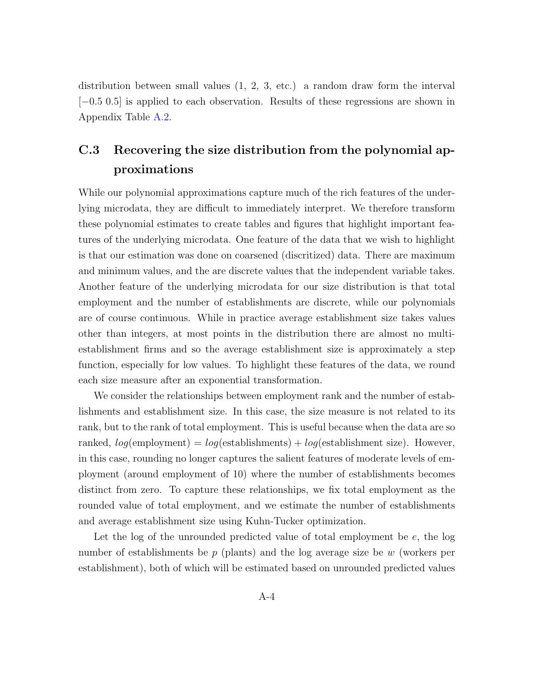distribution between small values (1, 2, 3, etc.) a random draw form the interval [−0.5 0.5] is applied to each observation. Results of these regressions are shown in Appendix Table [A.2.](#page-48-0)

## C.3 Recovering the size distribution from the polynomial approximations

While our polynomial approximations capture much of the rich features of the underlying microdata, they are difficult to immediately interpret. We therefore transform these polynomial estimates to create tables and figures that highlight important features of the underlying microdata. One feature of the data that we wish to highlight is that our estimation was done on coarsened (discritized) data. There are maximum and minimum values, and the are discrete values that the independent variable takes. Another feature of the underlying microdata for our size distribution is that total employment and the number of establishments are discrete, while our polynomials are of course continuous. While in practice average establishment size takes values other than integers, at most points in the distribution there are almost no multiestablishment firms and so the average establishment size is approximately a step function, especially for low values. To highlight these features of the data, we round each size measure after an exponential transformation.

We consider the relationships between employment rank and the number of establishments and establishment size. In this case, the size measure is not related to its rank, but to the rank of total employment. This is useful because when the data are so ranked,  $log$ (employment) =  $log$ (establishments) +  $log$ (establishment size). However, in this case, rounding no longer captures the salient features of moderate levels of employment (around employment of 10) where the number of establishments becomes distinct from zero. To capture these relationships, we fix total employment as the rounded value of total employment, and we estimate the number of establishments and average establishment size using Kuhn-Tucker optimization.

Let the log of the unrounded predicted value of total employment be e, the log number of establishments be  $p$  (plants) and the log average size be w (workers per establishment), both of which will be estimated based on unrounded predicted values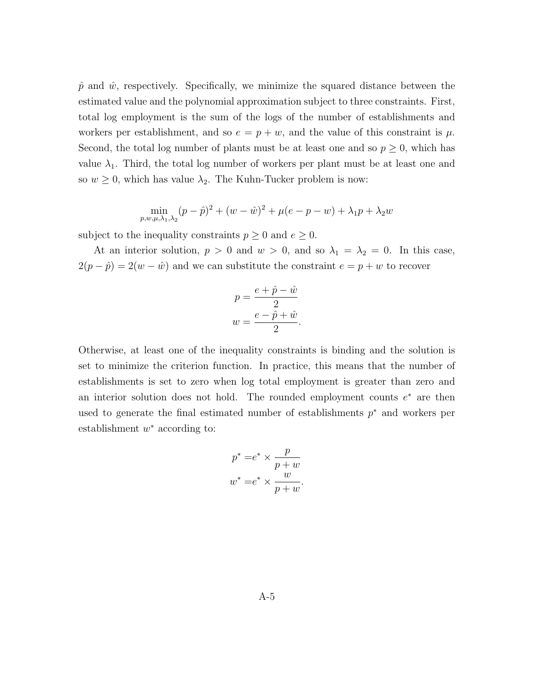$\hat{p}$  and  $\hat{w}$ , respectively. Specifically, we minimize the squared distance between the estimated value and the polynomial approximation subject to three constraints. First, total log employment is the sum of the logs of the number of establishments and workers per establishment, and so  $e = p + w$ , and the value of this constraint is  $\mu$ . Second, the total log number of plants must be at least one and so  $p \geq 0$ , which has value  $\lambda_1$ . Third, the total log number of workers per plant must be at least one and so  $w \geq 0$ , which has value  $\lambda_2$ . The Kuhn-Tucker problem is now:

$$
\min_{p,w,\mu,\lambda_1,\lambda_2} (p - \hat{p})^2 + (w - \hat{w})^2 + \mu(e - p - w) + \lambda_1 p + \lambda_2 w
$$

subject to the inequality constraints  $p \geq 0$  and  $e \geq 0$ .

At an interior solution,  $p > 0$  and  $w > 0$ , and so  $\lambda_1 = \lambda_2 = 0$ . In this case,  $2(p - \hat{p}) = 2(w - \hat{w})$  and we can substitute the constraint  $e = p + w$  to recover

$$
p = \frac{e + \hat{p} - \hat{w}}{2}
$$

$$
w = \frac{e - \hat{p} + \hat{w}}{2}.
$$

Otherwise, at least one of the inequality constraints is binding and the solution is set to minimize the criterion function. In practice, this means that the number of establishments is set to zero when log total employment is greater than zero and an interior solution does not hold. The rounded employment counts  $e^*$  are then used to generate the final estimated number of establishments  $p^*$  and workers per establishment  $w^*$  according to:

$$
p^* = e^* \times \frac{p}{p+w}
$$

$$
w^* = e^* \times \frac{w}{p+w}.
$$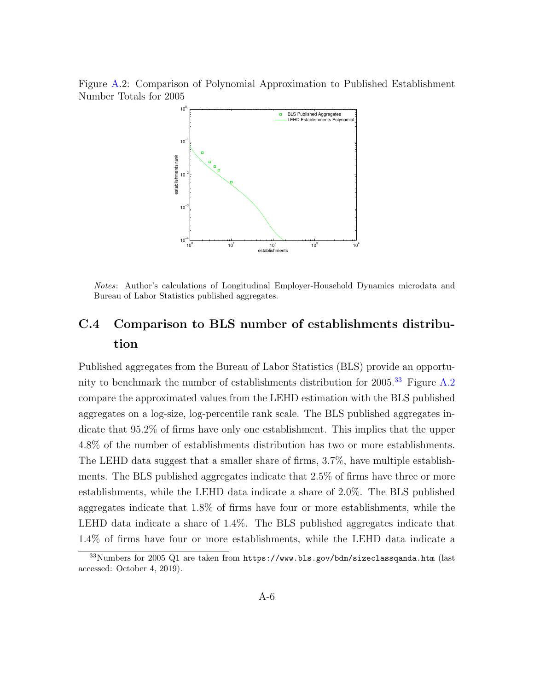<span id="page-52-1"></span>Figure [A.](#page-41-1)2: Comparison of Polynomial Approximation to Published Establishment Number Totals for 2005



Notes: Author's calculations of Longitudinal Employer-Household Dynamics microdata and Bureau of Labor Statistics published aggregates.

### C.4 Comparison to BLS number of establishments distribution

Published aggregates from the Bureau of Labor Statistics (BLS) provide an opportunity to benchmark the number of establishments distribution for  $2005<sup>33</sup>$  $2005<sup>33</sup>$  $2005<sup>33</sup>$  Figure [A.2](#page-52-1) compare the approximated values from the LEHD estimation with the BLS published aggregates on a log-size, log-percentile rank scale. The BLS published aggregates indicate that 95.2% of firms have only one establishment. This implies that the upper 4.8% of the number of establishments distribution has two or more establishments. The LEHD data suggest that a smaller share of firms, 3.7%, have multiple establishments. The BLS published aggregates indicate that 2.5% of firms have three or more establishments, while the LEHD data indicate a share of 2.0%. The BLS published aggregates indicate that 1.8% of firms have four or more establishments, while the LEHD data indicate a share of 1.4%. The BLS published aggregates indicate that 1.4% of firms have four or more establishments, while the LEHD data indicate a

<span id="page-52-0"></span> $33$ Numbers for 2005 Q1 are taken from https://www.bls.gov/bdm/sizeclassganda.htm (last accessed: October 4, 2019).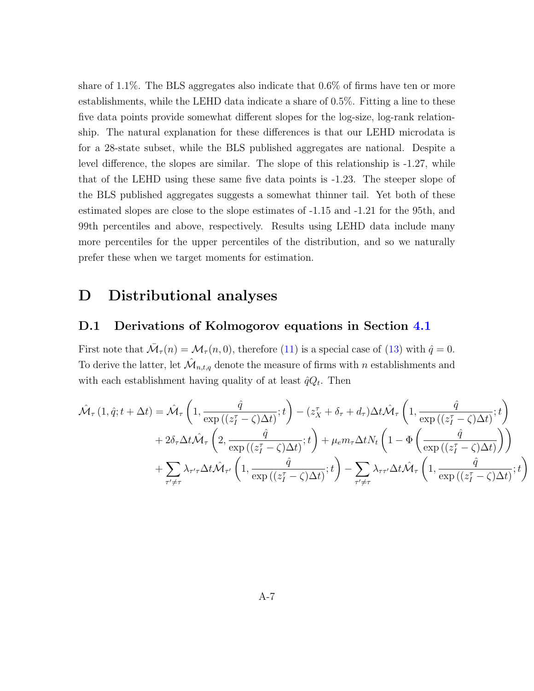share of 1.1%. The BLS aggregates also indicate that 0.6% of firms have ten or more establishments, while the LEHD data indicate a share of 0.5%. Fitting a line to these five data points provide somewhat different slopes for the log-size, log-rank relationship. The natural explanation for these differences is that our LEHD microdata is for a 28-state subset, while the BLS published aggregates are national. Despite a level difference, the slopes are similar. The slope of this relationship is -1.27, while that of the LEHD using these same five data points is -1.23. The steeper slope of the BLS published aggregates suggests a somewhat thinner tail. Yet both of these estimated slopes are close to the slope estimates of -1.15 and -1.21 for the 95th, and 99th percentiles and above, respectively. Results using LEHD data include many more percentiles for the upper percentiles of the distribution, and so we naturally prefer these when we target moments for estimation.

### D Distributional analyses

#### D.1 Derivations of Kolmogorov equations in Section [4.1](#page-19-0)

First note that  $\overline{\mathcal{M}}_{\tau}(n) = \mathcal{M}_{\tau}(n,0)$ , therefore [\(11\)](#page-19-1) is a special case of [\(13\)](#page-20-0) with  $\hat{q} = 0$ . To derive the latter, let  $\hat{\mathcal{M}}_{n,t,q}$  denote the measure of firms with n establishments and with each establishment having quality of at least  $\hat{q}Q_t$ . Then

$$
\hat{\mathcal{M}}_{\tau}(1,\hat{q};t+\Delta t) = \hat{\mathcal{M}}_{\tau}\left(1, \frac{\hat{q}}{\exp((z_{I}^{\tau}-\zeta)\Delta t)};t\right) - (z_{X}^{\tau}+\delta_{\tau}+d_{\tau})\Delta t \hat{\mathcal{M}}_{\tau}\left(1, \frac{\hat{q}}{\exp((z_{I}^{\tau}-\zeta)\Delta t)};t\right) \n+ 2\delta_{\tau}\Delta t \hat{\mathcal{M}}_{\tau}\left(2, \frac{\hat{q}}{\exp((z_{I}^{\tau}-\zeta)\Delta t)};t\right) + \mu_{e}m_{\tau}\Delta t N_{t}\left(1 - \Phi\left(\frac{\hat{q}}{\exp((z_{I}^{\tau}-\zeta)\Delta t)}\right)\right) \n+ \sum_{\tau'\neq\tau}\lambda_{\tau'\tau}\Delta t \hat{\mathcal{M}}_{\tau'}\left(1, \frac{\hat{q}}{\exp((z_{I}^{\tau}-\zeta)\Delta t)};t\right) - \sum_{\tau'\neq\tau}\lambda_{\tau\tau'}\Delta t \hat{\mathcal{M}}_{\tau}\left(1, \frac{\hat{q}}{\exp((z_{I}^{\tau}-\zeta)\Delta t)};t\right)
$$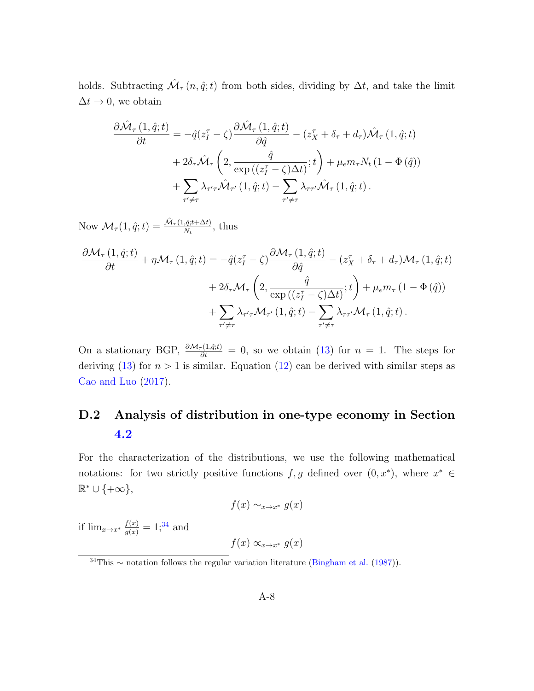holds. Subtracting  $\mathcal{M}_{\tau}(n, \hat{q}; t)$  from both sides, dividing by  $\Delta t$ , and take the limit  $\Delta t \rightarrow 0$ , we obtain

$$
\frac{\partial \hat{\mathcal{M}}_{\tau}(1,\hat{q};t)}{\partial t} = -\hat{q}(z_{I}^{\tau} - \zeta) \frac{\partial \hat{\mathcal{M}}_{\tau}(1,\hat{q};t)}{\partial \hat{q}} - (z_{X}^{\tau} + \delta_{\tau} + d_{\tau}) \hat{\mathcal{M}}_{\tau}(1,\hat{q};t) \n+ 2\delta_{\tau} \hat{\mathcal{M}}_{\tau} \left(2, \frac{\hat{q}}{\exp((z_{I}^{\tau} - \zeta)\Delta t)};t\right) + \mu_{e} m_{\tau} N_{t} (1 - \Phi(\hat{q})) \n+ \sum_{\tau' \neq \tau} \lambda_{\tau'\tau} \hat{\mathcal{M}}_{\tau'}(1,\hat{q};t) - \sum_{\tau' \neq \tau} \lambda_{\tau\tau'} \hat{\mathcal{M}}_{\tau}(1,\hat{q};t).
$$

Now  $\mathcal{M}_{\tau}(1,\hat{q};t) = \frac{\hat{\mathcal{M}}_{\tau}(1,\hat{q};t+\Delta t)}{N_t}$ , thus

$$
\frac{\partial \mathcal{M}_{\tau}(1,\hat{q};t)}{\partial t} + \eta \mathcal{M}_{\tau}(1,\hat{q};t) = -\hat{q}(z_{I}^{\tau} - \zeta) \frac{\partial \mathcal{M}_{\tau}(1,\hat{q};t)}{\partial \hat{q}} - (z_{X}^{\tau} + \delta_{\tau} + d_{\tau}) \mathcal{M}_{\tau}(1,\hat{q};t) \n+ 2\delta_{\tau} \mathcal{M}_{\tau} \left(2, \frac{\hat{q}}{\exp((z_{I}^{\tau} - \zeta)\Delta t)};t\right) + \mu_{e} m_{\tau} (1 - \Phi(\hat{q})) \n+ \sum_{\tau' \neq \tau} \lambda_{\tau'\tau} \mathcal{M}_{\tau'}(1,\hat{q};t) - \sum_{\tau' \neq \tau} \lambda_{\tau\tau'} \mathcal{M}_{\tau}(1,\hat{q};t).
$$

On a stationary BGP,  $\frac{\partial \mathcal{M}_{\tau}(1,\hat{q},t)}{\partial t} = 0$ , so we obtain [\(13\)](#page-20-0) for  $n = 1$ . The steps for deriving [\(13\)](#page-20-0) for  $n > 1$  is similar. Equation [\(12\)](#page-19-2) can be derived with similar steps as [Cao and Luo](#page-37-0) [\(2017\)](#page-37-0).

# D.2 Analysis of distribution in one-type economy in Section [4.2](#page-20-1)

For the characterization of the distributions, we use the following mathematical notations: for two strictly positive functions  $f, g$  defined over  $(0, x^*)$ , where  $x^* \in$  $\mathbb{R}^* \cup \{+\infty\},\$ 

$$
f(x) \sim_{x \to x^*} g(x)
$$

if  $\lim_{x \to x^*} \frac{f(x)}{g(x)} = 1;^{34}$  $\lim_{x \to x^*} \frac{f(x)}{g(x)} = 1;^{34}$  $\lim_{x \to x^*} \frac{f(x)}{g(x)} = 1;^{34}$  and

 $f(x) \propto_{x \to x^*} g(x)$ 

<span id="page-54-0"></span><sup>34</sup>This ∼ notation follows the regular variation literature [\(Bingham et al.](#page-36-0) [\(1987\)](#page-36-0)).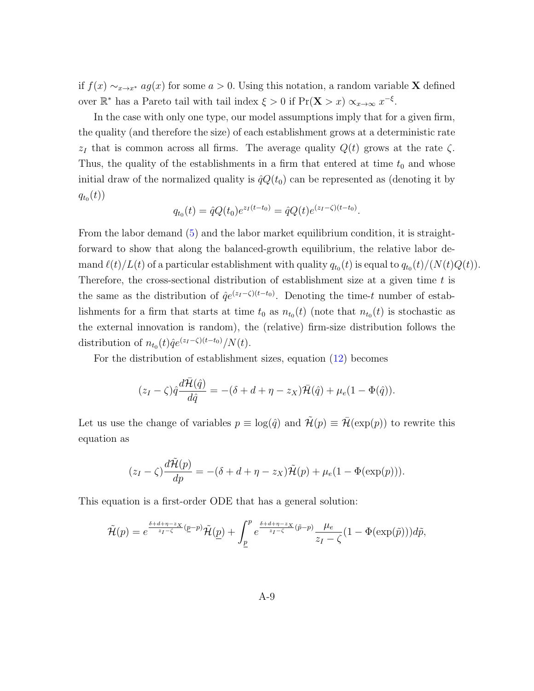if  $f(x) \sim_{x \to x^*} ag(x)$  for some  $a > 0$ . Using this notation, a random variable **X** defined over  $\mathbb{R}^*$  has a Pareto tail with tail index  $\xi > 0$  if  $Pr(\mathbf{X} > x) \propto_{x \to \infty} x^{-\xi}$ .

In the case with only one type, our model assumptions imply that for a given firm, the quality (and therefore the size) of each establishment grows at a deterministic rate  $z_I$  that is common across all firms. The average quality  $Q(t)$  grows at the rate  $\zeta$ . Thus, the quality of the establishments in a firm that entered at time  $t_0$  and whose initial draw of the normalized quality is  $\hat{q}Q(t_0)$  can be represented as (denoting it by  $q_{t_0}(t))$ 

$$
q_{t_0}(t) = \hat{q}Q(t_0)e^{z_I(t-t_0)} = \hat{q}Q(t)e^{(z_I-\zeta)(t-t_0)}.
$$

From the labor demand [\(5\)](#page-12-0) and the labor market equilibrium condition, it is straightforward to show that along the balanced-growth equilibrium, the relative labor demand  $\ell(t)/L(t)$  of a particular establishment with quality  $q_{t_0}(t)$  is equal to  $q_{t_0}(t)/(N(t)Q(t))$ . Therefore, the cross-sectional distribution of establishment size at a given time  $t$  is the same as the distribution of  $\hat{q}e^{(z_I-\zeta)(t-t_0)}$ . Denoting the time-t number of establishments for a firm that starts at time  $t_0$  as  $n_{t_0}(t)$  (note that  $n_{t_0}(t)$  is stochastic as the external innovation is random), the (relative) firm-size distribution follows the distribution of  $n_{t_0}(t) \hat{q}e^{(z_I - \zeta)(t-t_0)}/N(t)$ .

For the distribution of establishment sizes, equation [\(12\)](#page-19-2) becomes

$$
(z_I - \zeta)\hat{q}\frac{d\bar{\mathcal{H}}(\hat{q})}{d\hat{q}} = -(\delta + d + \eta - z_X)\bar{\mathcal{H}}(\hat{q}) + \mu_e(1 - \Phi(\hat{q})).
$$

Let us use the change of variables  $p \equiv \log(\hat{q})$  and  $\mathcal{H}(p) \equiv \mathcal{H}(\exp(p))$  to rewrite this equation as

$$
(z_I - \zeta) \frac{d\tilde{\mathcal{H}}(p)}{dp} = -(\delta + d + \eta - z_X)\tilde{\mathcal{H}}(p) + \mu_e(1 - \Phi(\exp(p))).
$$

This equation is a first-order ODE that has a general solution:

$$
\tilde{\mathcal{H}}(p) = e^{\frac{\delta + d + \eta - z_X}{z_I - \zeta} (\underline{p} - p)} \tilde{\mathcal{H}}(\underline{p}) + \int_{\underline{p}}^p e^{\frac{\delta + d + \eta - z_X}{z_I - \zeta} (\tilde{p} - p)} \frac{\mu_e}{z_I - \zeta} (1 - \Phi(\exp(\tilde{p}))) d\tilde{p},
$$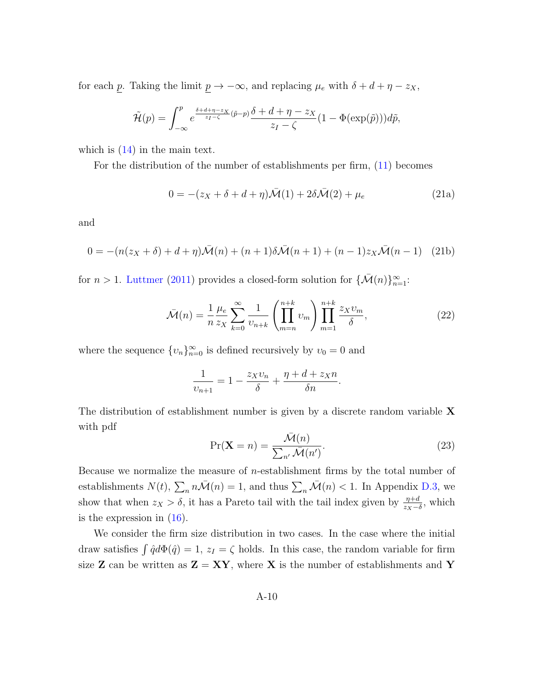for each p. Taking the limit  $\underline{p} \rightarrow -\infty$ , and replacing  $\mu_e$  with  $\delta + d + \eta - z_X$ ,

$$
\widetilde{\mathcal{H}}(p) = \int_{-\infty}^p e^{\frac{\delta + d + \eta - z_X}{z_I - \zeta}(\tilde{p} - p)} \frac{\delta + d + \eta - z_X}{z_I - \zeta} (1 - \Phi(\exp(\tilde{p}))) d\tilde{p},
$$

which is  $(14)$  in the main text.

For the distribution of the number of establishments per firm, [\(11\)](#page-19-1) becomes

<span id="page-56-2"></span>
$$
0 = -(z_X + \delta + d + \eta)\bar{\mathcal{M}}(1) + 2\delta\bar{\mathcal{M}}(2) + \mu_e
$$
\n(21a)

and

<span id="page-56-1"></span>
$$
0 = -(n(z_X + \delta) + d + \eta)\bar{\mathcal{M}}(n) + (n+1)\delta\bar{\mathcal{M}}(n+1) + (n-1)z_X\bar{\mathcal{M}}(n-1)
$$
 (21b)

for  $n > 1$ . [Luttmer](#page-39-0) [\(2011\)](#page-39-0) provides a closed-form solution for  $\{\bar{\mathcal{M}}(n)\}_{n=1}^{\infty}$ :

$$
\bar{\mathcal{M}}(n) = \frac{1}{n} \frac{\mu_e}{z_X} \sum_{k=0}^{\infty} \frac{1}{v_{n+k}} \left( \prod_{m=n}^{n+k} v_m \right) \prod_{m=1}^{n+k} \frac{z_X v_m}{\delta},\tag{22}
$$

where the sequence  $\{v_n\}_{n=0}^{\infty}$  is defined recursively by  $v_0 = 0$  and

$$
\frac{1}{v_{n+1}} = 1 - \frac{z_X v_n}{\delta} + \frac{\eta + d + z_X n}{\delta n}.
$$

The distribution of establishment number is given by a discrete random variable  $X$ with pdf

<span id="page-56-0"></span>
$$
\Pr(\mathbf{X} = n) = \frac{\bar{\mathcal{M}}(n)}{\sum_{n'} \bar{\mathcal{M}}(n')}.
$$
\n(23)

Because we normalize the measure of *n*-establishment firms by the total number of establishments  $N(t)$ ,  $\sum_{n} n\bar{\mathcal{M}}(n) = 1$ , and thus  $\sum_{n} \bar{\mathcal{M}}(n) < 1$ . In Appendix [D.3,](#page-59-0) we show that when  $z_X > \delta$ , it has a Pareto tail with the tail index given by  $\frac{\eta+d}{z_X-\delta}$ , which is the expression in  $(16)$ .

We consider the firm size distribution in two cases. In the case where the initial draw satisfies  $\int \hat{q}d\Phi(\hat{q}) = 1$ ,  $z_I = \zeta$  holds. In this case, the random variable for firm size **Z** can be written as  $\mathbf{Z} = \mathbf{XY}$ , where **X** is the number of establishments and **Y**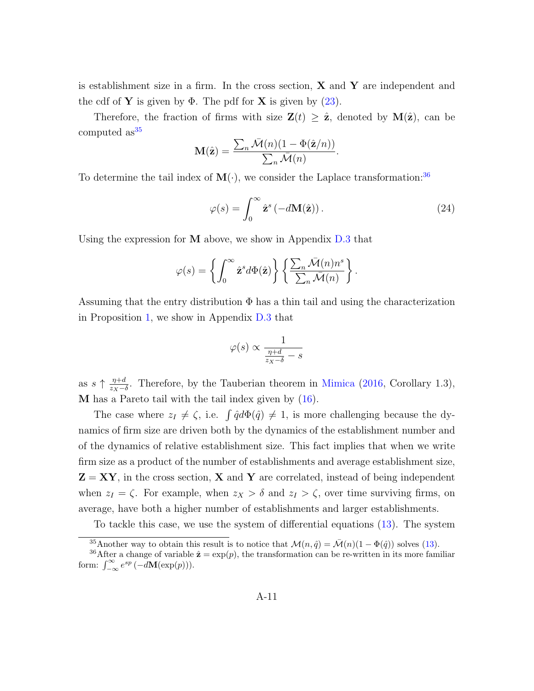is establishment size in a firm. In the cross section,  $X$  and  $Y$  are independent and the cdf of **Y** is given by  $\Phi$ . The pdf for **X** is given by  $(23)$ .

Therefore, the fraction of firms with size  $\mathbf{Z}(t) \geq \hat{\mathbf{z}}$ , denoted by  $\mathbf{M}(\hat{\mathbf{z}})$ , can be computed  $as^{35}$  $as^{35}$  $as^{35}$ 

$$
\mathbf{M}(\hat{\mathbf{z}}) = \frac{\sum_n \bar{\mathcal{M}}(n)(1 - \Phi(\hat{\mathbf{z}}/n))}{\sum_n \bar{\mathcal{M}}(n)}.
$$

To determine the tail index of  $\mathbf{M}(\cdot)$ , we consider the Laplace transformation:<sup>[36](#page-57-1)</sup>

<span id="page-57-2"></span>
$$
\varphi(s) = \int_0^\infty \hat{\mathbf{z}}^s \left( -d\mathbf{M}(\hat{\mathbf{z}}) \right). \tag{24}
$$

Using the expression for  $M$  above, we show in Appendix  $D.3$  that

$$
\varphi(s) = \left\{ \int_0^\infty \hat{\mathbf{z}}^s d\Phi(\hat{\mathbf{z}}) \right\} \left\{ \frac{\sum_n \bar{\mathcal{M}}(n) n^s}{\sum_n \bar{\mathcal{M}}(n)} \right\}.
$$

Assuming that the entry distribution  $\Phi$  has a thin tail and using the characterization in Proposition [1,](#page-21-1) we show in Appendix [D.3](#page-59-0) that

$$
\varphi(s) \propto \frac{1}{\frac{\eta + d}{z_X - \delta} - s}
$$

as  $s \uparrow \frac{\eta+d}{z-1}$  $\frac{\eta+d}{z_x-\delta}$ . Therefore, by the Tauberian theorem in [Mimica](#page-39-1) [\(2016,](#page-39-1) Corollary 1.3), M has a Pareto tail with the tail index given by [\(16\)](#page-21-0).

The case where  $z_I \neq \zeta$ , i.e.  $\int \hat{q} d\Phi(\hat{q}) \neq 1$ , is more challenging because the dynamics of firm size are driven both by the dynamics of the establishment number and of the dynamics of relative establishment size. This fact implies that when we write firm size as a product of the number of establishments and average establishment size,  $Z = XY$ , in the cross section, X and Y are correlated, instead of being independent when  $z_I = \zeta$ . For example, when  $z_X > \delta$  and  $z_I > \zeta$ , over time surviving firms, on average, have both a higher number of establishments and larger establishments.

To tackle this case, we use the system of differential equations [\(13\)](#page-20-0). The system

<span id="page-57-1"></span><span id="page-57-0"></span><sup>&</sup>lt;sup>35</sup>Another way to obtain this result is to notice that  $\mathcal{M}(n, \hat{q}) = \bar{\mathcal{M}}(n)(1 - \Phi(\hat{q}))$  solves [\(13\)](#page-20-0).

<sup>&</sup>lt;sup>36</sup>After a change of variable  $\hat{\mathbf{z}} = \exp(p)$ , the transformation can be re-written in its more familiar form:  $\int_{-\infty}^{\infty} e^{sp} (-d\mathbf{M}(\exp(p))).$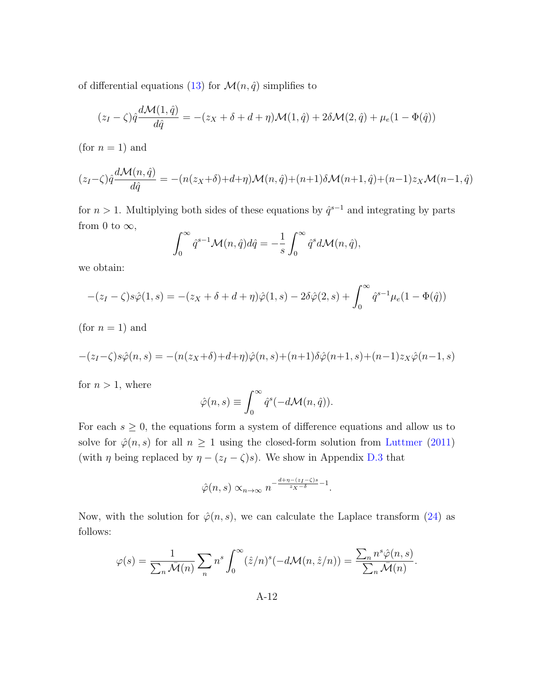of differential equations [\(13\)](#page-20-0) for  $\mathcal{M}(n, \hat{q})$  simplifies to

$$
(z_I - \zeta)\hat{q}\frac{d\mathcal{M}(1,\hat{q})}{d\hat{q}} = -(z_X + \delta + d + \eta)\mathcal{M}(1,\hat{q}) + 2\delta\mathcal{M}(2,\hat{q}) + \mu_e(1 - \Phi(\hat{q}))
$$

(for  $n = 1$ ) and

$$
(z_I - \zeta)\hat{q}\frac{d\mathcal{M}(n,\hat{q})}{d\hat{q}} = -(n(z_X + \delta) + d + \eta)\mathcal{M}(n,\hat{q}) + (n+1)\delta\mathcal{M}(n+1,\hat{q}) + (n-1)z_X\mathcal{M}(n-1,\hat{q})
$$

for  $n > 1$ . Multiplying both sides of these equations by  $\hat{q}^{s-1}$  and integrating by parts from 0 to  $\infty$ ,

$$
\int_0^\infty \hat{q}^{s-1} \mathcal{M}(n, \hat{q}) d\hat{q} = -\frac{1}{s} \int_0^\infty \hat{q}^s d\mathcal{M}(n, \hat{q}),
$$

we obtain:

$$
-(z_I - \zeta)s\hat{\varphi}(1, s) = -(z_X + \delta + d + \eta)\hat{\varphi}(1, s) - 2\delta\hat{\varphi}(2, s) + \int_0^\infty \hat{q}^{s-1} \mu_e(1 - \Phi(\hat{q}))
$$

(for  $n = 1$ ) and

$$
-(z_I-\zeta)s\hat{\varphi}(n,s) = -(n(z_X+\delta)+d+\eta)\hat{\varphi}(n,s)+(n+1)\delta\hat{\varphi}(n+1,s)+(n-1)z_X\hat{\varphi}(n-1,s)
$$

for  $n > 1$ , where

$$
\hat{\varphi}(n,s) \equiv \int_0^\infty \hat{q}^s(-d\mathcal{M}(n,\hat{q})).
$$

For each  $s \geq 0$ , the equations form a system of difference equations and allow us to solve for  $\hat{\varphi}(n, s)$  for all  $n \geq 1$  using the closed-form solution from [Luttmer](#page-39-0) [\(2011\)](#page-39-0) (with  $\eta$  being replaced by  $\eta - (z_I - \zeta)s$ ). We show in Appendix [D.3](#page-59-0) that

$$
\hat{\varphi}(n,s) \propto_{n \to \infty} n^{-\frac{d+\eta - (z_I - \zeta)s}{z_X - \delta} - 1}.
$$

Now, with the solution for  $\hat{\varphi}(n, s)$ , we can calculate the Laplace transform [\(24\)](#page-57-2) as follows:

$$
\varphi(s) = \frac{1}{\sum_n \bar{\mathcal{M}}(n)} \sum_n n^s \int_0^\infty (\hat{z}/n)^s (-d\mathcal{M}(n, \hat{z}/n)) = \frac{\sum_n n^s \hat{\varphi}(n, s)}{\sum_n \bar{\mathcal{M}}(n)}.
$$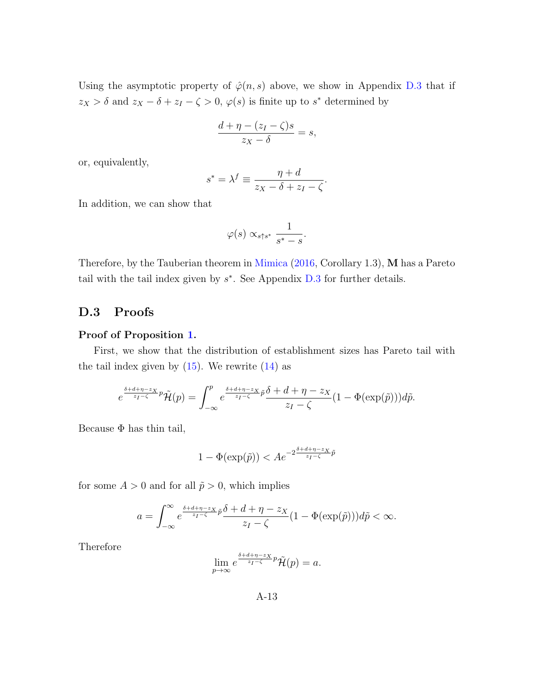Using the asymptotic property of  $\hat{\varphi}(n, s)$  above, we show in Appendix [D.3](#page-59-0) that if  $z_X > \delta$  and  $z_X - \delta + z_I - \zeta > 0$ ,  $\varphi(s)$  is finite up to  $s^*$  determined by

$$
\frac{d+\eta-(z_I-\zeta)s}{z_X-\delta}=s,
$$

or, equivalently,

$$
s^* = \lambda^f \equiv \frac{\eta + d}{z_X - \delta + z_I - \zeta}.
$$

In addition, we can show that

$$
\varphi(s) \propto_{s \uparrow s^*} \frac{1}{s^*-s}.
$$

Therefore, by the Tauberian theorem in [Mimica](#page-39-1) [\(2016,](#page-39-1) Corollary 1.3), M has a Pareto tail with the tail index given by  $s^*$ . See Appendix [D.3](#page-59-0) for further details.

### <span id="page-59-0"></span>D.3 Proofs

#### Proof of Proposition [1.](#page-21-1)

First, we show that the distribution of establishment sizes has Pareto tail with the tail index given by  $(15)$ . We rewrite  $(14)$  as

$$
e^{\frac{\delta+d+\eta-z_X}{z_I-\zeta}p}\tilde{\mathcal{H}}(p)=\int_{-\infty}^p e^{\frac{\delta+d+\eta-z_X}{z_I-\zeta}\tilde{p}}\frac{\delta+d+\eta-z_X}{z_I-\zeta}(1-\Phi(\exp(\tilde{p})))d\tilde{p}.
$$

Because  $\Phi$  has thin tail,

$$
1 - \Phi(\exp(\tilde{p})) < A e^{-2\frac{\delta + d + \eta - z_X}{z_I - \zeta} \tilde{p}}
$$

for some  $A > 0$  and for all  $\tilde{p} > 0$ , which implies

$$
a = \int_{-\infty}^{\infty} e^{\frac{\delta + d + \eta - z_X}{z_I - \zeta} \tilde{p}} \frac{\delta + d + \eta - z_X}{z_I - \zeta} (1 - \Phi(\exp(\tilde{p}))) d\tilde{p} < \infty.
$$

Therefore

$$
\lim_{p \to \infty} e^{\frac{\delta + d + \eta - z_X}{z_I - \zeta} p} \tilde{\mathcal{H}}(p) = a.
$$

A-13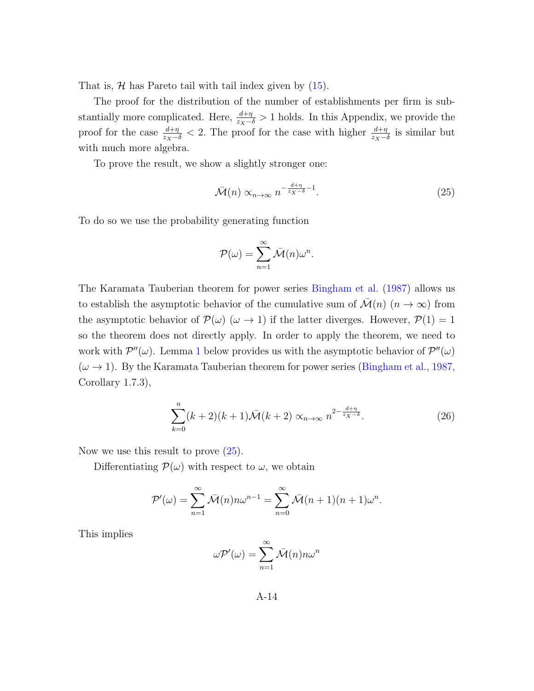That is,  $H$  has Pareto tail with tail index given by  $(15)$ .

The proof for the distribution of the number of establishments per firm is substantially more complicated. Here,  $\frac{d+\eta}{z_X-\delta} > 1$  holds. In this Appendix, we provide the proof for the case  $\frac{d+\eta}{z_X-\delta} < 2$ . The proof for the case with higher  $\frac{d+\eta}{z_X-\delta}$  is similar but with much more algebra.

To prove the result, we show a slightly stronger one:

<span id="page-60-0"></span>
$$
\bar{\mathcal{M}}(n) \propto_{n \to \infty} n^{-\frac{d+\eta}{z_X - \delta} - 1}.
$$
\n(25)

To do so we use the probability generating function

$$
\mathcal{P}(\omega) = \sum_{n=1}^{\infty} \bar{\mathcal{M}}(n)\omega^{n}.
$$

The Karamata Tauberian theorem for power series [Bingham et al.](#page-36-0) [\(1987\)](#page-36-0) allows us to establish the asymptotic behavior of the cumulative sum of  $\mathcal{M}(n)$   $(n \to \infty)$  from the asymptotic behavior of  $\mathcal{P}(\omega)$  ( $\omega \to 1$ ) if the latter diverges. However,  $\mathcal{P}(1) = 1$ so the theorem does not directly apply. In order to apply the theorem, we need to work with  $\mathcal{P}''(\omega)$ . Lemma [1](#page-63-0) below provides us with the asymptotic behavior of  $\mathcal{P}''(\omega)$  $(\omega \rightarrow 1)$ . By the Karamata Tauberian theorem for power series [\(Bingham et al.,](#page-36-0) [1987,](#page-36-0) Corollary 1.7.3),

<span id="page-60-1"></span>
$$
\sum_{k=0}^{n} (k+2)(k+1)\bar{\mathcal{M}}(k+2) \propto_{n \to \infty} n^{2 - \frac{d+\eta}{z_X - \delta}}.
$$
 (26)

Now we use this result to prove  $(25)$ .

Differentiating  $\mathcal{P}(\omega)$  with respect to  $\omega$ , we obtain

$$
\mathcal{P}'(\omega) = \sum_{n=1}^{\infty} \bar{\mathcal{M}}(n) n \omega^{n-1} = \sum_{n=0}^{\infty} \bar{\mathcal{M}}(n+1)(n+1)\omega^n.
$$

This implies

$$
\omega \mathcal{P}'(\omega) = \sum_{n=1}^{\infty} \bar{\mathcal{M}}(n) n \omega^n
$$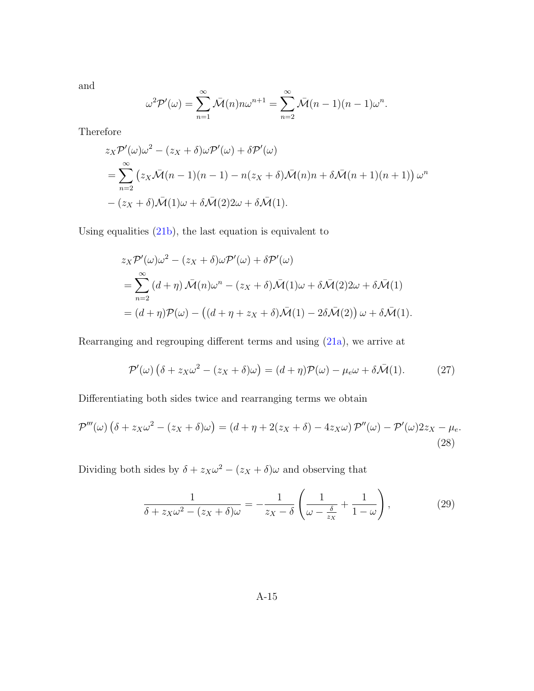and

$$
\omega^2 \mathcal{P}'(\omega) = \sum_{n=1}^{\infty} \bar{\mathcal{M}}(n) n \omega^{n+1} = \sum_{n=2}^{\infty} \bar{\mathcal{M}}(n-1)(n-1) \omega^n.
$$

Therefore

$$
z_X \mathcal{P}'(\omega) \omega^2 - (z_X + \delta) \omega \mathcal{P}'(\omega) + \delta \mathcal{P}'(\omega)
$$
  
= 
$$
\sum_{n=2}^{\infty} (z_X \overline{\mathcal{M}}(n-1)(n-1) - n(z_X + \delta) \overline{\mathcal{M}}(n)n + \delta \overline{\mathcal{M}}(n+1)(n+1)) \omega^n
$$
  
- 
$$
(z_X + \delta) \overline{\mathcal{M}}(1)\omega + \delta \overline{\mathcal{M}}(2)2\omega + \delta \overline{\mathcal{M}}(1).
$$

Using equalities [\(21b\)](#page-56-1), the last equation is equivalent to

$$
z_X \mathcal{P}'(\omega) \omega^2 - (z_X + \delta) \omega \mathcal{P}'(\omega) + \delta \mathcal{P}'(\omega)
$$
  
= 
$$
\sum_{n=2}^{\infty} (d + \eta) \bar{\mathcal{M}}(n) \omega^n - (z_X + \delta) \bar{\mathcal{M}}(1) \omega + \delta \bar{\mathcal{M}}(2) 2\omega + \delta \bar{\mathcal{M}}(1)
$$
  
= 
$$
(d + \eta) \mathcal{P}(\omega) - ((d + \eta + z_X + \delta) \bar{\mathcal{M}}(1) - 2\delta \bar{\mathcal{M}}(2)) \omega + \delta \bar{\mathcal{M}}(1).
$$

Rearranging and regrouping different terms and using [\(21a\)](#page-56-2), we arrive at

<span id="page-61-1"></span>
$$
\mathcal{P}'(\omega) \left( \delta + z_X \omega^2 - (z_X + \delta) \omega \right) = (d + \eta) \mathcal{P}(\omega) - \mu_e \omega + \delta \bar{\mathcal{M}}(1). \tag{27}
$$

Differentiating both sides twice and rearranging terms we obtain

$$
\mathcal{P}'''(\omega)\left(\delta + z_X\omega^2 - (z_X + \delta)\omega\right) = \left(d + \eta + 2(z_X + \delta) - 4z_X\omega\right)\mathcal{P}''(\omega) - \mathcal{P}'(\omega)2z_X - \mu_e.
$$
\n(28)

Dividing both sides by  $\delta + z_X \omega^2 - (z_X + \delta) \omega$  and observing that

<span id="page-61-2"></span><span id="page-61-0"></span>
$$
\frac{1}{\delta + z_X \omega^2 - (z_X + \delta)\omega} = -\frac{1}{z_X - \delta} \left( \frac{1}{\omega - \frac{\delta}{z_X}} + \frac{1}{1 - \omega} \right),\tag{29}
$$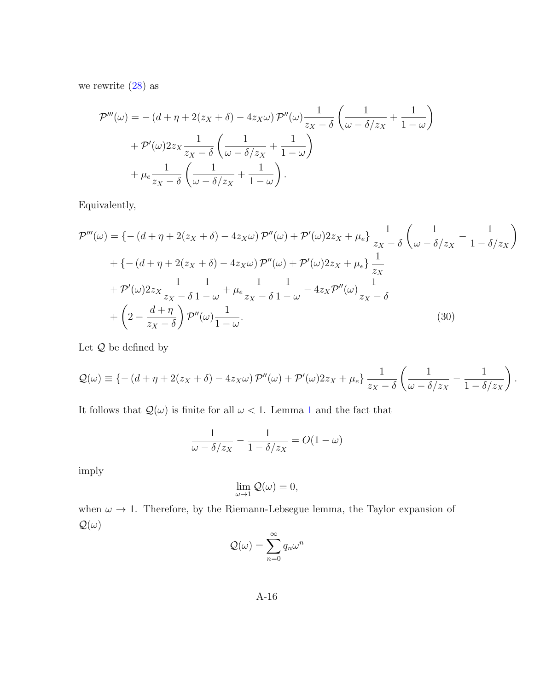we rewrite  $(28)$  as

$$
\mathcal{P}'''(\omega) = -(d + \eta + 2(z_X + \delta) - 4z_X \omega) \mathcal{P}''(\omega) \frac{1}{z_X - \delta} \left( \frac{1}{\omega - \delta/z_X} + \frac{1}{1 - \omega} \right) + \mathcal{P}'(\omega) 2z_X \frac{1}{z_X - \delta} \left( \frac{1}{\omega - \delta/z_X} + \frac{1}{1 - \omega} \right) + \mu_e \frac{1}{z_X - \delta} \left( \frac{1}{\omega - \delta/z_X} + \frac{1}{1 - \omega} \right).
$$

Equivalently,

$$
\mathcal{P}'''(\omega) = \left\{ -\left(d + \eta + 2(z_X + \delta) - 4z_X\omega\right) \mathcal{P}''(\omega) + \mathcal{P}'(\omega)2z_X + \mu_e \right\} \frac{1}{z_X - \delta} \left( \frac{1}{\omega - \delta/z_X} - \frac{1}{1 - \delta/z_X} \right)
$$

$$
+ \left\{ -\left(d + \eta + 2(z_X + \delta) - 4z_X\omega\right) \mathcal{P}''(\omega) + \mathcal{P}'(\omega)2z_X + \mu_e \right\} \frac{1}{z_X}
$$

$$
+ \mathcal{P}'(\omega)2z_X \frac{1}{z_X - \delta} \frac{1}{1 - \omega} + \mu_e \frac{1}{z_X - \delta} \frac{1}{1 - \omega} - 4z_X \mathcal{P}''(\omega) \frac{1}{z_X - \delta}
$$

$$
+ \left(2 - \frac{d + \eta}{z_X - \delta}\right) \mathcal{P}''(\omega) \frac{1}{1 - \omega}.
$$
(30)

Let  ${\mathcal Q}$  be defined by

$$
Q(\omega) \equiv \left\{ -\left(d + \eta + 2(z_X + \delta) - 4z_X \omega\right) \mathcal{P}''(\omega) + \mathcal{P}'(\omega) 2z_X + \mu_e \right\} \frac{1}{z_X - \delta} \left( \frac{1}{\omega - \delta/z_X} - \frac{1}{1 - \delta/z_X} \right).
$$

It follows that  $\mathcal{Q}(\omega)$  is finite for all  $\omega < 1$  $\omega < 1$ . Lemma 1 and the fact that

$$
\frac{1}{\omega - \delta/z_X} - \frac{1}{1 - \delta/z_X} = O(1 - \omega)
$$

imply

<span id="page-62-0"></span>
$$
\lim_{\omega \to 1} \mathcal{Q}(\omega) = 0,
$$

when  $\omega \to 1$ . Therefore, by the Riemann-Lebsegue lemma, the Taylor expansion of  $\mathcal{Q}(\omega)$ 

$$
\mathcal{Q}(\omega) = \sum_{n=0}^{\infty} q_n \omega^n
$$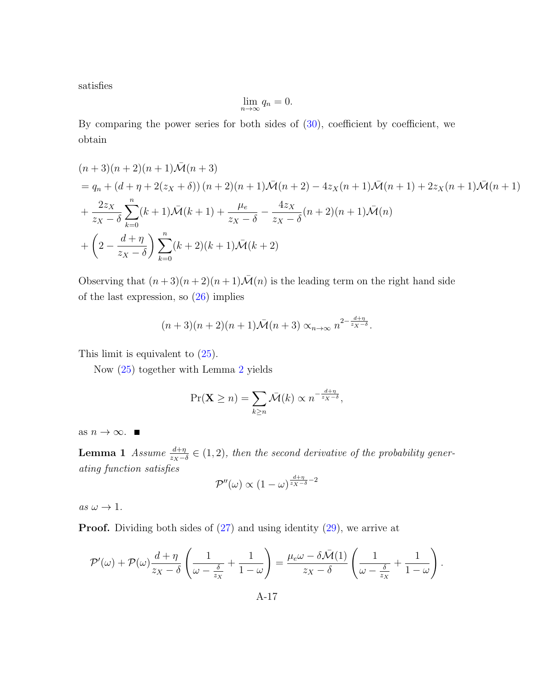satisfies

$$
\lim_{n \to \infty} q_n = 0.
$$

By comparing the power series for both sides of [\(30\)](#page-62-0), coefficient by coefficient, we obtain

$$
(n+3)(n+2)(n+1)\bar{\mathcal{M}}(n+3)
$$
  
=  $q_n + (d + \eta + 2(z_X + \delta)) (n+2)(n+1)\bar{\mathcal{M}}(n+2) - 4z_X(n+1)\bar{\mathcal{M}}(n+1) + 2z_X(n+1)\bar{\mathcal{M}}(n+1)$   
+  $\frac{2z_X}{z_X - \delta} \sum_{k=0}^n (k+1)\bar{\mathcal{M}}(k+1) + \frac{\mu_e}{z_X - \delta} - \frac{4z_X}{z_X - \delta}(n+2)(n+1)\bar{\mathcal{M}}(n)$   
+  $\left(2 - \frac{d+\eta}{z_X - \delta}\right) \sum_{k=0}^n (k+2)(k+1)\bar{\mathcal{M}}(k+2)$ 

Observing that  $(n+3)(n+2)(n+1)\overline{\mathcal{M}}(n)$  is the leading term on the right hand side of the last expression, so [\(26\)](#page-60-1) implies

$$
(n+3)(n+2)(n+1)\bar{\mathcal{M}}(n+3) \propto_{n\to\infty} n^{2-\frac{d+\eta}{z_X-\delta}}.
$$

This limit is equivalent to [\(25\)](#page-60-0).

Now [\(25\)](#page-60-0) together with Lemma [2](#page-67-0) yields

$$
\Pr(\mathbf{X} \ge n) = \sum_{k \ge n} \bar{\mathcal{M}}(k) \propto n^{-\frac{d+\eta}{z_X - \delta}},
$$

<span id="page-63-0"></span>as  $n \to \infty$ . ■

**Lemma 1** Assume  $\frac{d+\eta}{zx-\delta} \in (1,2)$ , then the second derivative of the probability generating function satisfies

$$
\mathcal{P}''(\omega) \propto (1-\omega)^{\frac{d+\eta}{z_X-\delta}-2}
$$

as  $\omega \rightarrow 1$ .

Proof. Dividing both sides of [\(27\)](#page-61-1) and using identity [\(29\)](#page-61-2), we arrive at

$$
\mathcal{P}'(\omega) + \mathcal{P}(\omega) \frac{d+\eta}{z_X - \delta} \left( \frac{1}{\omega - \frac{\delta}{z_X}} + \frac{1}{1-\omega} \right) = \frac{\mu_e \omega - \delta \bar{\mathcal{M}}(1)}{z_X - \delta} \left( \frac{1}{\omega - \frac{\delta}{z_X}} + \frac{1}{1-\omega} \right).
$$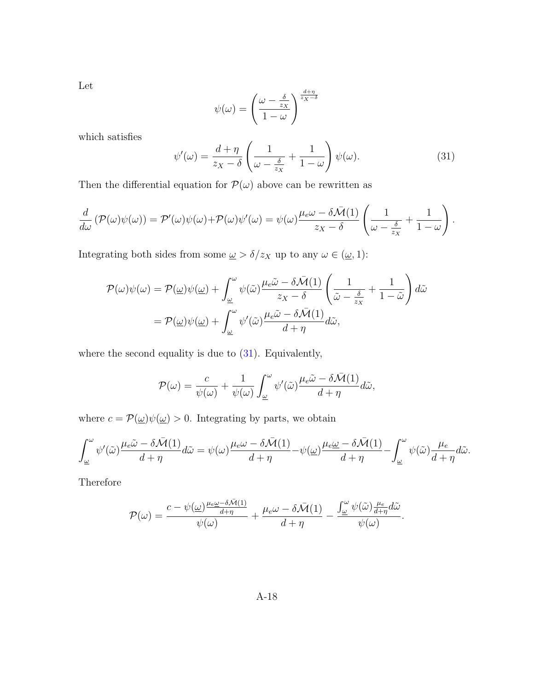Let

$$
\psi(\omega) = \left(\frac{\omega - \frac{\delta}{z_X}}{1 - \omega}\right)^{\frac{d + \eta}{z_X - \delta}}
$$

which satisfies

<span id="page-64-0"></span>
$$
\psi'(\omega) = \frac{d+\eta}{z_X - \delta} \left( \frac{1}{\omega - \frac{\delta}{z_X}} + \frac{1}{1-\omega} \right) \psi(\omega). \tag{31}
$$

.

Then the differential equation for  $\mathcal{P}(\omega)$  above can be rewritten as

$$
\frac{d}{d\omega} \left( \mathcal{P}(\omega)\psi(\omega) \right) = \mathcal{P}'(\omega)\psi(\omega) + \mathcal{P}(\omega)\psi'(\omega) = \psi(\omega)\frac{\mu_e\omega - \delta\bar{\mathcal{M}}(1)}{z_X - \delta} \left( \frac{1}{\omega - \frac{\delta}{z_X}} + \frac{1}{1 - \omega} \right)
$$

Integrating both sides from some  $\underline{\omega} > \delta/z_X$  up to any  $\omega \in (\underline{\omega}, 1)$ :

$$
\mathcal{P}(\omega)\psi(\omega) = \mathcal{P}(\underline{\omega})\psi(\underline{\omega}) + \int_{\underline{\omega}}^{\omega} \psi(\tilde{\omega}) \frac{\mu_e \tilde{\omega} - \delta \bar{\mathcal{M}}(1)}{z_X - \delta} \left(\frac{1}{\tilde{\omega} - \frac{\delta}{z_X}} + \frac{1}{1 - \tilde{\omega}}\right) d\tilde{\omega}
$$

$$
= \mathcal{P}(\underline{\omega})\psi(\underline{\omega}) + \int_{\underline{\omega}}^{\omega} \psi'(\tilde{\omega}) \frac{\mu_e \tilde{\omega} - \delta \bar{\mathcal{M}}(1)}{d + \eta} d\tilde{\omega},
$$

where the second equality is due to [\(31\)](#page-64-0). Equivalently,

$$
\mathcal{P}(\omega) = \frac{c}{\psi(\omega)} + \frac{1}{\psi(\omega)} \int_{\underline{\omega}}^{\omega} \psi'(\tilde{\omega}) \frac{\mu_e \tilde{\omega} - \delta \bar{\mathcal{M}}(1)}{d + \eta} d\tilde{\omega},
$$

where  $c = \mathcal{P}(\underline{\omega})\psi(\underline{\omega}) > 0$ . Integrating by parts, we obtain

$$
\int_{\underline{\omega}}^{\omega} \psi'(\tilde{\omega}) \frac{\mu_e \tilde{\omega} - \delta \bar{\mathcal{M}}(1)}{d + \eta} d\tilde{\omega} = \psi(\omega) \frac{\mu_e \omega - \delta \bar{\mathcal{M}}(1)}{d + \eta} - \psi(\underline{\omega}) \frac{\mu_e \omega - \delta \bar{\mathcal{M}}(1)}{d + \eta} - \int_{\underline{\omega}}^{\omega} \psi(\tilde{\omega}) \frac{\mu_e}{d + \eta} d\tilde{\omega}.
$$

Therefore

$$
\mathcal{P}(\omega) = \frac{c - \psi(\omega) \frac{\mu_e \omega - \delta \bar{\mathcal{M}}(1)}{d + \eta}}{\psi(\omega)} + \frac{\mu_e \omega - \delta \bar{\mathcal{M}}(1)}{d + \eta} - \frac{\int_{\omega}^{\omega} \psi(\tilde{\omega}) \frac{\mu_e}{d + \eta} d\tilde{\omega}}{\psi(\omega)}.
$$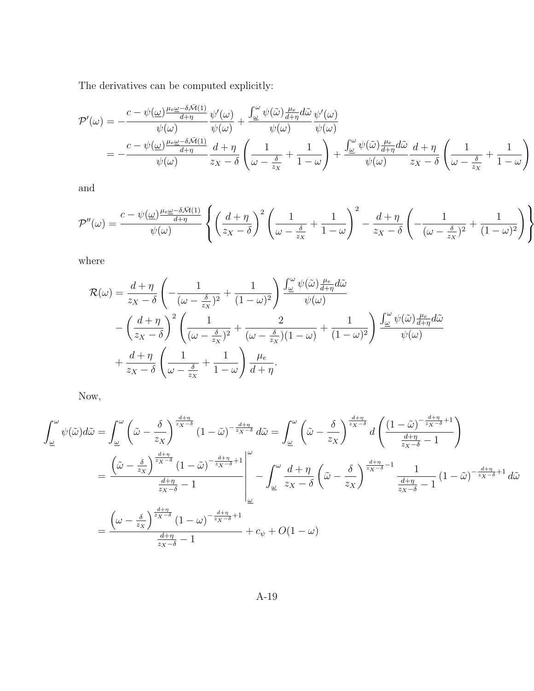The derivatives can be computed explicitly:

$$
\mathcal{P}'(\omega) = -\frac{c - \psi(\omega)\frac{\mu_e \omega - \delta \bar{\mathcal{M}}(1)}{d + \eta}}{\psi(\omega)} \frac{\psi'(\omega)}{\psi(\omega)} + \frac{\int_{\omega}^{\omega} \psi(\tilde{\omega})\frac{\mu_e}{d + \eta} d\tilde{\omega}}{\psi(\omega)} \frac{\psi'(\omega)}{\psi(\omega)}
$$
  
= 
$$
-\frac{c - \psi(\omega)\frac{\mu_e \omega - \delta \bar{\mathcal{M}}(1)}{d + \eta}}{\psi(\omega)} \frac{d + \eta}{z_X - \delta} \left(\frac{1}{\omega - \frac{\delta}{z_X}} + \frac{1}{1 - \omega}\right) + \frac{\int_{\omega}^{\omega} \psi(\tilde{\omega})\frac{\mu_e}{d + \eta} d\tilde{\omega}}{\psi(\omega)} \frac{d + \eta}{z_X - \delta} \left(\frac{1}{\omega - \frac{\delta}{z_X}} + \frac{1}{1 - \omega}\right)
$$

and

$$
\mathcal{P}''(\omega) = \frac{c - \psi(\omega)\frac{\mu_e \omega - \delta \bar{\mathcal{M}}(1)}{d + \eta}}{\psi(\omega)} \left\{ \left( \frac{d + \eta}{z_X - \delta} \right)^2 \left( \frac{1}{\omega - \frac{\delta}{z_X}} + \frac{1}{1 - \omega} \right)^2 - \frac{d + \eta}{z_X - \delta} \left( -\frac{1}{(\omega - \frac{\delta}{z_X})^2} + \frac{1}{(1 - \omega)^2} \right) \right\}
$$

where

$$
\mathcal{R}(\omega) = \frac{d+\eta}{z_X - \delta} \left( -\frac{1}{(\omega - \frac{\delta}{z_X})^2} + \frac{1}{(1 - \omega)^2} \right) \frac{\int_{\omega}^{\omega} \psi(\tilde{\omega}) \frac{\mu_e}{d+\eta} d\tilde{\omega}}{\psi(\omega)}
$$

$$
- \left( \frac{d+\eta}{z_X - \delta} \right)^2 \left( \frac{1}{(\omega - \frac{\delta}{z_X})^2} + \frac{2}{(\omega - \frac{\delta}{z_X})(1 - \omega)} + \frac{1}{(1 - \omega)^2} \right) \frac{\int_{\omega}^{\omega} \psi(\tilde{\omega}) \frac{\mu_e}{d+\eta} d\tilde{\omega}}{\psi(\omega)}
$$

$$
+ \frac{d+\eta}{z_X - \delta} \left( \frac{1}{\omega - \frac{\delta}{z_X}} + \frac{1}{1 - \omega} \right) \frac{\mu_e}{d+\eta}.
$$

Now,

$$
\int_{\underline{\omega}}^{\omega} \psi(\tilde{\omega}) d\tilde{\omega} = \int_{\underline{\omega}}^{\omega} \left( \tilde{\omega} - \frac{\delta}{z_X} \right)^{\frac{d+\eta}{z_X - \delta}} (1 - \tilde{\omega})^{-\frac{d+\eta}{z_X - \delta}} d\tilde{\omega} = \int_{\underline{\omega}}^{\omega} \left( \tilde{\omega} - \frac{\delta}{z_X} \right)^{\frac{d+\eta}{z_X - \delta}} d \left( \frac{(1 - \tilde{\omega})^{-\frac{d+\eta}{z_X - \delta} + 1}}{\frac{d+\eta}{z_X - \delta} - 1} \right)
$$
  
\n
$$
= \frac{\left( \tilde{\omega} - \frac{\delta}{z_X} \right)^{\frac{d+\eta}{z_X - \delta}} (1 - \tilde{\omega})^{-\frac{d+\eta}{z_X - \delta} + 1} \Big|_{\underline{\omega}}^{\omega}}{-\int_{\underline{\omega}}^{\omega} \frac{d+\eta}{z_X - \delta} \left( \tilde{\omega} - \frac{\delta}{z_X} \right)^{\frac{d+\eta}{z_X - \delta} - 1} \frac{1}{\frac{d+\eta}{z_X - \delta} - 1} (1 - \tilde{\omega})^{-\frac{d+\eta}{z_X - \delta} + 1} d\tilde{\omega}
$$
  
\n
$$
= \frac{\left( \omega - \frac{\delta}{z_X} \right)^{\frac{d+\eta}{z_X - \delta}} (1 - \omega)^{-\frac{d+\eta}{z_X - \delta} + 1}}{\frac{d+\eta}{z_X - \delta} - 1} + c_{\psi} + O(1 - \omega)
$$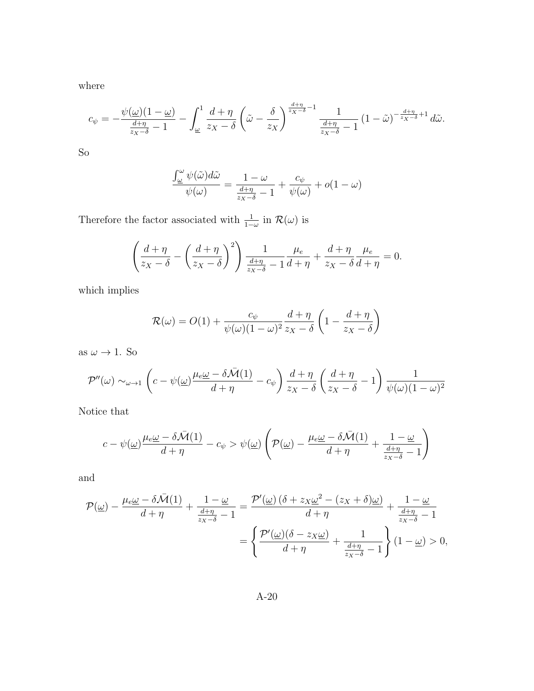where

$$
c_{\psi} = -\frac{\psi(\underline{\omega})(1-\underline{\omega})}{\frac{d+\eta}{z_X-\delta}-1} - \int_{\underline{\omega}}^1 \frac{d+\eta}{z_X-\delta} \left(\tilde{\omega} - \frac{\delta}{z_X}\right)^{\frac{d+\eta}{z_X-\delta}-1} \frac{1}{\frac{d+\eta}{z_X-\delta}-1} \left(1-\tilde{\omega}\right)^{-\frac{d+\eta}{z_X-\delta}+1} d\tilde{\omega}.
$$

So

$$
\frac{\int_{\omega}^{\omega} \psi(\tilde{\omega})d\tilde{\omega}}{\psi(\omega)} = \frac{1-\omega}{\frac{d+\eta}{z_x-\delta}-1} + \frac{c_{\psi}}{\psi(\omega)} + o(1-\omega)
$$

Therefore the factor associated with  $\frac{1}{1-\omega}$  in  $\mathcal{R}(\omega)$  is

$$
\left(\frac{d+\eta}{z_X-\delta}-\left(\frac{d+\eta}{z_X-\delta}\right)^2\right)\frac{1}{\frac{d+\eta}{z_X-\delta}-1}\frac{\mu_e}{d+\eta}+\frac{d+\eta}{z_X-\delta}\frac{\mu_e}{d+\eta}=0.
$$

which implies

$$
\mathcal{R}(\omega) = O(1) + \frac{c_{\psi}}{\psi(\omega)(1-\omega)^2} \frac{d+\eta}{z_X - \delta} \left(1 - \frac{d+\eta}{z_X - \delta}\right)
$$

as  $\omega \to 1$  . So

$$
\mathcal{P}''(\omega) \sim_{\omega \to 1} \left( c - \psi(\omega) \frac{\mu_e \omega - \delta \bar{\mathcal{M}}(1)}{d + \eta} - c_{\psi} \right) \frac{d + \eta}{z_X - \delta} \left( \frac{d + \eta}{z_X - \delta} - 1 \right) \frac{1}{\psi(\omega)(1 - \omega)^2}
$$

Notice that

$$
c - \psi(\underline{\omega}) \frac{\mu_e \underline{\omega} - \delta \bar{\mathcal{M}}(1)}{d + \eta} - c_{\psi} > \psi(\underline{\omega}) \left( \mathcal{P}(\underline{\omega}) - \frac{\mu_e \underline{\omega} - \delta \bar{\mathcal{M}}(1)}{d + \eta} + \frac{1 - \underline{\omega}}{\frac{d + \eta}{z_X - \delta} - 1} \right)
$$

and

$$
\mathcal{P}(\underline{\omega}) - \frac{\mu_e \underline{\omega} - \delta \bar{\mathcal{M}}(1)}{d + \eta} + \frac{1 - \underline{\omega}}{\frac{d + \eta}{z_x - \delta} - 1} = \frac{\mathcal{P}'(\underline{\omega}) \left(\delta + z_x \underline{\omega}^2 - (z_x + \delta)\underline{\omega}\right)}{d + \eta} + \frac{1 - \underline{\omega}}{\frac{d + \eta}{z_x - \delta} - 1}
$$

$$
= \left\{ \frac{\mathcal{P}'(\underline{\omega}) (\delta - z_x \underline{\omega})}{d + \eta} + \frac{1}{\frac{d + \eta}{z_x - \delta} - 1} \right\} (1 - \underline{\omega}) > 0,
$$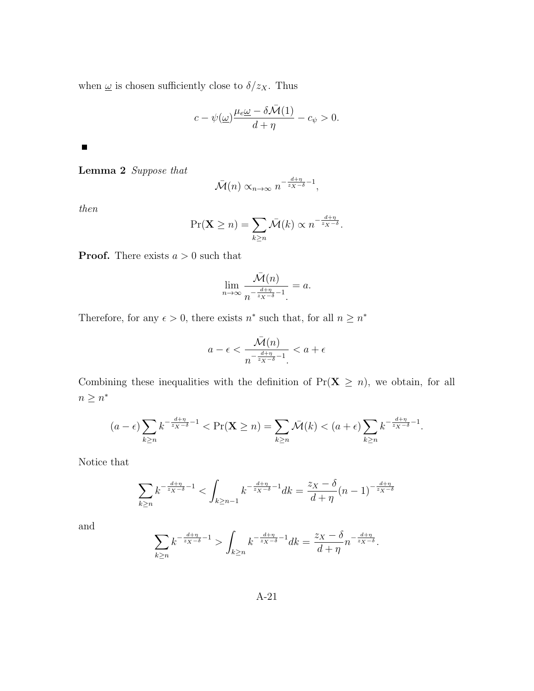when  $\underline{\omega}$  is chosen sufficiently close to<br>  $\delta/z_X.$  Thus

$$
c-\psi(\underline{\omega})\frac{\mu_e\underline{\omega}-\delta\bar{\mathcal{M}}(1)}{d+\eta}-c_\psi>0.
$$

<span id="page-67-0"></span> $\blacksquare$ 

Lemma 2 Suppose that

$$
\bar{\mathcal{M}}(n) \propto_{n \to \infty} n^{-\frac{d+\eta}{z_X - \delta} - 1},
$$

then

$$
\Pr(\mathbf{X} \ge n) = \sum_{k \ge n} \bar{\mathcal{M}}(k) \propto n^{-\frac{d+n}{z_X - \delta}}.
$$

**Proof.** There exists  $a > 0$  such that

$$
\lim_{n \to \infty} \frac{\bar{\mathcal{M}}(n)}{n^{-\frac{d+\eta}{z_X - \delta} - 1}} = a.
$$

Therefore, for any  $\epsilon > 0$ , there exists  $n^*$  such that, for all  $n \geq n^*$ 

$$
a-\epsilon < \frac{\bar{\mathcal{M}}(n)}{n^{-\frac{d+\eta}{z_X-\delta}-1}} < a+\epsilon
$$

Combining these inequalities with the definition of  $Pr(X \ge n)$ , we obtain, for all  $n \geq n^*$ 

$$
(a-\epsilon)\sum_{k\geq n}k^{-\frac{d+\eta}{z_X-\delta}-1} < \Pr(\mathbf{X}\geq n) = \sum_{k\geq n} \bar{\mathcal{M}}(k) < (a+\epsilon)\sum_{k\geq n}k^{-\frac{d+\eta}{z_X-\delta}-1}.
$$

Notice that

$$
\sum_{k\geq n} k^{-\frac{d+\eta}{z_X-\delta}-1} < \int_{k\geq n-1} k^{-\frac{d+\eta}{z_X-\delta}-1} dk = \frac{z_X-\delta}{d+\eta}(n-1)^{-\frac{d+\eta}{z_X-\delta}}
$$

and

$$
\sum_{k\geq n} k^{-\frac{d+\eta}{z_X-\delta}-1} > \int_{k\geq n} k^{-\frac{d+\eta}{z_X-\delta}-1} dk = \frac{z_X-\delta}{d+\eta} n^{-\frac{d+\eta}{z_X-\delta}}.
$$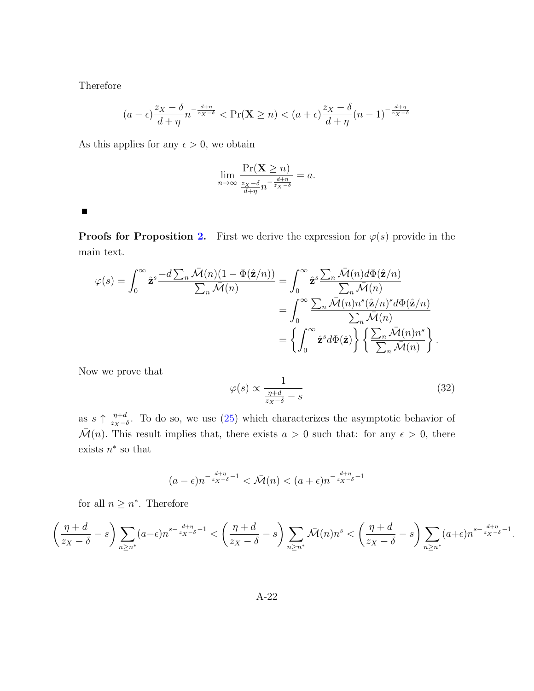Therefore

$$
(a - \epsilon)\frac{z_X - \delta}{d + \eta} n^{-\frac{d + \eta}{z_X - \delta}} < \Pr(\mathbf{X} \ge n) < (a + \epsilon)\frac{z_X - \delta}{d + \eta}(n - 1)^{-\frac{d + \eta}{z_X - \delta}}
$$

As this applies for any  $\epsilon > 0$ , we obtain

$$
\lim_{n \to \infty} \frac{\Pr(\mathbf{X} \ge n)}{\frac{z_X - \delta}{d + \eta} n^{-\frac{d + \eta}{z_X - \delta}}} = a.
$$

 $\blacksquare$ 

**Proofs for Proposition [2.](#page-22-0)** First we derive the expression for  $\varphi(s)$  provide in the main text.

$$
\varphi(s) = \int_0^\infty \hat{\mathbf{z}}^s \frac{-d \sum_n \bar{\mathcal{M}}(n)(1 - \Phi(\hat{\mathbf{z}}/n))}{\sum_n \bar{\mathcal{M}}(n)} = \int_0^\infty \hat{\mathbf{z}}^s \frac{\sum_n \bar{\mathcal{M}}(n) d\Phi(\hat{\mathbf{z}}/n)}{\sum_n \bar{\mathcal{M}}(n)} \n= \int_0^\infty \frac{\sum_n \bar{\mathcal{M}}(n) n^s(\hat{\mathbf{z}}/n)^s d\Phi(\hat{\mathbf{z}}/n)}{\sum_n \bar{\mathcal{M}}(n)} \n= \left\{ \int_0^\infty \hat{\mathbf{z}}^s d\Phi(\hat{\mathbf{z}}) \right\} \left\{ \frac{\sum_n \bar{\mathcal{M}}(n) n^s}{\sum_n \bar{\mathcal{M}}(n)} \right\}.
$$

Now we prove that

<span id="page-68-0"></span>
$$
\varphi(s) \propto \frac{1}{\frac{\eta + d}{z_X - \delta} - s} \tag{32}
$$

.

as  $s \uparrow \frac{\eta+d}{z-1}$  $\frac{\eta+d}{z_x-\delta}$ . To do so, we use [\(25\)](#page-60-0) which characterizes the asymptotic behavior of  $\overline{\mathcal{M}}(n)$ . This result implies that, there exists  $a > 0$  such that: for any  $\epsilon > 0$ , there exists  $n^*$  so that

$$
(a-\epsilon)n^{-\frac{d+\eta}{z_X-\delta}-1} < \bar{\mathcal{M}}(n) < (a+\epsilon)n^{-\frac{d+\eta}{z_X-\delta}-1}
$$

for all  $n \geq n^*$ . Therefore

$$
\left(\frac{\eta+d}{z_X-\delta}-s\right)\sum_{n\geq n^*}(a-\epsilon)n^{s-\frac{d+\eta}{z_X-\delta}-1}<\left(\frac{\eta+d}{z_X-\delta}-s\right)\sum_{n\geq n^*}\bar{\mathcal{M}}(n)n^s<\left(\frac{\eta+d}{z_X-\delta}-s\right)\sum_{n\geq n^*}(a+\epsilon)n^{s-\frac{d+\eta}{z_X-\delta}-1}
$$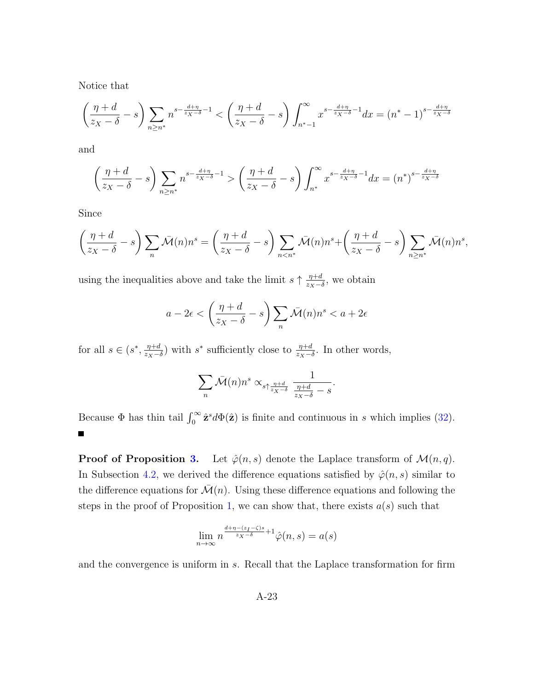Notice that

$$
\left(\frac{\eta+d}{z_X-\delta}-s\right)\sum_{n\geq n^*}n^{s-\frac{d+\eta}{z_X-\delta}-1} < \left(\frac{\eta+d}{z_X-\delta}-s\right)\int_{n^*-1}^{\infty}x^{s-\frac{d+\eta}{z_X-\delta}-1}dx = (n^*-1)^{s-\frac{d+\eta}{z_X-\delta}}
$$

and

$$
\left(\frac{\eta+d}{z_X-\delta}-s\right)\sum_{n\geq n^*}n^{s-\frac{d+\eta}{z_X-\delta}-1} > \left(\frac{\eta+d}{z_X-\delta}-s\right)\int_{n^*}^{\infty}x^{s-\frac{d+\eta}{z_X-\delta}-1}dx = (n^*)^{s-\frac{d+\eta}{z_X-\delta}}
$$

Since

$$
\left(\frac{\eta+d}{z_X-\delta}-s\right)\sum_{n}\bar{\mathcal{M}}(n)n^s = \left(\frac{\eta+d}{z_X-\delta}-s\right)\sum_{n
$$

using the inequalities above and take the limit  $s \uparrow \frac{\eta+d}{\gamma}$  $\frac{\eta+d}{z_X-\delta}$ , we obtain

$$
a - 2\epsilon < \left(\frac{\eta + d}{z_X - \delta} - s\right) \sum_n \bar{\mathcal{M}}(n) n^s < a + 2\epsilon
$$

for all  $s \in (s^*, \frac{\eta+d}{\eta s})$  $\frac{\eta+d}{z_X-\delta}$ ) with s<sup>\*</sup> sufficiently close to  $\frac{\eta+d}{z_X-\delta}$ . In other words,

$$
\sum_{n} \bar{\mathcal{M}}(n) n^{s} \propto_{s \uparrow \frac{\eta + d}{z_X - \delta}} \frac{1}{\frac{\eta + d}{z_X - \delta} - s}.
$$

Because  $\Phi$  has thin tail  $\int_0^\infty \hat{\mathbf{z}}^s d\Phi(\hat{\mathbf{z}})$  is finite and continuous in s which implies [\(32\)](#page-68-0). П

**Proof of Proposition [3.](#page-23-0)** Let  $\hat{\varphi}(n, s)$  denote the Laplace transform of  $\mathcal{M}(n, q)$ . In Subsection [4.2,](#page-20-1) we derived the difference equations satisfied by  $\hat{\varphi}(n, s)$  similar to the difference equations for  $\mathcal{M}(n)$ . Using these difference equations and following the steps in the proof of Proposition [1,](#page-21-1) we can show that, there exists  $a(s)$  such that

$$
\lim_{n \to \infty} n^{\frac{d + \eta - (z_I - \zeta)s}{z_X - \delta} + 1} \hat{\varphi}(n, s) = a(s)
$$

and the convergence is uniform in s. Recall that the Laplace transformation for firm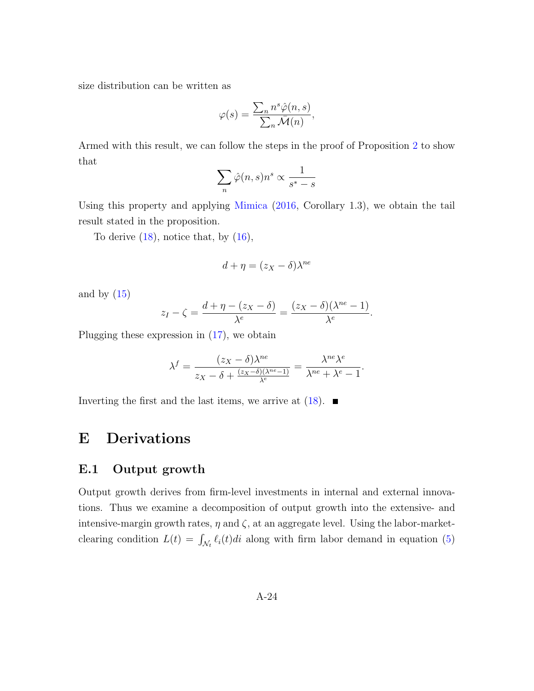size distribution can be written as

$$
\varphi(s) = \frac{\sum_{n} n^{s} \hat{\varphi}(n, s)}{\sum_{n} \bar{\mathcal{M}}(n)},
$$

Armed with this result, we can follow the steps in the proof of Proposition [2](#page-22-0) to show that

$$
\sum_n \hat{\varphi}(n,s) n^s \propto \frac{1}{s^*-s}
$$

Using this property and applying [Mimica](#page-39-1) [\(2016,](#page-39-1) Corollary 1.3), we obtain the tail result stated in the proposition.

To derive  $(18)$ , notice that, by  $(16)$ ,

$$
d + \eta = (z_X - \delta)\lambda^{ne}
$$

and by  $(15)$ 

$$
z_I - \zeta = \frac{d + \eta - (z_X - \delta)}{\lambda^e} = \frac{(z_X - \delta)(\lambda^{ne} - 1)}{\lambda^e}.
$$

Plugging these expression in [\(17\)](#page-23-2), we obtain

$$
\lambda^{f} = \frac{(z_X - \delta)\lambda^{ne}}{z_X - \delta + \frac{(z_X - \delta)(\lambda^{ne} - 1)}{\lambda^{e}}} = \frac{\lambda^{ne}\lambda^{e}}{\lambda^{ne} + \lambda^{e} - 1}.
$$

Inverting the first and the last items, we arrive at  $(18)$ .

### E Derivations

#### E.1 Output growth

Output growth derives from firm-level investments in internal and external innovations. Thus we examine a decomposition of output growth into the extensive- and intensive-margin growth rates,  $\eta$  and  $\zeta$ , at an aggregate level. Using the labor-marketclearing condition  $L(t) = \int_{\mathcal{N}_t} \ell_i(t)dt$  along with firm labor demand in equation [\(5\)](#page-12-0)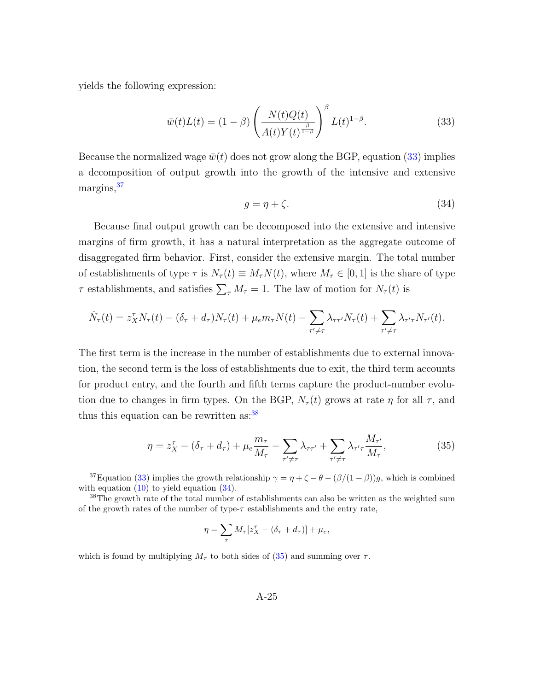yields the following expression:

<span id="page-71-0"></span>
$$
\bar{w}(t)L(t) = (1 - \beta) \left( \frac{N(t)Q(t)}{A(t)Y(t)^{\frac{\beta}{1 - \beta}}} \right)^{\beta} L(t)^{1 - \beta}.
$$
 (33)

Because the normalized wage  $\bar{w}(t)$  does not grow along the BGP, equation [\(33\)](#page-71-0) implies a decomposition of output growth into the growth of the intensive and extensive margins, $37$ 

<span id="page-71-3"></span>
$$
g = \eta + \zeta. \tag{34}
$$

Because final output growth can be decomposed into the extensive and intensive margins of firm growth, it has a natural interpretation as the aggregate outcome of disaggregated firm behavior. First, consider the extensive margin. The total number of establishments of type  $\tau$  is  $N_{\tau}(t) \equiv M_{\tau} N(t)$ , where  $M_{\tau} \in [0, 1]$  is the share of type  $\tau$  establishments, and satisfies  $\sum_{\tau} M_{\tau} = 1$ . The law of motion for  $N_{\tau}(t)$  is

$$
\dot{N}_{\tau}(t) = z_{X}^{\tau} N_{\tau}(t) - (\delta_{\tau} + d_{\tau}) N_{\tau}(t) + \mu_{e} m_{\tau} N(t) - \sum_{\tau' \neq \tau} \lambda_{\tau \tau'} N_{\tau}(t) + \sum_{\tau' \neq \tau} \lambda_{\tau' \tau} N_{\tau'}(t).
$$

The first term is the increase in the number of establishments due to external innovation, the second term is the loss of establishments due to exit, the third term accounts for product entry, and the fourth and fifth terms capture the product-number evolution due to changes in firm types. On the BGP,  $N_{\tau}(t)$  grows at rate  $\eta$  for all  $\tau$ , and thus this equation can be rewritten as:<sup>[38](#page-71-2)</sup>

<span id="page-71-4"></span>
$$
\eta = z_X^{\tau} - (\delta_{\tau} + d_{\tau}) + \mu_e \frac{m_{\tau}}{M_{\tau}} - \sum_{\tau' \neq \tau} \lambda_{\tau \tau'} + \sum_{\tau' \neq \tau} \lambda_{\tau' \tau} \frac{M_{\tau'}}{M_{\tau}},
$$
(35)

$$
\eta = \sum_{\tau} M_{\tau} [z_X^{\tau} - (\delta_{\tau} + d_{\tau})] + \mu_e,
$$

which is found by multiplying  $M_{\tau}$  to both sides of [\(35\)](#page-71-4) and summing over  $\tau$ .

<span id="page-71-1"></span><sup>&</sup>lt;sup>37</sup>Equation [\(33\)](#page-71-0) implies the growth relationship  $\gamma = \eta + \zeta - \theta - (\beta/(1 - \beta))g$ , which is combined with equation  $(10)$  to yield equation  $(34)$ .

<span id="page-71-2"></span><sup>38</sup>The growth rate of the total number of establishments can also be written as the weighted sum of the growth rates of the number of type- $\tau$  establishments and the entry rate,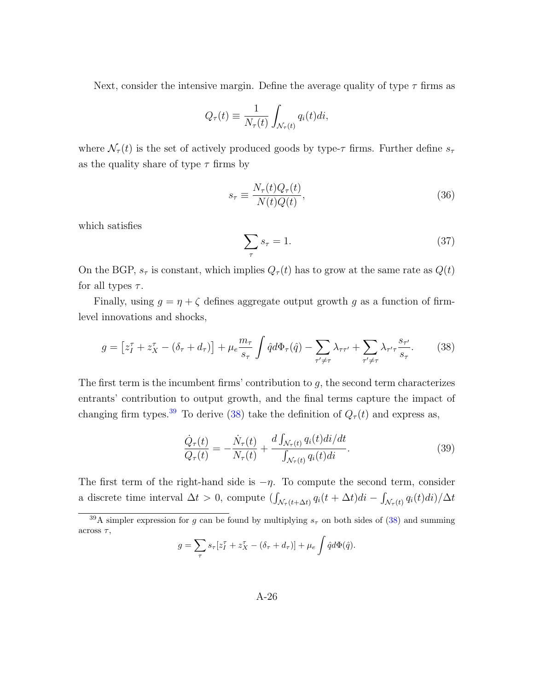Next, consider the intensive margin. Define the average quality of type  $\tau$  firms as

$$
Q_{\tau}(t) \equiv \frac{1}{N_{\tau}(t)} \int_{\mathcal{N}_{\tau}(t)} q_i(t) dt,
$$

where  $\mathcal{N}_{\tau}(t)$  is the set of actively produced goods by type- $\tau$  firms. Further define  $s_{\tau}$ as the quality share of type  $\tau$  firms by

$$
s_{\tau} \equiv \frac{N_{\tau}(t)Q_{\tau}(t)}{N(t)Q(t)},\tag{36}
$$

which satisfies

$$
\sum_{\tau} s_{\tau} = 1. \tag{37}
$$

On the BGP,  $s_{\tau}$  is constant, which implies  $Q_{\tau}(t)$  has to grow at the same rate as  $Q(t)$ for all types  $\tau$ .

Finally, using  $g = \eta + \zeta$  defines aggregate output growth g as a function of firmlevel innovations and shocks,

<span id="page-72-1"></span>
$$
g = \left[z_I^{\tau} + z_X^{\tau} - (\delta_{\tau} + d_{\tau})\right] + \mu_e \frac{m_{\tau}}{s_{\tau}} \int \hat{q} d\Phi_{\tau}(\hat{q}) - \sum_{\tau' \neq \tau} \lambda_{\tau \tau'} + \sum_{\tau' \neq \tau} \lambda_{\tau' \tau} \frac{s_{\tau'}}{s_{\tau}}.
$$
 (38)

The first term is the incumbent firms' contribution to  $g$ , the second term characterizes entrants' contribution to output growth, and the final terms capture the impact of changing firm types.<sup>[39](#page-72-0)</sup> To derive [\(38\)](#page-72-1) take the definition of  $Q_{\tau}(t)$  and express as,

<span id="page-72-2"></span>
$$
\frac{\dot{Q}_{\tau}(t)}{Q_{\tau}(t)} = -\frac{\dot{N}_{\tau}(t)}{N_{\tau}(t)} + \frac{d \int_{\mathcal{N}_{\tau}(t)} q_i(t)di/dt}{\int_{\mathcal{N}_{\tau}(t)} q_i(t)di}.\tag{39}
$$

The first term of the right-hand side is  $-\eta$ . To compute the second term, consider a discrete time interval  $\Delta t > 0$ , compute  $(\int_{\mathcal{N}_\tau(t+\Delta t)} q_i(t+\Delta t)di - \int_{\mathcal{N}_\tau(t)} q_i(t)di)/\Delta t$ 

$$
g = \sum_{\tau} s_{\tau} [z_I^{\tau} + z_X^{\tau} - (\delta_{\tau} + d_{\tau})] + \mu_e \int \hat{q} d\Phi(\hat{q}).
$$

<span id="page-72-0"></span><sup>&</sup>lt;sup>39</sup>A simpler expression for g can be found by multiplying  $s<sub>\tau</sub>$  on both sides of [\(38\)](#page-72-1) and summing across  $\tau$ ,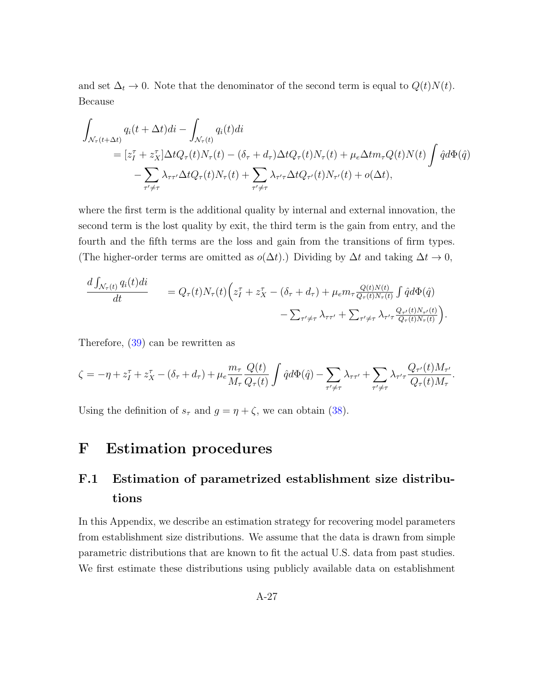and set  $\Delta_t \to 0$ . Note that the denominator of the second term is equal to  $Q(t)N(t)$ . Because

$$
\int_{\mathcal{N}_{\tau}(t+\Delta t)} q_i(t+\Delta t)di - \int_{\mathcal{N}_{\tau}(t)} q_i(t)di
$$
\n
$$
= [z_I^{\tau} + z_X^{\tau}] \Delta t Q_{\tau}(t) N_{\tau}(t) - (\delta_{\tau} + d_{\tau}) \Delta t Q_{\tau}(t) N_{\tau}(t) + \mu_e \Delta t m_{\tau} Q(t) N(t) \int \hat{q} d\Phi(\hat{q})
$$
\n
$$
- \sum_{\tau' \neq \tau} \lambda_{\tau \tau'} \Delta t Q_{\tau}(t) N_{\tau}(t) + \sum_{\tau' \neq \tau} \lambda_{\tau' \tau} \Delta t Q_{\tau'}(t) N_{\tau'}(t) + o(\Delta t),
$$

where the first term is the additional quality by internal and external innovation, the second term is the lost quality by exit, the third term is the gain from entry, and the fourth and the fifth terms are the loss and gain from the transitions of firm types. (The higher-order terms are omitted as  $o(\Delta t)$ .) Dividing by  $\Delta t$  and taking  $\Delta t \to 0$ ,

$$
\frac{d \int_{\mathcal{N}_{\tau}(t)} q_i(t)dt}{dt} = Q_{\tau}(t)N_{\tau}(t) \Big(z_I^{\tau} + z_X^{\tau} - (\delta_{\tau} + d_{\tau}) + \mu_e m_{\tau} \frac{Q(t)N(t)}{Q_{\tau}(t)N_{\tau}(t)} \int \hat{q}d\Phi(\hat{q}) - \sum_{\tau' \neq \tau} \lambda_{\tau\tau'} + \sum_{\tau' \neq \tau} \lambda_{\tau'\tau} \frac{Q_{\tau'}(t)N_{\tau'}(t)}{Q_{\tau}(t)N_{\tau}(t)} \Big).
$$

Therefore, [\(39\)](#page-72-2) can be rewritten as

$$
\zeta = -\eta + z_I^{\tau} + z_X^{\tau} - (\delta_{\tau} + d_{\tau}) + \mu_e \frac{m_{\tau}}{M_{\tau}} \frac{Q(t)}{Q_{\tau}(t)} \int \hat{q} d\Phi(\hat{q}) - \sum_{\tau' \neq \tau} \lambda_{\tau\tau'} + \sum_{\tau' \neq \tau} \lambda_{\tau'\tau} \frac{Q_{\tau'}(t)M_{\tau'}}{Q_{\tau}(t)M_{\tau}}.
$$

Using the definition of  $s_{\tau}$  and  $g = \eta + \zeta$ , we can obtain [\(38\)](#page-72-1).

## F Estimation procedures

## <span id="page-73-0"></span>F.1 Estimation of parametrized establishment size distributions

In this Appendix, we describe an estimation strategy for recovering model parameters from establishment size distributions. We assume that the data is drawn from simple parametric distributions that are known to fit the actual U.S. data from past studies. We first estimate these distributions using publicly available data on establishment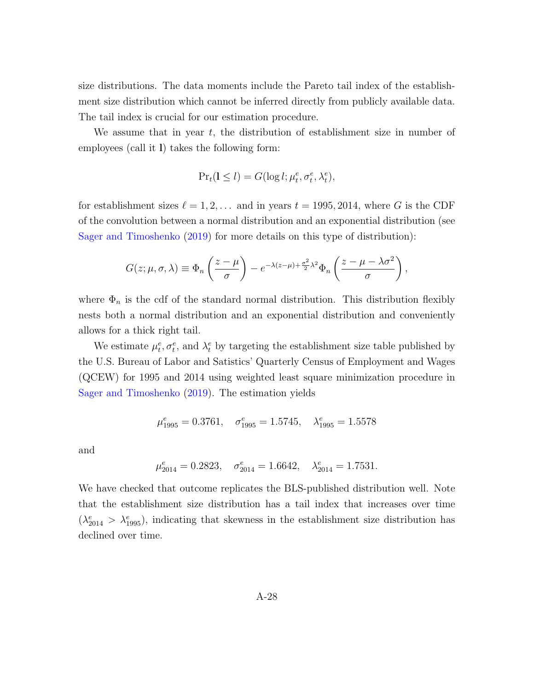size distributions. The data moments include the Pareto tail index of the establishment size distribution which cannot be inferred directly from publicly available data. The tail index is crucial for our estimation procedure.

We assume that in year  $t$ , the distribution of establishment size in number of employees (call it l) takes the following form:

$$
\Pr_t(1 \le l) = G(\log l; \mu_t^e, \sigma_t^e, \lambda_t^e),
$$

for establishment sizes  $\ell = 1, 2, \ldots$  and in years  $t = 1995, 2014$ , where G is the CDF of the convolution between a normal distribution and an exponential distribution (see [Sager and Timoshenko](#page-40-0) [\(2019\)](#page-40-0) for more details on this type of distribution):

$$
G(z; \mu, \sigma, \lambda) \equiv \Phi_n \left( \frac{z - \mu}{\sigma} \right) - e^{-\lambda (z - \mu) + \frac{\sigma^2}{2} \lambda^2} \Phi_n \left( \frac{z - \mu - \lambda \sigma^2}{\sigma} \right),
$$

where  $\Phi_n$  is the cdf of the standard normal distribution. This distribution flexibly nests both a normal distribution and an exponential distribution and conveniently allows for a thick right tail.

We estimate  $\mu_t^e, \sigma_t^e$ , and  $\lambda_t^e$  by targeting the establishment size table published by the U.S. Bureau of Labor and Satistics' Quarterly Census of Employment and Wages (QCEW) for 1995 and 2014 using weighted least square minimization procedure in [Sager and Timoshenko](#page-40-0) [\(2019\)](#page-40-0). The estimation yields

$$
\mu_{1995}^e = 0.3761, \quad \sigma_{1995}^e = 1.5745, \quad \lambda_{1995}^e = 1.5578
$$

and

$$
\mu_{2014}^e = 0.2823
$$
,  $\sigma_{2014}^e = 1.6642$ ,  $\lambda_{2014}^e = 1.7531$ .

We have checked that outcome replicates the BLS-published distribution well. Note that the establishment size distribution has a tail index that increases over time  $(\lambda_{2014}^e > \lambda_{1995}^e)$ , indicating that skewness in the establishment size distribution has declined over time.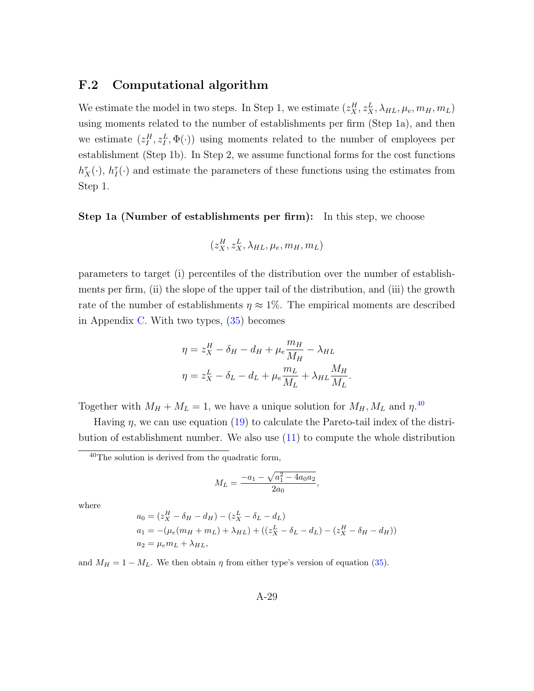## F.2 Computational algorithm

We estimate the model in two steps. In Step 1, we estimate  $(z_X^H, z_X^L, \lambda_{HL}, \mu_e, m_H, m_L)$ using moments related to the number of establishments per firm (Step 1a), and then we estimate  $(z_I^H, z_I^L, \Phi(\cdot))$  using moments related to the number of employees per establishment (Step 1b). In Step 2, we assume functional forms for the cost functions  $h_X^{\tau}(\cdot)$ ,  $h_I^{\tau}(\cdot)$  and estimate the parameters of these functions using the estimates from Step 1.

Step 1a (Number of establishments per firm): In this step, we choose

$$
(z_X^H,z_X^L,\lambda_{HL},\mu_e,m_H,m_L)
$$

parameters to target (i) percentiles of the distribution over the number of establishments per firm, (ii) the slope of the upper tail of the distribution, and (iii) the growth rate of the number of establishments  $\eta \approx 1\%$ . The empirical moments are described in Appendix [C.](#page-47-0) With two types, [\(35\)](#page-71-0) becomes

$$
\eta = z_X^H - \delta_H - d_H + \mu_e \frac{m_H}{M_H} - \lambda_{HL}
$$

$$
\eta = z_X^L - \delta_L - d_L + \mu_e \frac{m_L}{M_L} + \lambda_{HL} \frac{M_H}{M_L}.
$$

Together with  $M_H + M_L = 1$ , we have a unique solution for  $M_H, M_L$  and  $\eta$ .<sup>[40](#page-75-0)</sup>

Having  $\eta$ , we can use equation [\(19\)](#page-24-0) to calculate the Pareto-tail index of the distribution of establishment number. We also use [\(11\)](#page-19-0) to compute the whole distribution

$$
M_L = \frac{-a_1 - \sqrt{a_1^2 - 4a_0 a_2}}{2a_0},
$$

where

$$
a_0 = (z_X^H - \delta_H - d_H) - (z_X^L - \delta_L - d_L)
$$
  
\n
$$
a_1 = -(\mu_e(m_H + m_L) + \lambda_{HL}) + ((z_X^L - \delta_L - d_L) - (z_X^H - \delta_H - d_H))
$$
  
\n
$$
a_2 = \mu_e m_L + \lambda_{HL},
$$

and  $M_H = 1 - M_L$ . We then obtain  $\eta$  from either type's version of equation [\(35\)](#page-71-0).

<span id="page-75-0"></span> $40$ The solution is derived from the quadratic form,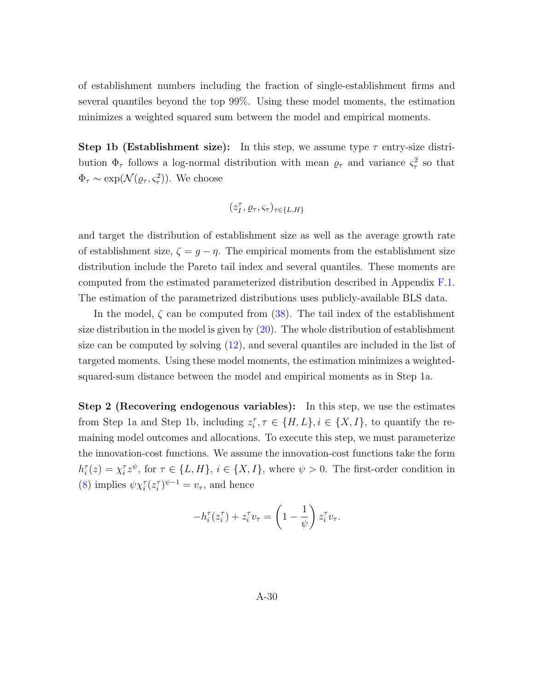of establishment numbers including the fraction of single-establishment firms and several quantiles beyond the top 99%. Using these model moments, the estimation minimizes a weighted squared sum between the model and empirical moments.

**Step 1b (Establishment size):** In this step, we assume type  $\tau$  entry-size distribution  $\Phi_{\tau}$  follows a log-normal distribution with mean  $\rho_{\tau}$  and variance  $\varsigma_{\tau}^2$  so that  $\Phi_{\tau} \sim \exp(\mathcal{N}(\varrho_{\tau}, \varsigma_{\tau}^2)).$  We choose

$$
(z_I^{\tau},\varrho_{\tau},\varsigma_{\tau})_{\tau\in\{L,H\}}
$$

and target the distribution of establishment size as well as the average growth rate of establishment size,  $\zeta = g - \eta$ . The empirical moments from the establishment size distribution include the Pareto tail index and several quantiles. These moments are computed from the estimated parameterized distribution described in Appendix [F.1.](#page-73-0) The estimation of the parametrized distributions uses publicly-available BLS data.

In the model,  $\zeta$  can be computed from [\(38\)](#page-72-1). The tail index of the establishment size distribution in the model is given by [\(20\)](#page-25-0). The whole distribution of establishment size can be computed by solving [\(12\)](#page-19-1), and several quantiles are included in the list of targeted moments. Using these model moments, the estimation minimizes a weightedsquared-sum distance between the model and empirical moments as in Step 1a.

Step 2 (Recovering endogenous variables): In this step, we use the estimates from Step 1a and Step 1b, including  $z_i^{\tau}$ ,  $\tau \in \{H, L\}$ ,  $i \in \{X, I\}$ , to quantify the remaining model outcomes and allocations. To execute this step, we must parameterize the innovation-cost functions. We assume the innovation-cost functions take the form  $h_i^{\tau}(z) = \chi_i^{\tau} z^{\psi}$ , for  $\tau \in \{L, H\}$ ,  $i \in \{X, I\}$ , where  $\psi > 0$ . The first-order condition in [\(8\)](#page-16-0) implies  $\psi \chi_i^{\tau} (z_i^{\tau})^{\psi - 1} = v_{\tau}$ , and hence

$$
-h_i^{\tau}(z_i^{\tau}) + z_i^{\tau}v_{\tau} = \left(1 - \frac{1}{\psi}\right)z_i^{\tau}v_{\tau}.
$$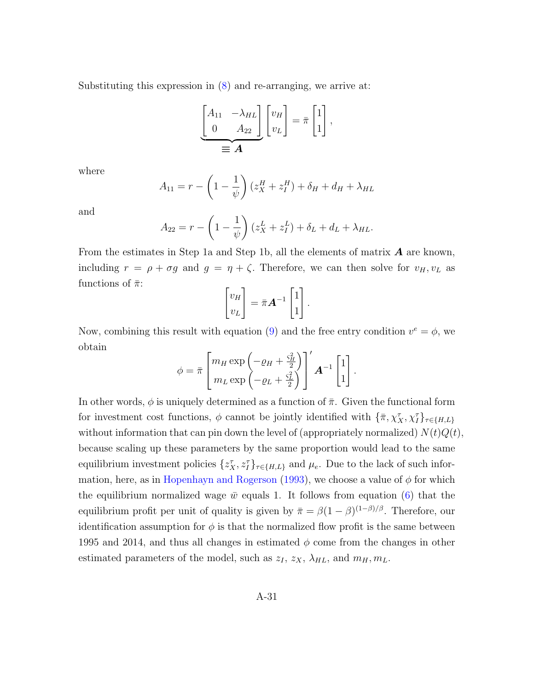Substituting this expression in  $(8)$  and re-arranging, we arrive at:

$$
\underbrace{\begin{bmatrix} A_{11} & -\lambda_{HL} \\ 0 & A_{22} \end{bmatrix}}_{\equiv \mathbf{A}} \begin{bmatrix} v_H \\ v_L \end{bmatrix} = \bar{\pi} \begin{bmatrix} 1 \\ 1 \end{bmatrix},
$$

where

$$
A_{11} = r - \left(1 - \frac{1}{\psi}\right)(z_X^H + z_I^H) + \delta_H + d_H + \lambda_{HL}
$$

and

$$
A_{22} = r - \left(1 - \frac{1}{\psi}\right)(z_X^L + z_I^L) + \delta_L + d_L + \lambda_{HL}.
$$

From the estimates in Step 1a and Step 1b, all the elements of matrix  $\boldsymbol{A}$  are known, including  $r = \rho + \sigma g$  and  $g = \eta + \zeta$ . Therefore, we can then solve for  $v_H, v_L$  as functions of  $\bar{\pi}$ :

$$
\begin{bmatrix} v_H \\ v_L \end{bmatrix} = \bar{\pi} \mathbf{A}^{-1} \begin{bmatrix} 1 \\ 1 \end{bmatrix}.
$$

Now, combining this result with equation [\(9\)](#page-16-1) and the free entry condition  $v^e = \phi$ , we obtain

$$
\phi = \bar{\pi} \begin{bmatrix} m_H \exp \left( -\varrho_H + \frac{\varsigma_H^2}{2} \right) \\ m_L \exp \left( -\varrho_L + \frac{\varsigma_L^2}{2} \right) \end{bmatrix}' \mathbf{A}^{-1} \begin{bmatrix} 1 \\ 1 \end{bmatrix}.
$$

In other words,  $\phi$  is uniquely determined as a function of  $\bar{\pi}$ . Given the functional form for investment cost functions,  $\phi$  cannot be jointly identified with  $\{\bar{\pi}, \chi^{\tau}_X, \chi^{\tau}_I\}_{\tau \in \{H, L\}}$ without information that can pin down the level of (appropriately normalized)  $N(t)Q(t)$ , because scaling up these parameters by the same proportion would lead to the same equilibrium investment policies  $\{z_X^{\tau}, z_I^{\tau}\}_{\tau \in \{H, L\}}$  and  $\mu_e$ . Due to the lack of such infor-mation, here, as in [Hopenhayn and Rogerson](#page-38-0) [\(1993\)](#page-38-0), we choose a value of  $\phi$  for which the equilibrium normalized wage  $\bar{w}$  equals 1. It follows from equation [\(6\)](#page-12-0) that the equilibrium profit per unit of quality is given by  $\bar{\pi} = \beta(1-\beta)^{(1-\beta)/\beta}$ . Therefore, our identification assumption for  $\phi$  is that the normalized flow profit is the same between 1995 and 2014, and thus all changes in estimated  $\phi$  come from the changes in other estimated parameters of the model, such as  $z_I$ ,  $z_X$ ,  $\lambda_{HL}$ , and  $m_H$ ,  $m_L$ .